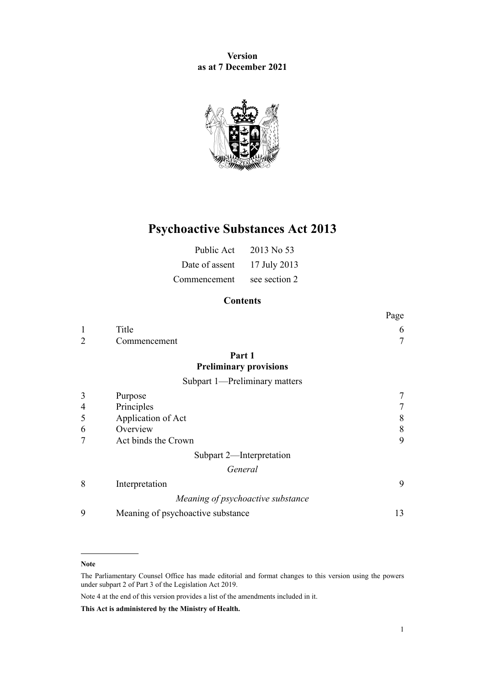**Version as at 7 December 2021**



# **Psychoactive Substances Act 2013**

| Public Act     | 2013 No 53    |
|----------------|---------------|
| Date of assent | 17 July 2013  |
| Commencement   | see section 2 |

# **Contents**

|                |                                   | Page   |
|----------------|-----------------------------------|--------|
| 1              | Title                             | 6      |
| $\overline{2}$ | Commencement                      | $\tau$ |
|                | Part 1                            |        |
|                | <b>Preliminary provisions</b>     |        |
|                | Subpart 1-Preliminary matters     |        |
| 3              | Purpose                           | 7      |
| 4              | Principles                        | 7      |
| 5              | Application of Act                | 8      |
| 6              | Overview                          | 8      |
| 7              | Act binds the Crown               | 9      |
|                | Subpart 2-Interpretation          |        |
|                | General                           |        |
| 8              | Interpretation                    | 9      |
|                | Meaning of psychoactive substance |        |
| 9              | Meaning of psychoactive substance | 13     |
|                |                                   |        |

#### **Note**

The Parliamentary Counsel Office has made editorial and format changes to this version using the powers under [subpart 2](http://legislation.govt.nz/pdflink.aspx?id=DLM7298371) of Part 3 of the Legislation Act 2019.

Note 4 at the end of this version provides a list of the amendments included in it.

**This Act is administered by the Ministry of Health.**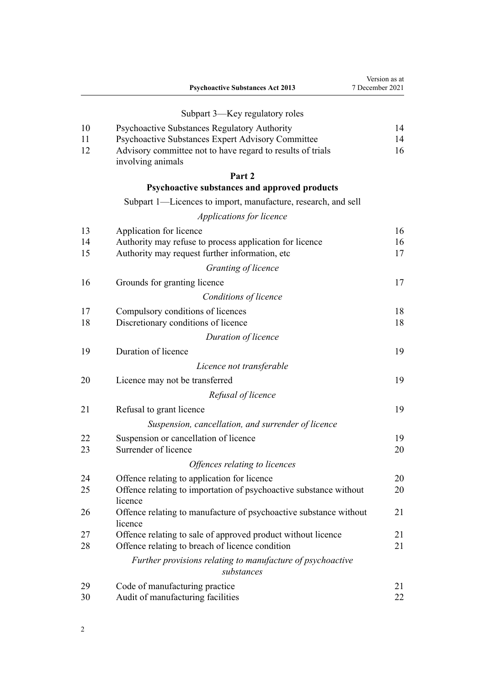|          | <b>Psychoactive Substances Act 2013</b>                                                                   | Version as at<br>7 December 2021 |
|----------|-----------------------------------------------------------------------------------------------------------|----------------------------------|
|          | Subpart 3—Key regulatory roles                                                                            |                                  |
| 10       | Psychoactive Substances Regulatory Authority                                                              | 14                               |
| 11       | Psychoactive Substances Expert Advisory Committee                                                         | 14                               |
| 12       | Advisory committee not to have regard to results of trials<br>involving animals                           | 16                               |
|          | Part 2                                                                                                    |                                  |
|          | Psychoactive substances and approved products                                                             |                                  |
|          | Subpart 1—Licences to import, manufacture, research, and sell                                             |                                  |
|          | Applications for licence                                                                                  |                                  |
| 13       | Application for licence                                                                                   | 16                               |
| 14<br>15 | Authority may refuse to process application for licence<br>Authority may request further information, etc | 16<br>17                         |
|          | Granting of licence                                                                                       |                                  |
| 16       | Grounds for granting licence                                                                              | 17                               |
|          | Conditions of licence                                                                                     |                                  |
| 17       | Compulsory conditions of licences                                                                         | 18                               |
| 18       | Discretionary conditions of licence                                                                       | 18                               |
|          | Duration of licence                                                                                       |                                  |
| 19       | Duration of licence                                                                                       | 19                               |
|          | Licence not transferable                                                                                  |                                  |
| 20       | Licence may not be transferred                                                                            | 19                               |
|          | Refusal of licence                                                                                        |                                  |
| 21       | Refusal to grant licence                                                                                  | 19                               |
|          | Suspension, cancellation, and surrender of licence                                                        |                                  |
| 22       | Suspension or cancellation of licence                                                                     | 19                               |
| 23       | Surrender of licence                                                                                      | 20                               |
|          | Offences relating to licences                                                                             |                                  |
| 24       | Offence relating to application for licence                                                               | 20                               |
| 25       | Offence relating to importation of psychoactive substance without<br>licence                              | 20                               |
| 26       | Offence relating to manufacture of psychoactive substance without<br>licence                              | 21                               |
| 27       | Offence relating to sale of approved product without licence                                              | 21                               |
| 28       | Offence relating to breach of licence condition                                                           | 21                               |
|          | Further provisions relating to manufacture of psychoactive<br>substances                                  |                                  |
| 29       | Code of manufacturing practice                                                                            | 21                               |
| 30       | Audit of manufacturing facilities                                                                         | 22                               |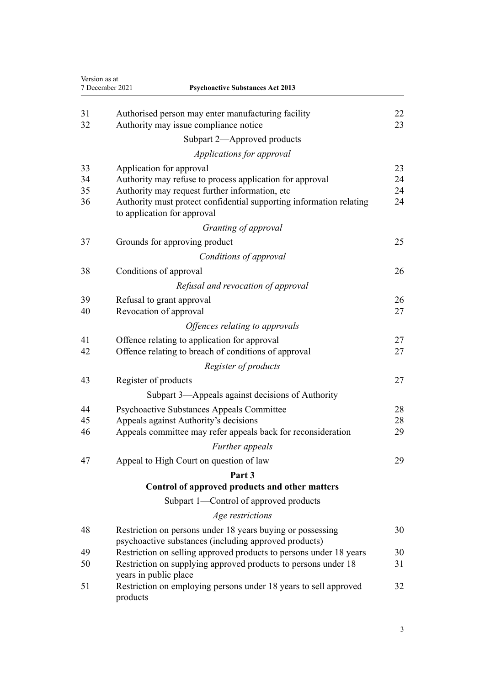|          | 7 December 2021<br><b>Psychoactive Substances Act 2013</b>                                                          |          |
|----------|---------------------------------------------------------------------------------------------------------------------|----------|
| 31<br>32 | Authorised person may enter manufacturing facility<br>Authority may issue compliance notice                         | 22<br>23 |
|          | Subpart 2—Approved products                                                                                         |          |
|          | Applications for approval                                                                                           |          |
| 33       | Application for approval                                                                                            | 23       |
| 34       | Authority may refuse to process application for approval                                                            | 24       |
| 35       | Authority may request further information, etc                                                                      | 24       |
| 36       | Authority must protect confidential supporting information relating<br>to application for approval                  | 24       |
|          | Granting of approval                                                                                                |          |
| 37       | Grounds for approving product                                                                                       | 25       |
|          | Conditions of approval                                                                                              |          |
| 38       | Conditions of approval                                                                                              | 26       |
|          | Refusal and revocation of approval                                                                                  |          |
| 39       | Refusal to grant approval                                                                                           | 26       |
| 40       | Revocation of approval                                                                                              | 27       |
|          | Offences relating to approvals                                                                                      |          |
| 41       | Offence relating to application for approval                                                                        | 27       |
| 42       | Offence relating to breach of conditions of approval                                                                | 27       |
|          | Register of products                                                                                                |          |
| 43       | Register of products                                                                                                | 27       |
|          | Subpart 3—Appeals against decisions of Authority                                                                    |          |
| 44       | <b>Psychoactive Substances Appeals Committee</b>                                                                    | 28       |
| 45       | Appeals against Authority's decisions                                                                               | 28       |
| 46       | Appeals committee may refer appeals back for reconsideration                                                        | 29       |
|          | Further appeals                                                                                                     |          |
| 47       | Appeal to High Court on question of law                                                                             | 29       |
|          | Part 3                                                                                                              |          |
|          | Control of approved products and other matters                                                                      |          |
|          | Subpart 1-Control of approved products                                                                              |          |
|          | Age restrictions                                                                                                    |          |
| 48       | Restriction on persons under 18 years buying or possessing<br>psychoactive substances (including approved products) | 30       |
| 49       | Restriction on selling approved products to persons under 18 years                                                  | 30       |
| 50       | Restriction on supplying approved products to persons under 18<br>years in public place                             | 31       |
| 51       | Restriction on employing persons under 18 years to sell approved<br>products                                        | 32       |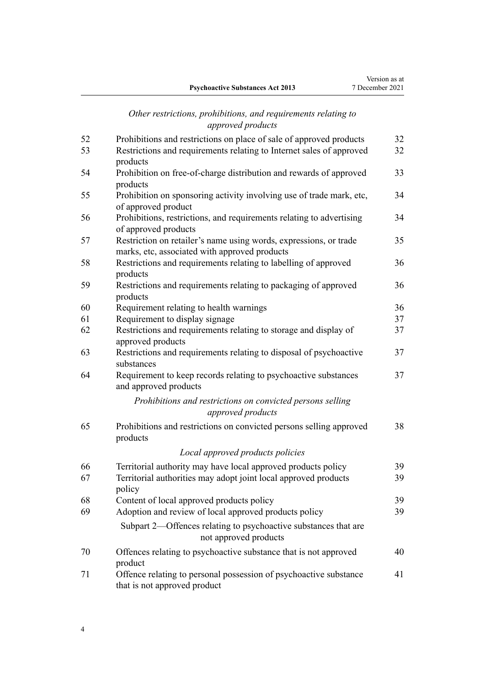# *[Other restrictions, prohibitions, and requirements relating to](#page-31-0) [approved products](#page-31-0)*

| 52 | Prohibitions and restrictions on place of sale of approved products                          | 32 |
|----|----------------------------------------------------------------------------------------------|----|
| 53 | Restrictions and requirements relating to Internet sales of approved                         | 32 |
|    | products                                                                                     |    |
| 54 | Prohibition on free-of-charge distribution and rewards of approved                           | 33 |
|    | products                                                                                     |    |
| 55 | Prohibition on sponsoring activity involving use of trade mark, etc,<br>of approved product  | 34 |
| 56 | Prohibitions, restrictions, and requirements relating to advertising<br>of approved products | 34 |
| 57 | Restriction on retailer's name using words, expressions, or trade                            | 35 |
|    | marks, etc, associated with approved products                                                |    |
| 58 | Restrictions and requirements relating to labelling of approved                              | 36 |
|    | products                                                                                     |    |
| 59 | Restrictions and requirements relating to packaging of approved<br>products                  | 36 |
| 60 | Requirement relating to health warnings                                                      | 36 |
| 61 | Requirement to display signage                                                               | 37 |
| 62 | Restrictions and requirements relating to storage and display of                             | 37 |
|    | approved products                                                                            |    |
| 63 | Restrictions and requirements relating to disposal of psychoactive<br>substances             | 37 |
| 64 | Requirement to keep records relating to psychoactive substances<br>and approved products     | 37 |
|    | Prohibitions and restrictions on convicted persons selling                                   |    |
|    | approved products                                                                            |    |
| 65 | Prohibitions and restrictions on convicted persons selling approved<br>products              | 38 |
|    | Local approved products policies                                                             |    |
| 66 | Territorial authority may have local approved products policy                                | 39 |
| 67 | Territorial authorities may adopt joint local approved products                              | 39 |
|    | policy                                                                                       |    |
| 68 | Content of local approved products policy                                                    | 39 |
| 69 | Adoption and review of local approved products policy                                        | 39 |
|    | Subpart 2—Offences relating to psychoactive substances that are                              |    |
|    | not approved products                                                                        |    |
| 70 | Offences relating to psychoactive substance that is not approved                             | 40 |
|    | product                                                                                      |    |
| 71 | Offence relating to personal possession of psychoactive substance                            | 41 |
|    | that is not approved product                                                                 |    |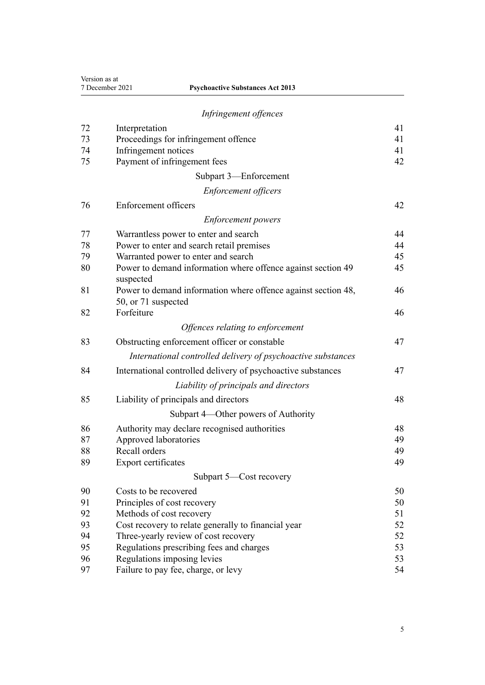| Version as at<br>7 December 2021<br><b>Psychoactive Substances Act 2013</b> |                                                                                      |    |
|-----------------------------------------------------------------------------|--------------------------------------------------------------------------------------|----|
|                                                                             | Infringement offences                                                                |    |
| 72                                                                          | Interpretation                                                                       | 41 |
| 73                                                                          | Proceedings for infringement offence                                                 | 41 |
| 74                                                                          | Infringement notices                                                                 | 41 |
| 75                                                                          | Payment of infringement fees                                                         | 42 |
|                                                                             | Subpart 3-Enforcement                                                                |    |
|                                                                             | <b>Enforcement officers</b>                                                          |    |
| 76                                                                          | Enforcement officers                                                                 | 42 |
|                                                                             | <i>Enforcement powers</i>                                                            |    |
| 77                                                                          | Warrantless power to enter and search                                                | 44 |
| 78                                                                          | Power to enter and search retail premises                                            | 44 |
| 79                                                                          | Warranted power to enter and search                                                  | 45 |
| 80                                                                          | Power to demand information where offence against section 49<br>suspected            | 45 |
| 81                                                                          | Power to demand information where offence against section 48,<br>50, or 71 suspected | 46 |
| 82                                                                          | Forfeiture                                                                           | 46 |
|                                                                             | Offences relating to enforcement                                                     |    |
| 83                                                                          | Obstructing enforcement officer or constable                                         | 47 |
|                                                                             | International controlled delivery of psychoactive substances                         |    |
| 84                                                                          | International controlled delivery of psychoactive substances                         | 47 |
|                                                                             | Liability of principals and directors                                                |    |
| 85                                                                          | Liability of principals and directors                                                | 48 |
|                                                                             | Subpart 4—Other powers of Authority                                                  |    |
| 86                                                                          | Authority may declare recognised authorities                                         | 48 |
| 87                                                                          | Approved laboratories                                                                | 49 |
| 88                                                                          | Recall orders                                                                        | 49 |
| 89                                                                          | Export certificates                                                                  | 49 |
|                                                                             | Subpart 5—Cost recovery                                                              |    |
| 90                                                                          | Costs to be recovered                                                                | 50 |
| 91                                                                          | Principles of cost recovery                                                          | 50 |
| 92                                                                          | Methods of cost recovery                                                             | 51 |
| 93                                                                          | Cost recovery to relate generally to financial year                                  | 52 |
| 94                                                                          | Three-yearly review of cost recovery                                                 | 52 |
| 95                                                                          | Regulations prescribing fees and charges                                             | 53 |
| 96                                                                          | Regulations imposing levies                                                          | 53 |
| 97                                                                          | Failure to pay fee, charge, or levy                                                  | 54 |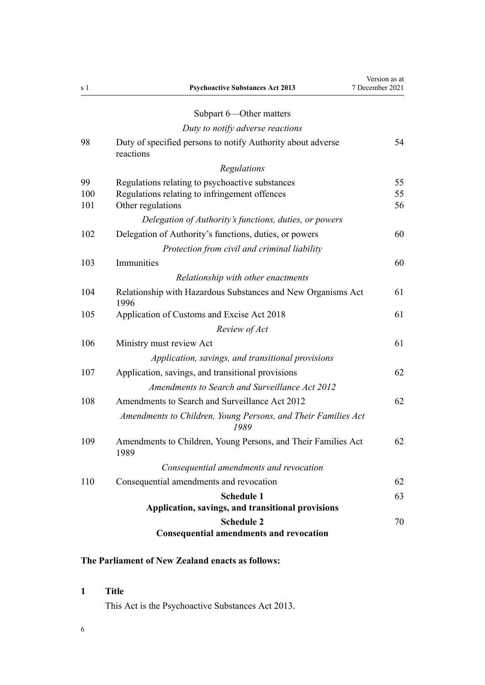<span id="page-5-0"></span>

| s 1 | <b>Psychoactive Substances Act 2013</b>                                  | Version as at<br>7 December 2021 |
|-----|--------------------------------------------------------------------------|----------------------------------|
|     | Subpart 6-Other matters                                                  |                                  |
|     | Duty to notify adverse reactions                                         |                                  |
| 98  | Duty of specified persons to notify Authority about adverse<br>reactions | 54                               |
|     | Regulations                                                              |                                  |
| 99  | Regulations relating to psychoactive substances                          | 55                               |
| 100 | Regulations relating to infringement offences                            | 55                               |
| 101 | Other regulations                                                        | 56                               |
|     | Delegation of Authority's functions, duties, or powers                   |                                  |
| 102 | Delegation of Authority's functions, duties, or powers                   | 60                               |
|     | Protection from civil and criminal liability                             |                                  |
| 103 | Immunities                                                               | 60                               |
|     | Relationship with other enactments                                       |                                  |
| 104 | Relationship with Hazardous Substances and New Organisms Act<br>1996     | 61                               |
| 105 | Application of Customs and Excise Act 2018                               | 61                               |
|     | Review of Act                                                            |                                  |
| 106 | Ministry must review Act                                                 | 61                               |
|     | Application, savings, and transitional provisions                        |                                  |
| 107 | Application, savings, and transitional provisions                        | 62                               |
|     | Amendments to Search and Surveillance Act 2012                           |                                  |
| 108 | Amendments to Search and Surveillance Act 2012                           | 62                               |
|     | Amendments to Children, Young Persons, and Their Families Act<br>1989    |                                  |
| 109 | Amendments to Children, Young Persons, and Their Families Act<br>1989    | 62                               |
|     | Consequential amendments and revocation                                  |                                  |
| 110 | Consequential amendments and revocation                                  | 62                               |
|     | <b>Schedule 1</b>                                                        | 63                               |
|     | Application, savings, and transitional provisions                        |                                  |
|     | <b>Schedule 2</b>                                                        | 70                               |
|     | <b>Consequential amendments and revocation</b>                           |                                  |

# **The Parliament of New Zealand enacts as follows:**

# **1 Title**

This Act is the Psychoactive Substances Act 2013.

6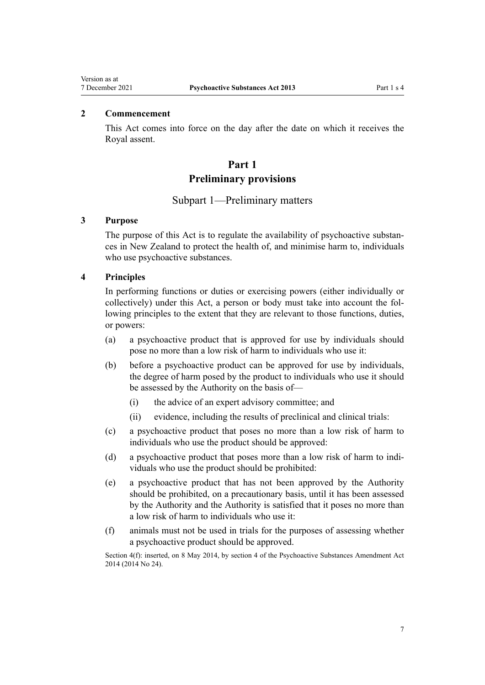# <span id="page-6-0"></span>**2 Commencement**

This Act comes into force on the day after the date on which it receives the Royal assent.

# **Part 1 Preliminary provisions**

# Subpart 1—Preliminary matters

# **3 Purpose**

The purpose of this Act is to regulate the availability of psychoactive substances in New Zealand to protect the health of, and minimise harm to, individuals who use psychoactive substances.

#### **4 Principles**

In performing functions or duties or exercising powers (either individually or collectively) under this Act, a person or body must take into account the fol‐ lowing principles to the extent that they are relevant to those functions, duties, or powers:

- (a) a psychoactive product that is approved for use by individuals should pose no more than a low risk of harm to individuals who use it:
- (b) before a psychoactive product can be approved for use by individuals, the degree of harm posed by the product to individuals who use it should be assessed by the Authority on the basis of—
	- (i) the advice of an expert advisory committee; and
	- (ii) evidence, including the results of preclinical and clinical trials:
- (c) a psychoactive product that poses no more than a low risk of harm to individuals who use the product should be approved:
- (d) a psychoactive product that poses more than a low risk of harm to indi‐ viduals who use the product should be prohibited:
- (e) a psychoactive product that has not been approved by the Authority should be prohibited, on a precautionary basis, until it has been assessed by the Authority and the Authority is satisfied that it poses no more than a low risk of harm to individuals who use it:
- (f) animals must not be used in trials for the purposes of assessing whether a psychoactive product should be approved.

Section 4(f): inserted, on 8 May 2014, by [section 4](http://legislation.govt.nz/pdflink.aspx?id=DLM6099315) of the Psychoactive Substances Amendment Act 2014 (2014 No 24).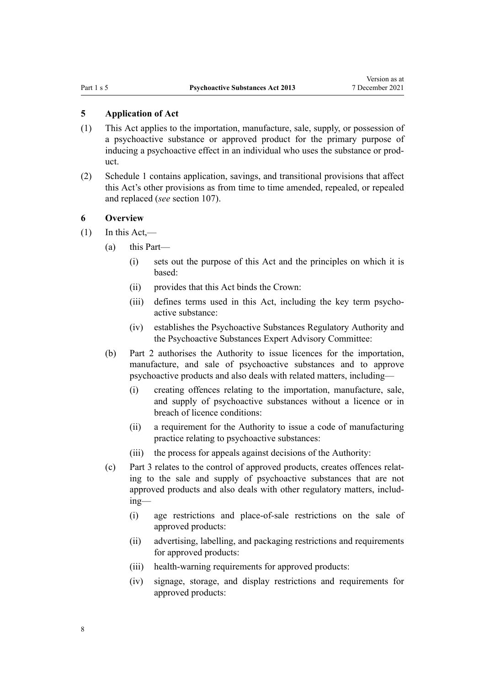<span id="page-7-0"></span>**5 Application of Act**

- (1) This Act applies to the importation, manufacture, sale, supply, or possession of a psychoactive substance or approved product for the primary purpose of inducing a psychoactive effect in an individual who uses the substance or prod‐ uct.
- (2) [Schedule 1](#page-62-0) contains application, savings, and transitional provisions that affect this Act's other provisions as from time to time amended, repealed, or repealed and replaced (*see* [section 107\)](#page-61-0).

# **6 Overview**

- $(1)$  In this Act,—
	- (a) this Part—
		- (i) sets out the purpose of this Act and the principles on which it is based:
		- (ii) provides that this Act binds the Crown:
		- (iii) defines terms used in this Act, including the key term psychoactive substance:
		- (iv) establishes the Psychoactive Substances Regulatory Authority and the Psychoactive Substances Expert Advisory Committee:
	- (b) [Part 2](#page-15-0) authorises the Authority to issue licences for the importation, manufacture, and sale of psychoactive substances and to approve psychoactive products and also deals with related matters, including—
		- (i) creating offences relating to the importation, manufacture, sale, and supply of psychoactive substances without a licence or in breach of licence conditions:
		- (ii) a requirement for the Authority to issue a code of manufacturing practice relating to psychoactive substances:
		- (iii) the process for appeals against decisions of the Authority:
	- (c) [Part 3](#page-29-0) relates to the control of approved products, creates offences relat‐ ing to the sale and supply of psychoactive substances that are not approved products and also deals with other regulatory matters, includ‐ ing—
		- (i) age restrictions and place-of-sale restrictions on the sale of approved products:
		- (ii) advertising, labelling, and packaging restrictions and requirements for approved products:
		- (iii) health-warning requirements for approved products:
		- (iv) signage, storage, and display restrictions and requirements for approved products: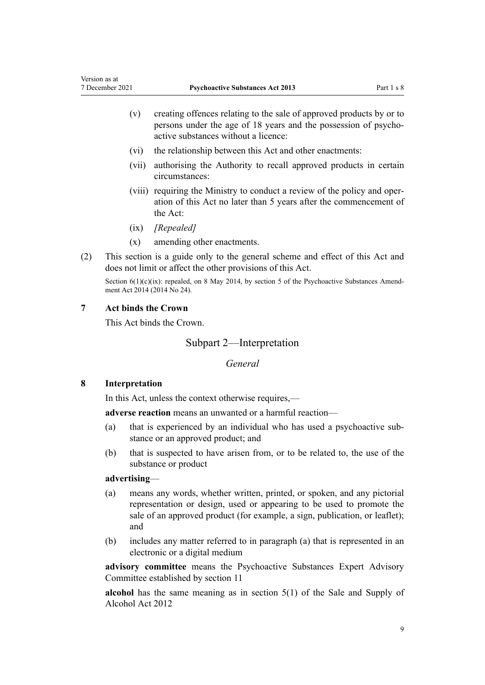- <span id="page-8-0"></span>(v) creating offences relating to the sale of approved products by or to persons under the age of 18 years and the possession of psychoactive substances without a licence:
- (vi) the relationship between this Act and other enactments:
- (vii) authorising the Authority to recall approved products in certain circumstances:
- (viii) requiring the Ministry to conduct a review of the policy and oper‐ ation of this Act no later than 5 years after the commencement of the Act:
- (ix) *[Repealed]*
- (x) amending other enactments.
- (2) This section is a guide only to the general scheme and effect of this Act and does not limit or affect the other provisions of this Act.

Section  $6(1)(c)(ix)$ : repealed, on 8 May 2014, by [section 5](http://legislation.govt.nz/pdflink.aspx?id=DLM6099316) of the Psychoactive Substances Amendment Act 2014 (2014 No 24).

#### **7 Act binds the Crown**

This Act binds the Crown.

Subpart 2—Interpretation

*General*

## **8 Interpretation**

In this Act, unless the context otherwise requires,—

**adverse reaction** means an unwanted or a harmful reaction—

- (a) that is experienced by an individual who has used a psychoactive sub‐ stance or an approved product; and
- (b) that is suspected to have arisen from, or to be related to, the use of the substance or product

#### **advertising**—

- (a) means any words, whether written, printed, or spoken, and any pictorial representation or design, used or appearing to be used to promote the sale of an approved product (for example, a sign, publication, or leaflet); and
- (b) includes any matter referred to in paragraph (a) that is represented in an electronic or a digital medium

**advisory committee** means the Psychoactive Substances Expert Advisory Committee established by [section 11](#page-13-0)

**alcohol** has the same meaning as in [section 5\(1\)](http://legislation.govt.nz/pdflink.aspx?id=DLM3339341) of the Sale and Supply of Alcohol Act 2012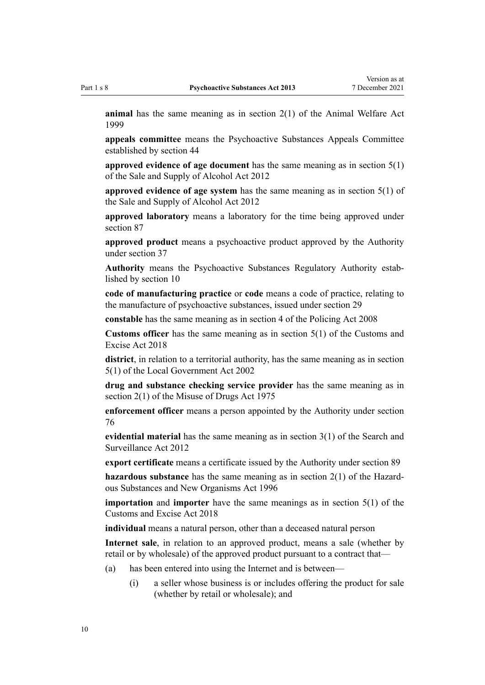**animal** has the same meaning as in [section 2\(1\)](http://legislation.govt.nz/pdflink.aspx?id=DLM49669) of the Animal Welfare Act 1999

**appeals committee** means the Psychoactive Substances Appeals Committee established by [section 44](#page-27-0)

**approved evidence of age document** has the same meaning as in [section 5\(1\)](http://legislation.govt.nz/pdflink.aspx?id=DLM3339341) of the Sale and Supply of Alcohol Act 2012

**approved evidence of age system** has the same meaning as in [section 5\(1\)](http://legislation.govt.nz/pdflink.aspx?id=DLM3339341) of the Sale and Supply of Alcohol Act 2012

**approved laboratory** means a laboratory for the time being approved under [section 87](#page-48-0)

**approved product** means a psychoactive product approved by the Authority under [section 37](#page-24-0)

**Authority** means the Psychoactive Substances Regulatory Authority estab‐ lished by [section 10](#page-13-0)

**code of manufacturing practice** or **code** means a code of practice, relating to the manufacture of psychoactive substances, issued under [section 29](#page-20-0)

**constable** has the same meaning as in [section 4](http://legislation.govt.nz/pdflink.aspx?id=DLM1102132) of the Policing Act 2008

**Customs officer** has the same meaning as in [section 5\(1\)](http://legislation.govt.nz/pdflink.aspx?id=DLM7038971) of the Customs and Excise Act 2018

**district**, in relation to a territorial authority, has the same meaning as in [section](http://legislation.govt.nz/pdflink.aspx?id=DLM170881) [5\(1\)](http://legislation.govt.nz/pdflink.aspx?id=DLM170881) of the Local Government Act 2002

**drug and substance checking service provider** has the same meaning as in [section 2\(1\)](http://legislation.govt.nz/pdflink.aspx?id=DLM436106) of the Misuse of Drugs Act 1975

**enforcement officer** means a person appointed by the Authority under [section](#page-41-0) [76](#page-41-0)

**evidential material** has the same meaning as in [section 3\(1\)](http://legislation.govt.nz/pdflink.aspx?id=DLM2136542) of the Search and Surveillance Act 2012

**export certificate** means a certificate issued by the Authority under [section 89](#page-48-0)

**hazardous substance** has the same meaning as in [section 2\(1\)](http://legislation.govt.nz/pdflink.aspx?id=DLM381228) of the Hazard‐ ous Substances and New Organisms Act 1996

**importation** and **importer** have the same meanings as in [section 5\(1\)](http://legislation.govt.nz/pdflink.aspx?id=DLM7038971) of the Customs and Excise Act 2018

**individual** means a natural person, other than a deceased natural person

**Internet sale**, in relation to an approved product, means a sale (whether by retail or by wholesale) of the approved product pursuant to a contract that—

- (a) has been entered into using the Internet and is between—
	- (i) a seller whose business is or includes offering the product for sale (whether by retail or wholesale); and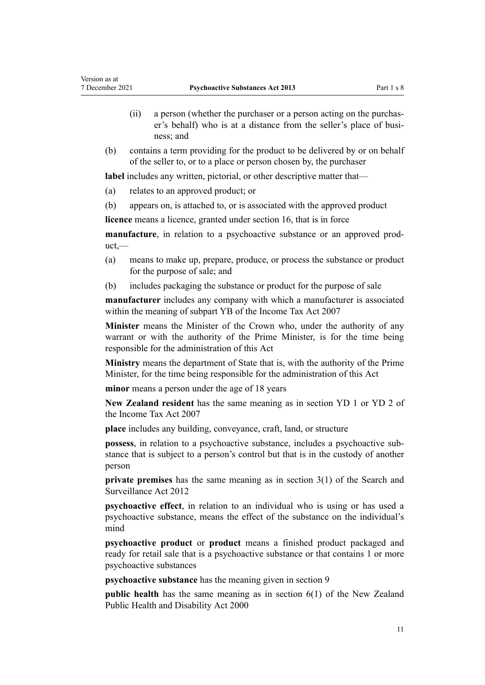- (ii) a person (whether the purchaser or a person acting on the purchas‐ er's behalf) who is at a distance from the seller's place of business; and
- (b) contains a term providing for the product to be delivered by or on behalf of the seller to, or to a place or person chosen by, the purchaser

**label** includes any written, pictorial, or other descriptive matter that—

- (a) relates to an approved product; or
- (b) appears on, is attached to, or is associated with the approved product

**licence** means a licence, granted under [section 16](#page-16-0), that is in force

**manufacture**, in relation to a psychoactive substance or an approved product,—

- (a) means to make up, prepare, produce, or process the substance or product for the purpose of sale; and
- (b) includes packaging the substance or product for the purpose of sale

**manufacturer** includes any company with which a manufacturer is associated within the meaning of [subpart YB](http://legislation.govt.nz/pdflink.aspx?id=DLM1522997) of the Income Tax Act 2007

**Minister** means the Minister of the Crown who, under the authority of any warrant or with the authority of the Prime Minister, is for the time being responsible for the administration of this Act

**Ministry** means the department of State that is, with the authority of the Prime Minister, for the time being responsible for the administration of this Act

**minor** means a person under the age of 18 years

**New Zealand resident** has the same meaning as in [section YD 1](http://legislation.govt.nz/pdflink.aspx?id=DLM1523134) or [YD 2](http://legislation.govt.nz/pdflink.aspx?id=DLM1523137) of the Income Tax Act 2007

**place** includes any building, conveyance, craft, land, or structure

**possess**, in relation to a psychoactive substance, includes a psychoactive sub‐ stance that is subject to a person's control but that is in the custody of another person

**private premises** has the same meaning as in [section 3\(1\)](http://legislation.govt.nz/pdflink.aspx?id=DLM2136542) of the Search and Surveillance Act 2012

**psychoactive effect**, in relation to an individual who is using or has used a psychoactive substance, means the effect of the substance on the individual's mind

**psychoactive product** or **product** means a finished product packaged and ready for retail sale that is a psychoactive substance or that contains 1 or more psychoactive substances

**psychoactive substance** has the meaning given in [section 9](#page-12-0)

**public health** has the same meaning as in [section 6\(1\)](http://legislation.govt.nz/pdflink.aspx?id=DLM80064) of the New Zealand Public Health and Disability Act 2000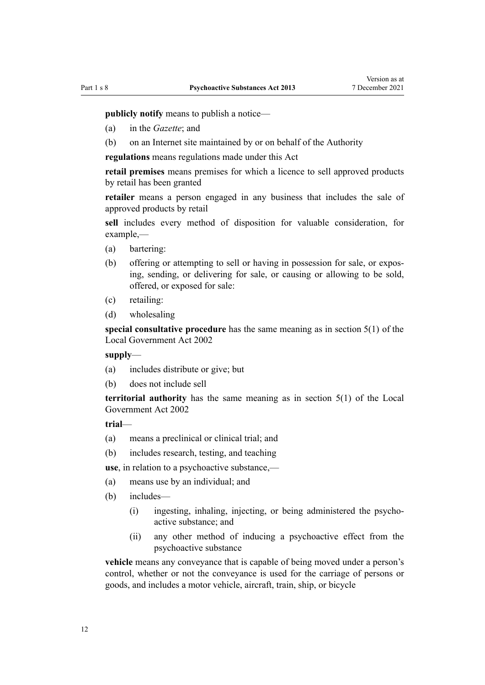**publicly notify** means to publish a notice—

- (a) in the *Gazette*; and
- (b) on an Internet site maintained by or on behalf of the Authority

**regulations** means regulations made under this Act

**retail premises** means premises for which a licence to sell approved products by retail has been granted

**retailer** means a person engaged in any business that includes the sale of approved products by retail

**sell** includes every method of disposition for valuable consideration, for example,—

- (a) bartering:
- (b) offering or attempting to sell or having in possession for sale, or expos‐ ing, sending, or delivering for sale, or causing or allowing to be sold, offered, or exposed for sale:
- (c) retailing:
- (d) wholesaling

**special consultative procedure** has the same meaning as in [section 5\(1\)](http://legislation.govt.nz/pdflink.aspx?id=DLM170881) of the Local Government Act 2002

**supply**—

- (a) includes distribute or give; but
- (b) does not include sell

**territorial authority** has the same meaning as in [section 5\(1\)](http://legislation.govt.nz/pdflink.aspx?id=DLM170881) of the Local Government Act 2002

**trial**—

- (a) means a preclinical or clinical trial; and
- (b) includes research, testing, and teaching

**use**, in relation to a psychoactive substance,—

- (a) means use by an individual; and
- (b) includes—
	- (i) ingesting, inhaling, injecting, or being administered the psychoactive substance; and
	- (ii) any other method of inducing a psychoactive effect from the psychoactive substance

**vehicle** means any conveyance that is capable of being moved under a person's control, whether or not the conveyance is used for the carriage of persons or goods, and includes a motor vehicle, aircraft, train, ship, or bicycle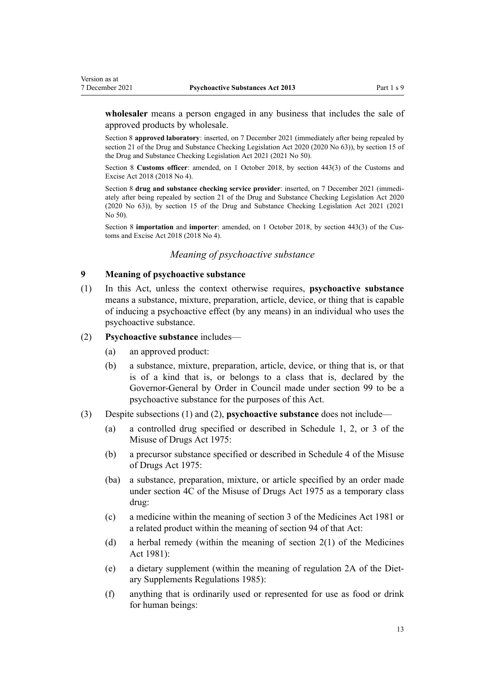<span id="page-12-0"></span>**wholesaler** means a person engaged in any business that includes the sale of approved products by wholesale.

Section 8 **approved laboratory**: inserted, on 7 December 2021 (immediately after being repealed by [section 21](http://legislation.govt.nz/pdflink.aspx?id=LMS430981) of the Drug and Substance Checking Legislation Act 2020 (2020 No 63)), by [section 15](http://legislation.govt.nz/pdflink.aspx?id=LMS577120) of the Drug and Substance Checking Legislation Act 2021 (2021 No 50).

Section 8 **Customs officer**: amended, on 1 October 2018, by [section 443\(3\)](http://legislation.govt.nz/pdflink.aspx?id=DLM7039957) of the Customs and Excise Act 2018 (2018 No 4).

Section 8 drug and substance checking service provider: inserted, on 7 December 2021 (immediately after being repealed by [section 21](http://legislation.govt.nz/pdflink.aspx?id=LMS430981) of the Drug and Substance Checking Legislation Act 2020 (2020 No 63)), by [section 15](http://legislation.govt.nz/pdflink.aspx?id=LMS577120) of the Drug and Substance Checking Legislation Act 2021 (2021 No 50).

Section 8 **importation** and **importer**: amended, on 1 October 2018, by [section 443\(3\)](http://legislation.govt.nz/pdflink.aspx?id=DLM7039957) of the Cus‐ toms and Excise Act 2018 (2018 No 4).

# *Meaning of psychoactive substance*

#### **9 Meaning of psychoactive substance**

(1) In this Act, unless the context otherwise requires, **psychoactive substance** means a substance, mixture, preparation, article, device, or thing that is capable of inducing a psychoactive effect (by any means) in an individual who uses the psychoactive substance.

#### (2) **Psychoactive substance** includes—

- (a) an approved product:
- (b) a substance, mixture, preparation, article, device, or thing that is, or that is of a kind that is, or belongs to a class that is, declared by the Governor-General by Order in Council made under [section 99](#page-54-0) to be a psychoactive substance for the purposes of this Act.
- (3) Despite subsections (1) and (2), **psychoactive substance** does not include—
	- (a) a controlled drug specified or described in [Schedule 1,](http://legislation.govt.nz/pdflink.aspx?id=DLM436576) [2](http://legislation.govt.nz/pdflink.aspx?id=DLM436586), or [3](http://legislation.govt.nz/pdflink.aspx?id=DLM436723) of the Misuse of Drugs Act 1975:
	- (b) a precursor substance specified or described in [Schedule 4](http://legislation.govt.nz/pdflink.aspx?id=DLM436770) of the Misuse of Drugs Act 1975:
	- (ba) a substance, preparation, mixture, or article specified by an order made under [section 4C](http://legislation.govt.nz/pdflink.aspx?id=LMS239792) of the Misuse of Drugs Act 1975 as a temporary class drug:
	- (c) a medicine within the meaning of [section 3](http://legislation.govt.nz/pdflink.aspx?id=DLM54687) of the Medicines Act 1981 or a related product within the meaning of [section 94](http://legislation.govt.nz/pdflink.aspx?id=DLM56098) of that Act:
	- (d) a herbal remedy (within the meaning of [section 2\(1\)](http://legislation.govt.nz/pdflink.aspx?id=DLM53795) of the Medicines Act 1981):
	- (e) a dietary supplement (within the meaning of [regulation 2A](http://legislation.govt.nz/pdflink.aspx?id=DLM2856310) of the Diet‐ ary Supplements Regulations 1985):
	- (f) anything that is ordinarily used or represented for use as food or drink for human beings: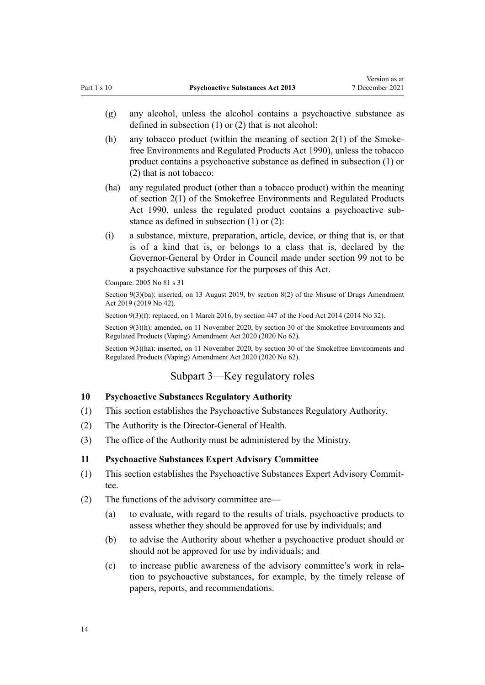- <span id="page-13-0"></span>(g) any alcohol, unless the alcohol contains a psychoactive substance as defined in subsection (1) or (2) that is not alcohol:
- (h) any tobacco product (within the meaning of section  $2(1)$  of the Smokefree Environments and Regulated Products Act 1990), unless the tobacco product contains a psychoactive substance as defined in subsection (1) or (2) that is not tobacco:
- (ha) any regulated product (other than a tobacco product) within the meaning of [section 2\(1\)](http://legislation.govt.nz/pdflink.aspx?id=DLM223196) of the Smokefree Environments and Regulated Products Act 1990, unless the regulated product contains a psychoactive substance as defined in subsection (1) or (2):
- (i) a substance, mixture, preparation, article, device, or thing that is, or that is of a kind that is, or belongs to a class that is, declared by the Governor-General by Order in Council made under [section 99](#page-54-0) not to be a psychoactive substance for the purposes of this Act.

Compare: 2005 No 81 [s 31](http://legislation.govt.nz/pdflink.aspx?id=DLM356285)

Section 9(3)(ba): inserted, on 13 August 2019, by [section 8\(2\)](http://legislation.govt.nz/pdflink.aspx?id=LMS167570) of the Misuse of Drugs Amendment Act 2019 (2019 No 42).

Section 9(3)(f): replaced, on 1 March 2016, by [section 447](http://legislation.govt.nz/pdflink.aspx?id=DLM2996621) of the Food Act 2014 (2014 No 32).

Section 9(3)(h): amended, on 11 November 2020, by [section 30](http://legislation.govt.nz/pdflink.aspx?id=LMS314081) of the Smokefree Environments and Regulated Products (Vaping) Amendment Act 2020 (2020 No 62).

Section 9(3)(ha): inserted, on 11 November 2020, by [section 30](http://legislation.govt.nz/pdflink.aspx?id=LMS314081) of the Smokefree Environments and Regulated Products (Vaping) Amendment Act 2020 (2020 No 62).

#### Subpart 3—Key regulatory roles

# **10 Psychoactive Substances Regulatory Authority**

- (1) This section establishes the Psychoactive Substances Regulatory Authority.
- (2) The Authority is the Director-General of Health.
- (3) The office of the Authority must be administered by the Ministry.

#### **11 Psychoactive Substances Expert Advisory Committee**

- (1) This section establishes the Psychoactive Substances Expert Advisory Commit‐ tee.
- (2) The functions of the advisory committee are—
	- (a) to evaluate, with regard to the results of trials, psychoactive products to assess whether they should be approved for use by individuals; and
	- (b) to advise the Authority about whether a psychoactive product should or should not be approved for use by individuals; and
	- (c) to increase public awareness of the advisory committee's work in rela‐ tion to psychoactive substances, for example, by the timely release of papers, reports, and recommendations.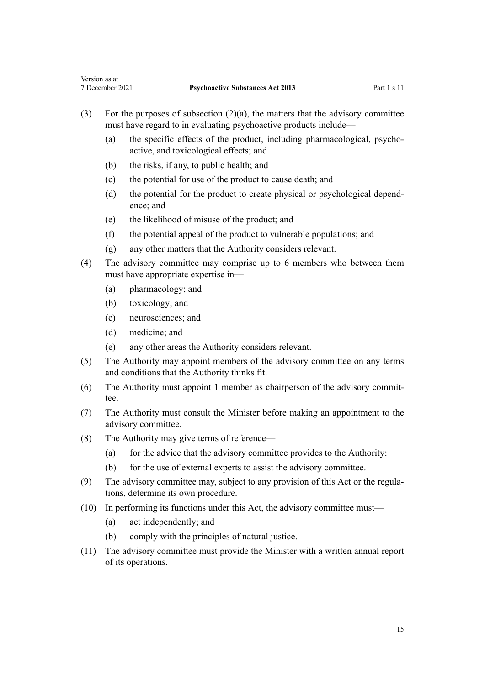- (3) For the purposes of subsection  $(2)(a)$ , the matters that the advisory committee must have regard to in evaluating psychoactive products include—
	- (a) the specific effects of the product, including pharmacological, psychoactive, and toxicological effects; and
	- (b) the risks, if any, to public health; and
	- (c) the potential for use of the product to cause death; and
	- (d) the potential for the product to create physical or psychological depend‐ ence; and
	- (e) the likelihood of misuse of the product; and
	- (f) the potential appeal of the product to vulnerable populations; and
	- (g) any other matters that the Authority considers relevant.
- (4) The advisory committee may comprise up to 6 members who between them must have appropriate expertise in—
	- (a) pharmacology; and
	- (b) toxicology; and

Version as at

- (c) neurosciences; and
- (d) medicine; and
- (e) any other areas the Authority considers relevant.
- (5) The Authority may appoint members of the advisory committee on any terms and conditions that the Authority thinks fit.
- (6) The Authority must appoint 1 member as chairperson of the advisory commit‐ tee.
- (7) The Authority must consult the Minister before making an appointment to the advisory committee.
- (8) The Authority may give terms of reference—
	- (a) for the advice that the advisory committee provides to the Authority:
	- (b) for the use of external experts to assist the advisory committee.
- (9) The advisory committee may, subject to any provision of this Act or the regula‐ tions, determine its own procedure.
- (10) In performing its functions under this Act, the advisory committee must—
	- (a) act independently; and
	- (b) comply with the principles of natural justice.
- (11) The advisory committee must provide the Minister with a written annual report of its operations.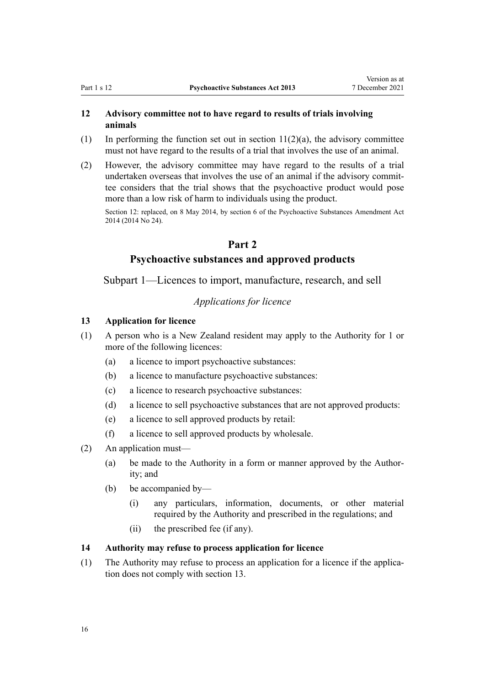# <span id="page-15-0"></span>**12 Advisory committee not to have regard to results of trials involving animals**

- (1) In performing the function set out in section  $11(2)(a)$ , the advisory committee must not have regard to the results of a trial that involves the use of an animal.
- (2) However, the advisory committee may have regard to the results of a trial undertaken overseas that involves the use of an animal if the advisory committee considers that the trial shows that the psychoactive product would pose more than a low risk of harm to individuals using the product.

Section 12: replaced, on 8 May 2014, by [section 6](http://legislation.govt.nz/pdflink.aspx?id=DLM6099317) of the Psychoactive Substances Amendment Act 2014 (2014 No 24).

# **Part 2**

# **Psychoactive substances and approved products**

Subpart 1—Licences to import, manufacture, research, and sell

# *Applications for licence*

#### **13 Application for licence**

- (1) A person who is a New Zealand resident may apply to the Authority for 1 or more of the following licences:
	- (a) a licence to import psychoactive substances:
	- (b) a licence to manufacture psychoactive substances:
	- (c) a licence to research psychoactive substances:
	- (d) a licence to sell psychoactive substances that are not approved products:
	- (e) a licence to sell approved products by retail:
	- (f) a licence to sell approved products by wholesale.
- (2) An application must—
	- (a) be made to the Authority in a form or manner approved by the Author‐ ity; and
	- (b) be accompanied by—
		- (i) any particulars, information, documents, or other material required by the Authority and prescribed in the regulations; and
		- (ii) the prescribed fee (if any).

## **14 Authority may refuse to process application for licence**

(1) The Authority may refuse to process an application for a licence if the application does not comply with section 13.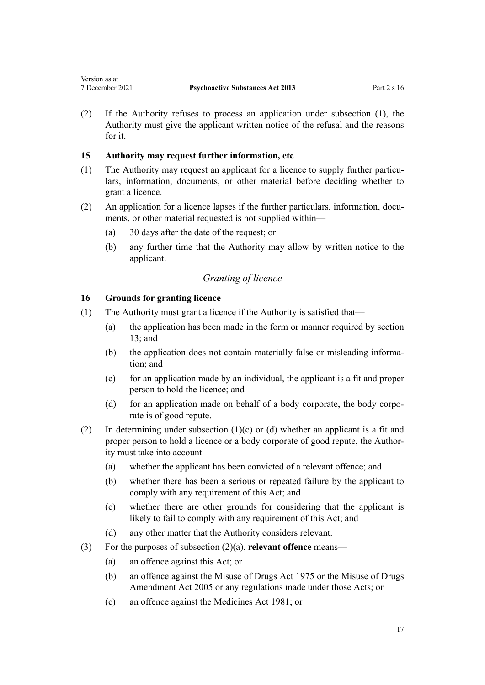<span id="page-16-0"></span>(2) If the Authority refuses to process an application under subsection (1), the Authority must give the applicant written notice of the refusal and the reasons for it.

# **15 Authority may request further information, etc**

- (1) The Authority may request an applicant for a licence to supply further particu‐ lars, information, documents, or other material before deciding whether to grant a licence.
- (2) An application for a licence lapses if the further particulars, information, documents, or other material requested is not supplied within—
	- (a) 30 days after the date of the request; or
	- (b) any further time that the Authority may allow by written notice to the applicant.

# *Granting of licence*

# **16 Grounds for granting licence**

- (1) The Authority must grant a licence if the Authority is satisfied that—
	- (a) the application has been made in the form or manner required by [section](#page-15-0) [13;](#page-15-0) and
	- (b) the application does not contain materially false or misleading information; and
	- (c) for an application made by an individual, the applicant is a fit and proper person to hold the licence; and
	- (d) for an application made on behalf of a body corporate, the body corporate is of good repute.
- (2) In determining under subsection  $(1)(c)$  or  $(d)$  whether an applicant is a fit and proper person to hold a licence or a body corporate of good repute, the Authority must take into account—
	- (a) whether the applicant has been convicted of a relevant offence; and
	- (b) whether there has been a serious or repeated failure by the applicant to comply with any requirement of this Act; and
	- (c) whether there are other grounds for considering that the applicant is likely to fail to comply with any requirement of this Act; and
	- (d) any other matter that the Authority considers relevant.
- (3) For the purposes of subsection (2)(a), **relevant offence** means—
	- (a) an offence against this Act; or
	- (b) an offence against the [Misuse of Drugs Act 1975](http://legislation.govt.nz/pdflink.aspx?id=DLM436100) or the [Misuse of Drugs](http://legislation.govt.nz/pdflink.aspx?id=DLM356223) [Amendment Act 2005](http://legislation.govt.nz/pdflink.aspx?id=DLM356223) or any regulations made under those Acts; or
	- (c) an offence against the [Medicines Act 1981;](http://legislation.govt.nz/pdflink.aspx?id=DLM53789) or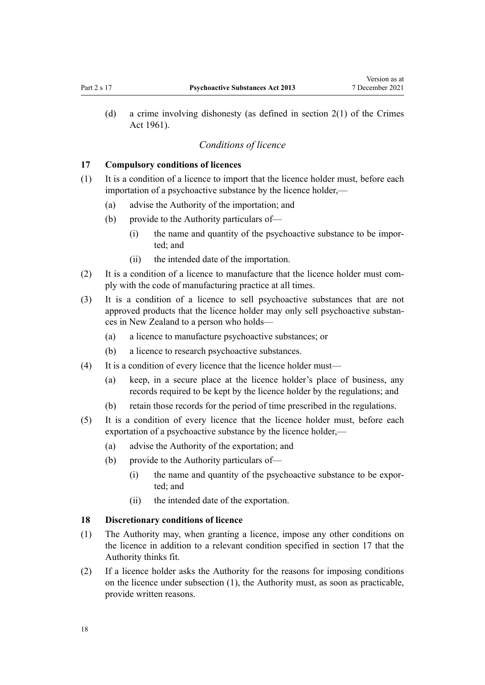<span id="page-17-0"></span>(d) a crime involving dishonesty (as defined in [section 2\(1\)](http://legislation.govt.nz/pdflink.aspx?id=DLM327394) of the Crimes Act 1961).

#### *Conditions of licence*

#### **17 Compulsory conditions of licences**

- (1) It is a condition of a licence to import that the licence holder must, before each importation of a psychoactive substance by the licence holder,—
	- (a) advise the Authority of the importation; and
	- (b) provide to the Authority particulars of—
		- (i) the name and quantity of the psychoactive substance to be imported; and
		- (ii) the intended date of the importation.
- $(2)$  It is a condition of a licence to manufacture that the licence holder must comply with the code of manufacturing practice at all times.
- (3) It is a condition of a licence to sell psychoactive substances that are not approved products that the licence holder may only sell psychoactive substan‐ ces in New Zealand to a person who holds—
	- (a) a licence to manufacture psychoactive substances; or
	- (b) a licence to research psychoactive substances.
- (4) It is a condition of every licence that the licence holder must—
	- (a) keep, in a secure place at the licence holder's place of business, any records required to be kept by the licence holder by the regulations; and
	- (b) retain those records for the period of time prescribed in the regulations.
- (5) It is a condition of every licence that the licence holder must, before each exportation of a psychoactive substance by the licence holder,—
	- (a) advise the Authority of the exportation; and
	- (b) provide to the Authority particulars of—
		- (i) the name and quantity of the psychoactive substance to be expor‐ ted; and
		- (ii) the intended date of the exportation.

#### **18 Discretionary conditions of licence**

- (1) The Authority may, when granting a licence, impose any other conditions on the licence in addition to a relevant condition specified in section 17 that the Authority thinks fit.
- (2) If a licence holder asks the Authority for the reasons for imposing conditions on the licence under subsection (1), the Authority must, as soon as practicable, provide written reasons.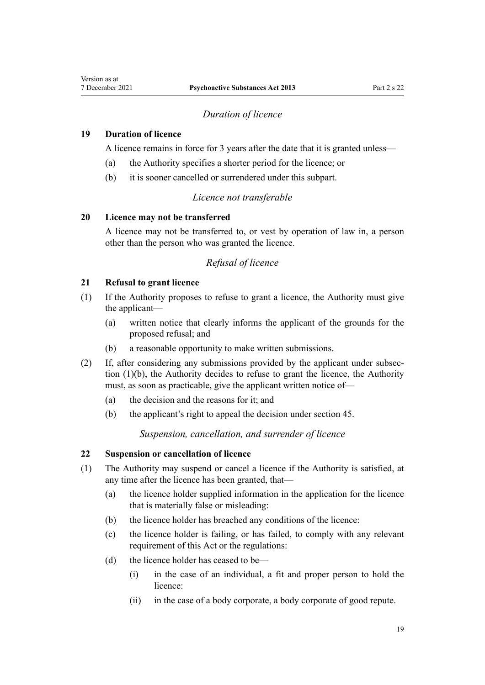# *Duration of licence*

### <span id="page-18-0"></span>**19 Duration of licence**

A licence remains in force for 3 years after the date that it is granted unless—

- (a) the Authority specifies a shorter period for the licence; or
- (b) it is sooner cancelled or surrendered under this subpart.

# *Licence not transferable*

#### **20 Licence may not be transferred**

A licence may not be transferred to, or vest by operation of law in, a person other than the person who was granted the licence.

# *Refusal of licence*

# **21 Refusal to grant licence**

- (1) If the Authority proposes to refuse to grant a licence, the Authority must give the applicant—
	- (a) written notice that clearly informs the applicant of the grounds for the proposed refusal; and
	- (b) a reasonable opportunity to make written submissions.
- (2) If, after considering any submissions provided by the applicant under subsec‐ tion (1)(b), the Authority decides to refuse to grant the licence, the Authority must, as soon as practicable, give the applicant written notice of—
	- (a) the decision and the reasons for it; and
	- (b) the applicant's right to appeal the decision under [section 45](#page-27-0).

*Suspension, cancellation, and surrender of licence*

# **22 Suspension or cancellation of licence**

- (1) The Authority may suspend or cancel a licence if the Authority is satisfied, at any time after the licence has been granted, that—
	- (a) the licence holder supplied information in the application for the licence that is materially false or misleading:
	- (b) the licence holder has breached any conditions of the licence:
	- (c) the licence holder is failing, or has failed, to comply with any relevant requirement of this Act or the regulations:
	- (d) the licence holder has ceased to be—
		- (i) in the case of an individual, a fit and proper person to hold the licence:
		- (ii) in the case of a body corporate, a body corporate of good repute.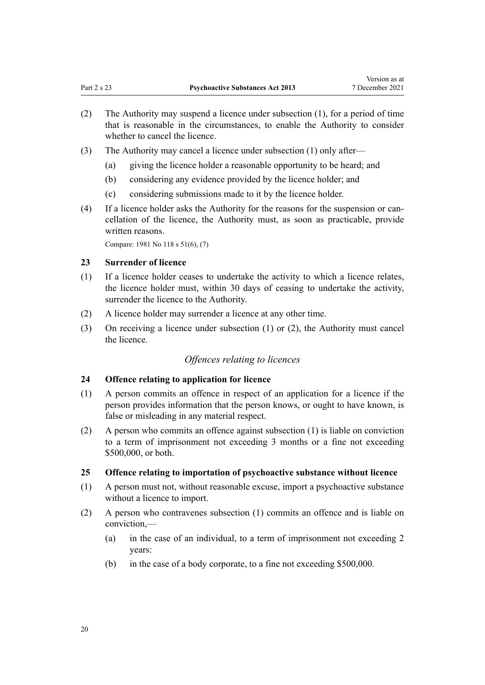- <span id="page-19-0"></span>(2) The Authority may suspend a licence under subsection (1), for a period of time that is reasonable in the circumstances, to enable the Authority to consider whether to cancel the licence.
- (3) The Authority may cancel a licence under subsection (1) only after—
	- (a) giving the licence holder a reasonable opportunity to be heard; and
	- (b) considering any evidence provided by the licence holder; and
	- (c) considering submissions made to it by the licence holder.
- (4) If a licence holder asks the Authority for the reasons for the suspension or can‐ cellation of the licence, the Authority must, as soon as practicable, provide written reasons.

Compare: 1981 No 118 [s 51\(6\), \(7\)](http://legislation.govt.nz/pdflink.aspx?id=DLM55499)

#### **23 Surrender of licence**

- (1) If a licence holder ceases to undertake the activity to which a licence relates, the licence holder must, within 30 days of ceasing to undertake the activity, surrender the licence to the Authority.
- (2) A licence holder may surrender a licence at any other time.
- (3) On receiving a licence under subsection (1) or (2), the Authority must cancel the licence.

#### *Offences relating to licences*

# **24 Offence relating to application for licence**

- (1) A person commits an offence in respect of an application for a licence if the person provides information that the person knows, or ought to have known, is false or misleading in any material respect.
- (2) A person who commits an offence against subsection (1) is liable on conviction to a term of imprisonment not exceeding 3 months or a fine not exceeding \$500,000, or both.

#### **25 Offence relating to importation of psychoactive substance without licence**

- (1) A person must not, without reasonable excuse, import a psychoactive substance without a licence to import.
- (2) A person who contravenes subsection (1) commits an offence and is liable on conviction,—
	- (a) in the case of an individual, to a term of imprisonment not exceeding 2 years:
	- (b) in the case of a body corporate, to a fine not exceeding \$500,000.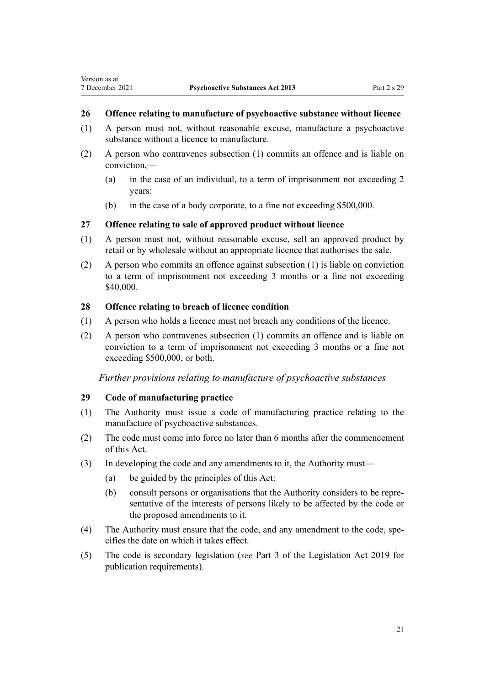# <span id="page-20-0"></span>**26 Offence relating to manufacture of psychoactive substance without licence**

- (1) A person must not, without reasonable excuse, manufacture a psychoactive substance without a licence to manufacture.
- (2) A person who contravenes subsection (1) commits an offence and is liable on conviction,—
	- (a) in the case of an individual, to a term of imprisonment not exceeding 2 years:
	- (b) in the case of a body corporate, to a fine not exceeding \$500,000.

# **27 Offence relating to sale of approved product without licence**

- (1) A person must not, without reasonable excuse, sell an approved product by retail or by wholesale without an appropriate licence that authorises the sale.
- (2) A person who commits an offence against subsection (1) is liable on conviction to a term of imprisonment not exceeding 3 months or a fine not exceeding \$40,000.

## **28 Offence relating to breach of licence condition**

- (1) A person who holds a licence must not breach any conditions of the licence.
- (2) A person who contravenes subsection (1) commits an offence and is liable on conviction to a term of imprisonment not exceeding 3 months or a fine not exceeding \$500,000, or both.

*Further provisions relating to manufacture of psychoactive substances*

## **29 Code of manufacturing practice**

- (1) The Authority must issue a code of manufacturing practice relating to the manufacture of psychoactive substances.
- (2) The code must come into force no later than 6 months after the commencement of this Act.
- (3) In developing the code and any amendments to it, the Authority must—
	- (a) be guided by the principles of this Act:
	- (b) consult persons or organisations that the Authority considers to be repre‐ sentative of the interests of persons likely to be affected by the code or the proposed amendments to it.
- (4) The Authority must ensure that the code, and any amendment to the code, spe‐ cifies the date on which it takes effect.
- (5) The code is secondary legislation (*see* [Part 3](http://legislation.govt.nz/pdflink.aspx?id=DLM7298343) of the Legislation Act 2019 for publication requirements).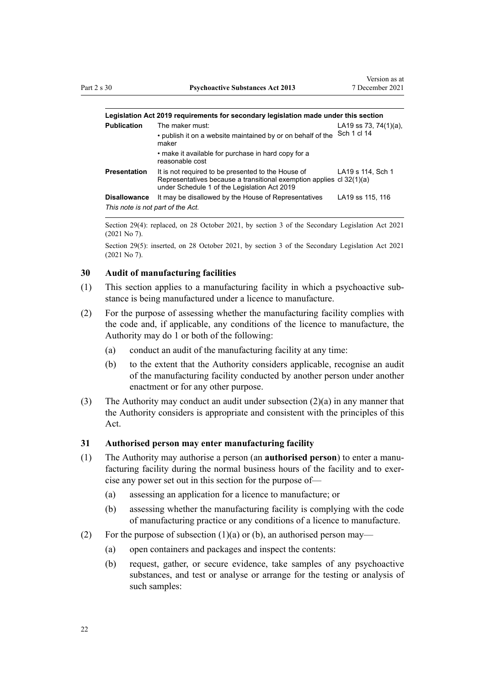<span id="page-21-0"></span>

| Legislation Act 2019 requirements for secondary legislation made under this section |  |  |  |
|-------------------------------------------------------------------------------------|--|--|--|
|-------------------------------------------------------------------------------------|--|--|--|

| <b>Publication</b>                | The maker must:                                                                                                                                                            | LA19 ss 73, 74(1)(a), |
|-----------------------------------|----------------------------------------------------------------------------------------------------------------------------------------------------------------------------|-----------------------|
|                                   | • publish it on a website maintained by or on behalf of the<br>maker                                                                                                       | Sch 1 cl 14           |
|                                   | • make it available for purchase in hard copy for a<br>reasonable cost                                                                                                     |                       |
| <b>Presentation</b>               | It is not required to be presented to the House of<br>Representatives because a transitional exemption applies cl 32(1)(a)<br>under Schedule 1 of the Legislation Act 2019 | LA19 s 114, Sch 1     |
| <b>Disallowance</b>               | It may be disallowed by the House of Representatives                                                                                                                       | LA19 ss 115, 116      |
| This note is not part of the Act. |                                                                                                                                                                            |                       |

Section 29(4): replaced, on 28 October 2021, by [section 3](http://legislation.govt.nz/pdflink.aspx?id=LMS268932) of the Secondary Legislation Act 2021 (2021 No 7).

Section 29(5): inserted, on 28 October 2021, by [section 3](http://legislation.govt.nz/pdflink.aspx?id=LMS268932) of the Secondary Legislation Act 2021 (2021 No 7).

#### **30 Audit of manufacturing facilities**

- (1) This section applies to a manufacturing facility in which a psychoactive sub‐ stance is being manufactured under a licence to manufacture.
- (2) For the purpose of assessing whether the manufacturing facility complies with the code and, if applicable, any conditions of the licence to manufacture, the Authority may do 1 or both of the following:
	- (a) conduct an audit of the manufacturing facility at any time:
	- (b) to the extent that the Authority considers applicable, recognise an audit of the manufacturing facility conducted by another person under another enactment or for any other purpose.
- (3) The Authority may conduct an audit under subsection (2)(a) in any manner that the Authority considers is appropriate and consistent with the principles of this Act.

#### **31 Authorised person may enter manufacturing facility**

- (1) The Authority may authorise a person (an **authorised person**) to enter a manu‐ facturing facility during the normal business hours of the facility and to exercise any power set out in this section for the purpose of—
	- (a) assessing an application for a licence to manufacture; or
	- (b) assessing whether the manufacturing facility is complying with the code of manufacturing practice or any conditions of a licence to manufacture.
- (2) For the purpose of subsection  $(1)(a)$  or  $(b)$ , an authorised person may—
	- (a) open containers and packages and inspect the contents:
	- (b) request, gather, or secure evidence, take samples of any psychoactive substances, and test or analyse or arrange for the testing or analysis of such samples: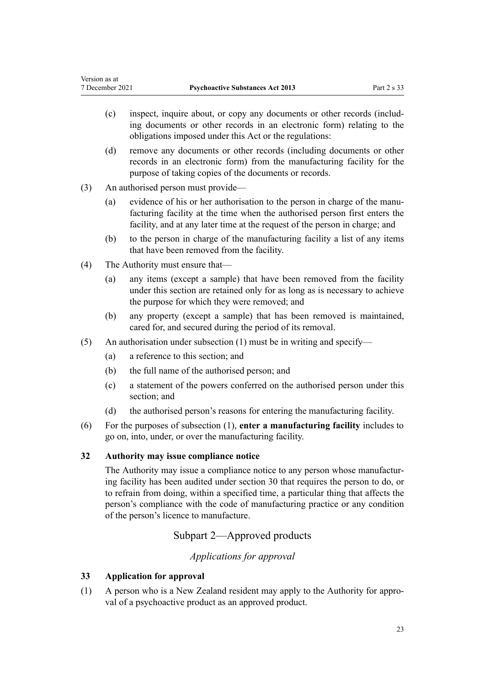- <span id="page-22-0"></span>(c) inspect, inquire about, or copy any documents or other records (includ‐ ing documents or other records in an electronic form) relating to the obligations imposed under this Act or the regulations:
- (d) remove any documents or other records (including documents or other records in an electronic form) from the manufacturing facility for the purpose of taking copies of the documents or records.
- (3) An authorised person must provide—
	- (a) evidence of his or her authorisation to the person in charge of the manufacturing facility at the time when the authorised person first enters the facility, and at any later time at the request of the person in charge; and
	- (b) to the person in charge of the manufacturing facility a list of any items that have been removed from the facility.
- (4) The Authority must ensure that—
	- (a) any items (except a sample) that have been removed from the facility under this section are retained only for as long as is necessary to achieve the purpose for which they were removed; and
	- (b) any property (except a sample) that has been removed is maintained, cared for, and secured during the period of its removal.
- (5) An authorisation under subsection  $(1)$  must be in writing and specify—
	- (a) a reference to this section; and
	- (b) the full name of the authorised person; and
	- (c) a statement of the powers conferred on the authorised person under this section; and
	- (d) the authorised person's reasons for entering the manufacturing facility.
- (6) For the purposes of subsection (1), **enter a manufacturing facility** includes to go on, into, under, or over the manufacturing facility.

# **32 Authority may issue compliance notice**

The Authority may issue a compliance notice to any person whose manufacturing facility has been audited under [section 30](#page-21-0) that requires the person to do, or to refrain from doing, within a specified time, a particular thing that affects the person's compliance with the code of manufacturing practice or any condition of the person's licence to manufacture.

# Subpart 2—Approved products

# *Applications for approval*

# **33 Application for approval**

(1) A person who is a New Zealand resident may apply to the Authority for appro‐ val of a psychoactive product as an approved product.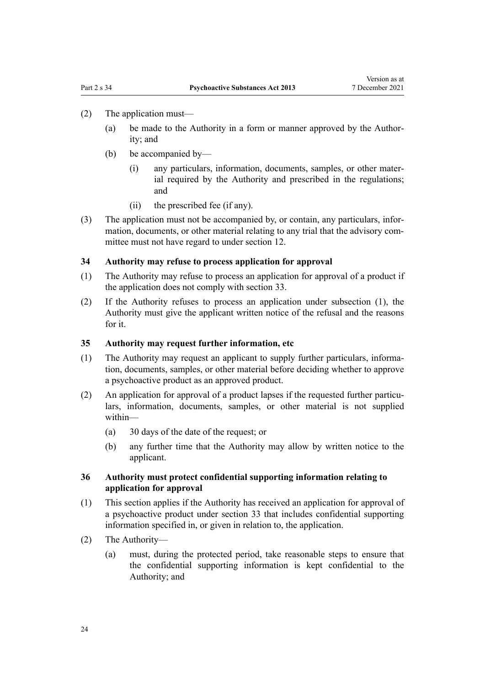#### <span id="page-23-0"></span>(2) The application must—

- (a) be made to the Authority in a form or manner approved by the Author‐ ity; and
- (b) be accompanied by—
	- (i) any particulars, information, documents, samples, or other mater‐ ial required by the Authority and prescribed in the regulations; and
	- (ii) the prescribed fee (if any).
- (3) The application must not be accompanied by, or contain, any particulars, infor‐ mation, documents, or other material relating to any trial that the advisory committee must not have regard to under [section 12](#page-15-0).

#### **34 Authority may refuse to process application for approval**

- (1) The Authority may refuse to process an application for approval of a product if the application does not comply with [section 33](#page-22-0).
- (2) If the Authority refuses to process an application under subsection (1), the Authority must give the applicant written notice of the refusal and the reasons for it.

#### **35 Authority may request further information, etc**

- (1) The Authority may request an applicant to supply further particulars, informa‐ tion, documents, samples, or other material before deciding whether to approve a psychoactive product as an approved product.
- (2) An application for approval of a product lapses if the requested further particulars, information, documents, samples, or other material is not supplied within—
	- (a) 30 days of the date of the request; or
	- (b) any further time that the Authority may allow by written notice to the applicant.

# **36 Authority must protect confidential supporting information relating to application for approval**

- (1) This section applies if the Authority has received an application for approval of a psychoactive product under [section 33](#page-22-0) that includes confidential supporting information specified in, or given in relation to, the application.
- (2) The Authority—
	- (a) must, during the protected period, take reasonable steps to ensure that the confidential supporting information is kept confidential to the Authority; and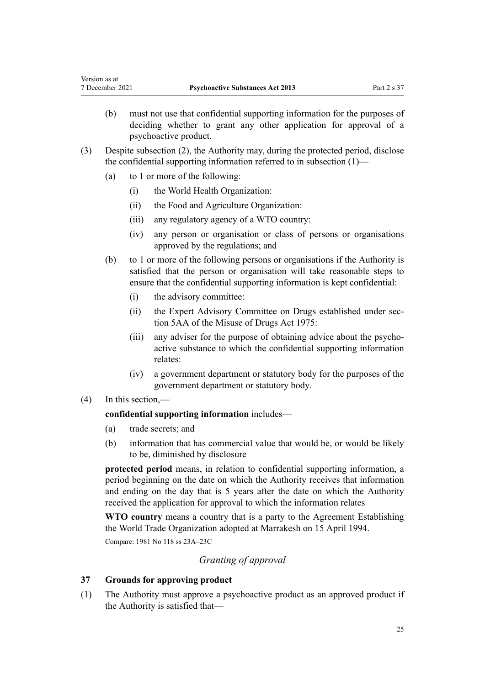- <span id="page-24-0"></span>(b) must not use that confidential supporting information for the purposes of deciding whether to grant any other application for approval of a psychoactive product.
- (3) Despite subsection (2), the Authority may, during the protected period, disclose the confidential supporting information referred to in subsection (1)—
	- (a) to 1 or more of the following:
		- (i) the World Health Organization:
		- (ii) the Food and Agriculture Organization:
		- (iii) any regulatory agency of a WTO country:
		- (iv) any person or organisation or class of persons or organisations approved by the regulations; and
	- (b) to 1 or more of the following persons or organisations if the Authority is satisfied that the person or organisation will take reasonable steps to ensure that the confidential supporting information is kept confidential:
		- (i) the advisory committee:
		- (ii) the Expert Advisory Committee on Drugs established under sec[tion 5AA](http://legislation.govt.nz/pdflink.aspx?id=DLM436213) of the Misuse of Drugs Act 1975:
		- (iii) any adviser for the purpose of obtaining advice about the psychoactive substance to which the confidential supporting information relates:
		- (iv) a government department or statutory body for the purposes of the government department or statutory body.

## (4) In this section,—

# **confidential supporting information** includes—

- (a) trade secrets; and
- (b) information that has commercial value that would be, or would be likely to be, diminished by disclosure

**protected period** means, in relation to confidential supporting information, a period beginning on the date on which the Authority receives that information and ending on the day that is 5 years after the date on which the Authority received the application for approval to which the information relates

**WTO country** means a country that is a party to the Agreement Establishing the World Trade Organization adopted at Marrakesh on 15 April 1994.

Compare: 1981 No 118 [ss 23A–23C](http://legislation.govt.nz/pdflink.aspx?id=DLM55065)

# *Granting of approval*

## **37 Grounds for approving product**

(1) The Authority must approve a psychoactive product as an approved product if the Authority is satisfied that—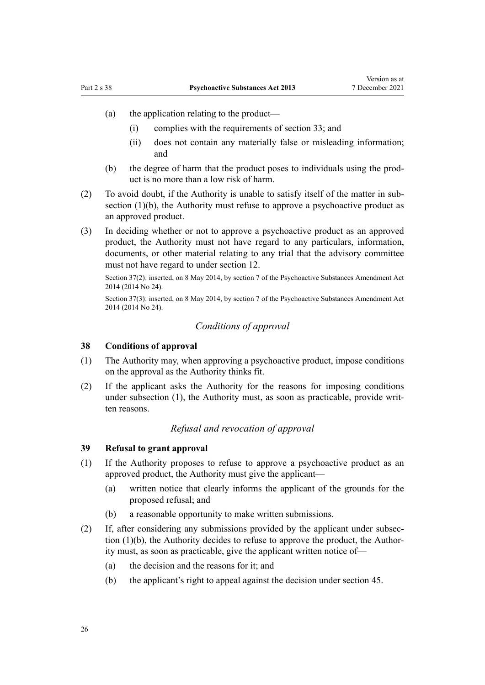- <span id="page-25-0"></span>(a) the application relating to the product—
	- (i) complies with the requirements of [section 33](#page-22-0); and
	- (ii) does not contain any materially false or misleading information; and
- (b) the degree of harm that the product poses to individuals using the product is no more than a low risk of harm.
- (2) To avoid doubt, if the Authority is unable to satisfy itself of the matter in sub‐ section  $(1)(b)$ , the Authority must refuse to approve a psychoactive product as an approved product.
- (3) In deciding whether or not to approve a psychoactive product as an approved product, the Authority must not have regard to any particulars, information, documents, or other material relating to any trial that the advisory committee must not have regard to under [section 12.](#page-15-0)

Section 37(2): inserted, on 8 May 2014, by [section 7](http://legislation.govt.nz/pdflink.aspx?id=DLM6099319) of the Psychoactive Substances Amendment Act 2014 (2014 No 24).

Section 37(3): inserted, on 8 May 2014, by [section 7](http://legislation.govt.nz/pdflink.aspx?id=DLM6099319) of the Psychoactive Substances Amendment Act 2014 (2014 No 24).

# *Conditions of approval*

#### **38 Conditions of approval**

- (1) The Authority may, when approving a psychoactive product, impose conditions on the approval as the Authority thinks fit.
- (2) If the applicant asks the Authority for the reasons for imposing conditions under subsection (1), the Authority must, as soon as practicable, provide written reasons.

#### *Refusal and revocation of approval*

#### **39 Refusal to grant approval**

- (1) If the Authority proposes to refuse to approve a psychoactive product as an approved product, the Authority must give the applicant—
	- (a) written notice that clearly informs the applicant of the grounds for the proposed refusal; and
	- (b) a reasonable opportunity to make written submissions.
- (2) If, after considering any submissions provided by the applicant under subsec‐ tion  $(1)(b)$ , the Authority decides to refuse to approve the product, the Authority must, as soon as practicable, give the applicant written notice of—
	- (a) the decision and the reasons for it; and
	- (b) the applicant's right to appeal against the decision under [section 45.](#page-27-0)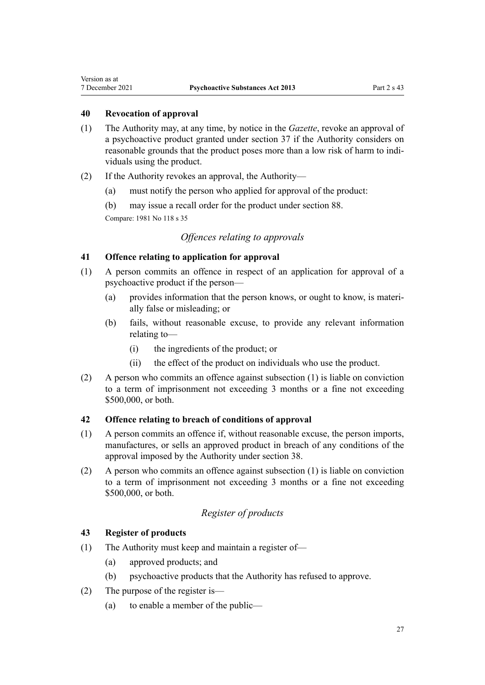#### **40 Revocation of approval**

<span id="page-26-0"></span>Version as at

- (1) The Authority may, at any time, by notice in the *Gazette*, revoke an approval of a psychoactive product granted under [section 37](#page-24-0) if the Authority considers on reasonable grounds that the product poses more than a low risk of harm to individuals using the product.
- (2) If the Authority revokes an approval, the Authority—
	- (a) must notify the person who applied for approval of the product:
	- (b) may issue a recall order for the product under [section 88.](#page-48-0)

Compare: 1981 No 118 [s 35](http://legislation.govt.nz/pdflink.aspx?id=DLM55443)

# *Offences relating to approvals*

# **41 Offence relating to application for approval**

- (1) A person commits an offence in respect of an application for approval of a psychoactive product if the person—
	- (a) provides information that the person knows, or ought to know, is materi‐ ally false or misleading; or
	- (b) fails, without reasonable excuse, to provide any relevant information relating to—
		- (i) the ingredients of the product; or
		- (ii) the effect of the product on individuals who use the product.
- (2) A person who commits an offence against subsection (1) is liable on conviction to a term of imprisonment not exceeding 3 months or a fine not exceeding \$500,000, or both.

## **42 Offence relating to breach of conditions of approval**

- (1) A person commits an offence if, without reasonable excuse, the person imports, manufactures, or sells an approved product in breach of any conditions of the approval imposed by the Authority under [section 38](#page-25-0).
- (2) A person who commits an offence against subsection (1) is liable on conviction to a term of imprisonment not exceeding 3 months or a fine not exceeding \$500,000, or both.

# *Register of products*

#### **43 Register of products**

- (1) The Authority must keep and maintain a register of—
	- (a) approved products; and
	- (b) psychoactive products that the Authority has refused to approve.
- (2) The purpose of the register is—
	- (a) to enable a member of the public—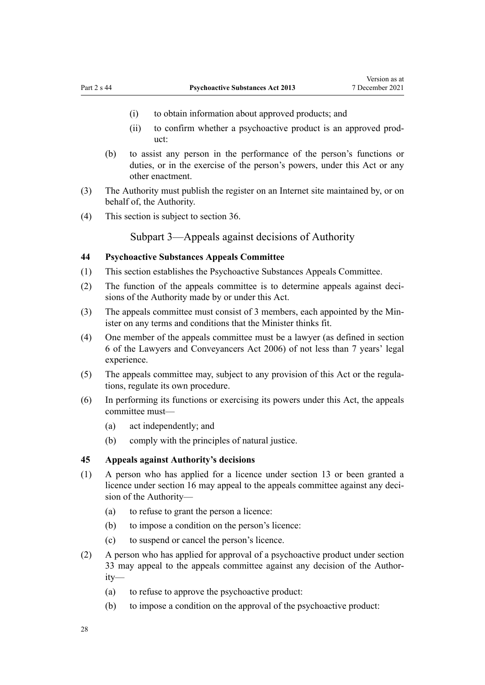- <span id="page-27-0"></span>(i) to obtain information about approved products; and
- (ii) to confirm whether a psychoactive product is an approved prod‐ uct:
- (b) to assist any person in the performance of the person's functions or duties, or in the exercise of the person's powers, under this Act or any other enactment.
- (3) The Authority must publish the register on an Internet site maintained by, or on behalf of, the Authority.
- (4) This section is subject to [section 36.](#page-23-0)

Subpart 3—Appeals against decisions of Authority

# **44 Psychoactive Substances Appeals Committee**

- (1) This section establishes the Psychoactive Substances Appeals Committee.
- (2) The function of the appeals committee is to determine appeals against decisions of the Authority made by or under this Act.
- (3) The appeals committee must consist of 3 members, each appointed by the Min‐ ister on any terms and conditions that the Minister thinks fit.
- (4) One member of the appeals committee must be a lawyer (as defined in [section](http://legislation.govt.nz/pdflink.aspx?id=DLM364948) [6](http://legislation.govt.nz/pdflink.aspx?id=DLM364948) of the Lawyers and Conveyancers Act 2006) of not less than 7 years' legal experience.
- (5) The appeals committee may, subject to any provision of this Act or the regula‐ tions, regulate its own procedure.
- (6) In performing its functions or exercising its powers under this Act, the appeals committee must—
	- (a) act independently; and
	- (b) comply with the principles of natural justice.

# **45 Appeals against Authority's decisions**

- (1) A person who has applied for a licence under [section 13](#page-15-0) or been granted a licence under [section 16](#page-16-0) may appeal to the appeals committee against any decision of the Authority—
	- (a) to refuse to grant the person a licence:
	- (b) to impose a condition on the person's licence:
	- (c) to suspend or cancel the person's licence.
- (2) A person who has applied for approval of a psychoactive product under [section](#page-22-0) [33](#page-22-0) may appeal to the appeals committee against any decision of the Author‐ ity—
	- (a) to refuse to approve the psychoactive product:
	- (b) to impose a condition on the approval of the psychoactive product: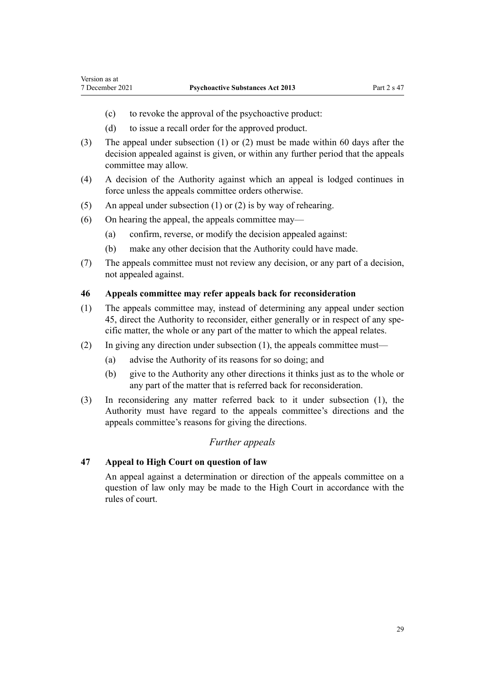<span id="page-28-0"></span>Version as at

- (c) to revoke the approval of the psychoactive product:
- (d) to issue a recall order for the approved product.
- (3) The appeal under subsection (1) or (2) must be made within 60 days after the decision appealed against is given, or within any further period that the appeals committee may allow.
- (4) A decision of the Authority against which an appeal is lodged continues in force unless the appeals committee orders otherwise.
- (5) An appeal under subsection (1) or (2) is by way of rehearing.
- (6) On hearing the appeal, the appeals committee may—
	- (a) confirm, reverse, or modify the decision appealed against:
	- (b) make any other decision that the Authority could have made.
- (7) The appeals committee must not review any decision, or any part of a decision, not appealed against.

#### **46 Appeals committee may refer appeals back for reconsideration**

- (1) The appeals committee may, instead of determining any appeal under [section](#page-27-0) [45,](#page-27-0) direct the Authority to reconsider, either generally or in respect of any specific matter, the whole or any part of the matter to which the appeal relates.
- (2) In giving any direction under subsection (1), the appeals committee must—
	- (a) advise the Authority of its reasons for so doing; and
	- (b) give to the Authority any other directions it thinks just as to the whole or any part of the matter that is referred back for reconsideration.
- (3) In reconsidering any matter referred back to it under subsection (1), the Authority must have regard to the appeals committee's directions and the appeals committee's reasons for giving the directions.

# *Further appeals*

# **47 Appeal to High Court on question of law**

An appeal against a determination or direction of the appeals committee on a question of law only may be made to the High Court in accordance with the rules of court.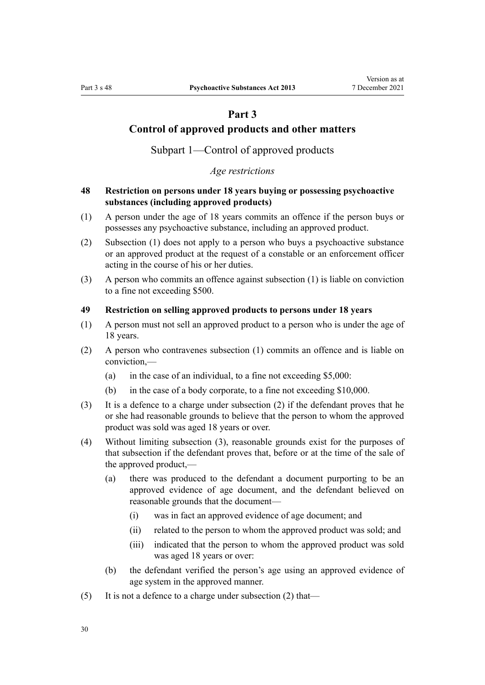# **Part 3**

# <span id="page-29-0"></span>**Control of approved products and other matters**

Subpart 1—Control of approved products

# *Age restrictions*

# **48 Restriction on persons under 18 years buying or possessing psychoactive substances (including approved products)**

- (1) A person under the age of 18 years commits an offence if the person buys or possesses any psychoactive substance, including an approved product.
- (2) Subsection (1) does not apply to a person who buys a psychoactive substance or an approved product at the request of a constable or an enforcement officer acting in the course of his or her duties.
- (3) A person who commits an offence against subsection (1) is liable on conviction to a fine not exceeding \$500.

# **49 Restriction on selling approved products to persons under 18 years**

- (1) A person must not sell an approved product to a person who is under the age of 18 years.
- (2) A person who contravenes subsection (1) commits an offence and is liable on conviction,—
	- (a) in the case of an individual, to a fine not exceeding  $$5,000$ :
	- (b) in the case of a body corporate, to a fine not exceeding \$10,000.
- (3) It is a defence to a charge under subsection (2) if the defendant proves that he or she had reasonable grounds to believe that the person to whom the approved product was sold was aged 18 years or over.
- (4) Without limiting subsection (3), reasonable grounds exist for the purposes of that subsection if the defendant proves that, before or at the time of the sale of the approved product,—
	- (a) there was produced to the defendant a document purporting to be an approved evidence of age document, and the defendant believed on reasonable grounds that the document—
		- (i) was in fact an approved evidence of age document; and
		- (ii) related to the person to whom the approved product was sold; and
		- (iii) indicated that the person to whom the approved product was sold was aged 18 years or over:
	- (b) the defendant verified the person's age using an approved evidence of age system in the approved manner.
- (5) It is not a defence to a charge under subsection  $(2)$  that—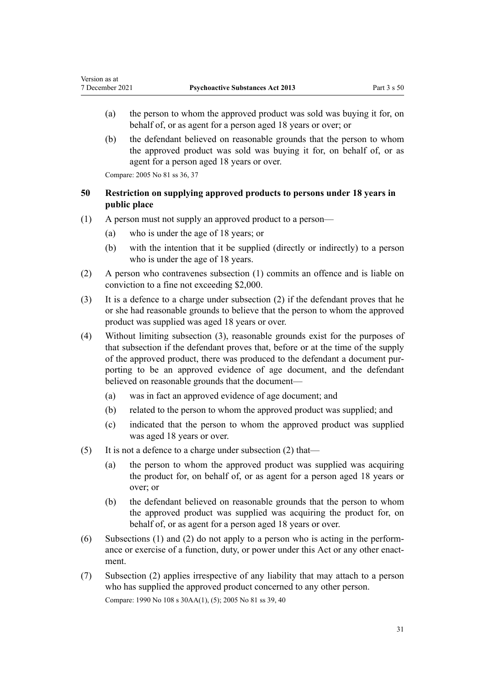- <span id="page-30-0"></span>(a) the person to whom the approved product was sold was buying it for, on behalf of, or as agent for a person aged 18 years or over; or
- (b) the defendant believed on reasonable grounds that the person to whom the approved product was sold was buying it for, on behalf of, or as agent for a person aged 18 years or over.

Compare: 2005 No 81 [ss 36,](http://legislation.govt.nz/pdflink.aspx?id=DLM356811) [37](http://legislation.govt.nz/pdflink.aspx?id=DLM356812)

# **50 Restriction on supplying approved products to persons under 18 years in public place**

- (1) A person must not supply an approved product to a person—
	- (a) who is under the age of 18 years; or
	- (b) with the intention that it be supplied (directly or indirectly) to a person who is under the age of 18 years.
- (2) A person who contravenes subsection (1) commits an offence and is liable on conviction to a fine not exceeding \$2,000.
- (3) It is a defence to a charge under subsection (2) if the defendant proves that he or she had reasonable grounds to believe that the person to whom the approved product was supplied was aged 18 years or over.
- (4) Without limiting subsection (3), reasonable grounds exist for the purposes of that subsection if the defendant proves that, before or at the time of the supply of the approved product, there was produced to the defendant a document pur‐ porting to be an approved evidence of age document, and the defendant believed on reasonable grounds that the document—
	- (a) was in fact an approved evidence of age document; and
	- (b) related to the person to whom the approved product was supplied; and
	- (c) indicated that the person to whom the approved product was supplied was aged 18 years or over.
- (5) It is not a defence to a charge under subsection  $(2)$  that—
	- (a) the person to whom the approved product was supplied was acquiring the product for, on behalf of, or as agent for a person aged 18 years or over; or
	- (b) the defendant believed on reasonable grounds that the person to whom the approved product was supplied was acquiring the product for, on behalf of, or as agent for a person aged 18 years or over.
- (6) Subsections (1) and (2) do not apply to a person who is acting in the perform‐ ance or exercise of a function, duty, or power under this Act or any other enactment.
- (7) Subsection (2) applies irrespective of any liability that may attach to a person who has supplied the approved product concerned to any other person. Compare: 1990 No 108 [s 30AA\(1\), \(5\)](http://legislation.govt.nz/pdflink.aspx?id=DLM224318); 2005 No 81 [ss 39](http://legislation.govt.nz/pdflink.aspx?id=DLM356814), [40](http://legislation.govt.nz/pdflink.aspx?id=DLM356815)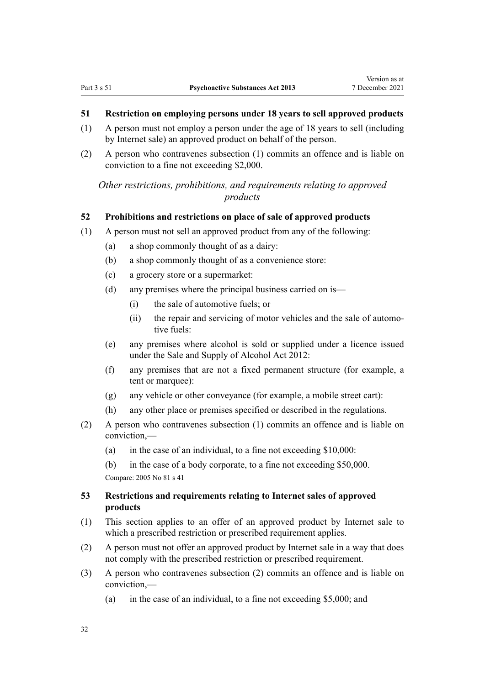# <span id="page-31-0"></span>**51 Restriction on employing persons under 18 years to sell approved products**

- (1) A person must not employ a person under the age of 18 years to sell (including by Internet sale) an approved product on behalf of the person.
- (2) A person who contravenes subsection (1) commits an offence and is liable on conviction to a fine not exceeding \$2,000.

*Other restrictions, prohibitions, and requirements relating to approved products*

#### **52 Prohibitions and restrictions on place of sale of approved products**

- (1) A person must not sell an approved product from any of the following:
	- (a) a shop commonly thought of as a dairy:
	- (b) a shop commonly thought of as a convenience store:
	- (c) a grocery store or a supermarket:
	- (d) any premises where the principal business carried on is—
		- (i) the sale of automotive fuels; or
		- (ii) the repair and servicing of motor vehicles and the sale of automotive fuels:
	- (e) any premises where alcohol is sold or supplied under a licence issued under the [Sale and Supply of Alcohol Act 2012:](http://legislation.govt.nz/pdflink.aspx?id=DLM3339302)
	- (f) any premises that are not a fixed permanent structure (for example, a tent or marquee):
	- (g) any vehicle or other conveyance (for example, a mobile street cart):
	- (h) any other place or premises specified or described in the regulations.
- (2) A person who contravenes subsection (1) commits an offence and is liable on conviction,—
	- (a) in the case of an individual, to a fine not exceeding \$10,000:
	- (b) in the case of a body corporate, to a fine not exceeding \$50,000.

Compare: 2005 No 81 [s 41](http://legislation.govt.nz/pdflink.aspx?id=DLM356816)

# **53 Restrictions and requirements relating to Internet sales of approved products**

- (1) This section applies to an offer of an approved product by Internet sale to which a prescribed restriction or prescribed requirement applies.
- (2) A person must not offer an approved product by Internet sale in a way that does not comply with the prescribed restriction or prescribed requirement.
- (3) A person who contravenes subsection (2) commits an offence and is liable on conviction,—
	- (a) in the case of an individual, to a fine not exceeding \$5,000; and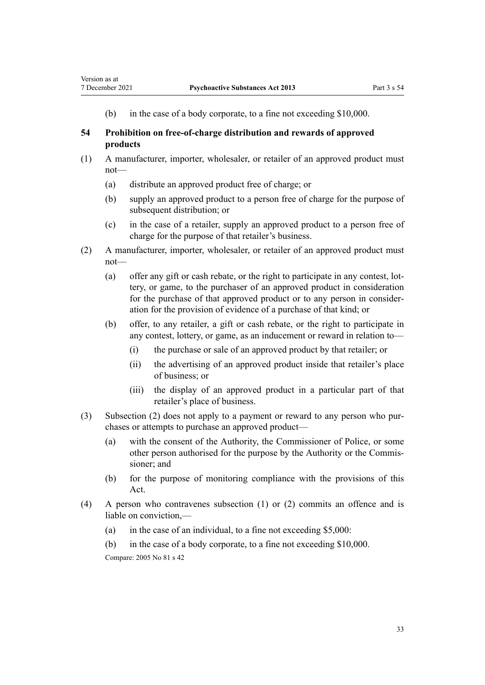<span id="page-32-0"></span>(b) in the case of a body corporate, to a fine not exceeding \$10,000.

# **54 Prohibition on free-of-charge distribution and rewards of approved products**

- (1) A manufacturer, importer, wholesaler, or retailer of an approved product must not—
	- (a) distribute an approved product free of charge; or
	- (b) supply an approved product to a person free of charge for the purpose of subsequent distribution; or
	- (c) in the case of a retailer, supply an approved product to a person free of charge for the purpose of that retailer's business.
- (2) A manufacturer, importer, wholesaler, or retailer of an approved product must not—
	- (a) offer any gift or cash rebate, or the right to participate in any contest, lot‐ tery, or game, to the purchaser of an approved product in consideration for the purchase of that approved product or to any person in consider‐ ation for the provision of evidence of a purchase of that kind; or
	- (b) offer, to any retailer, a gift or cash rebate, or the right to participate in any contest, lottery, or game, as an inducement or reward in relation to—
		- (i) the purchase or sale of an approved product by that retailer; or
		- (ii) the advertising of an approved product inside that retailer's place of business; or
		- (iii) the display of an approved product in a particular part of that retailer's place of business.
- (3) Subsection (2) does not apply to a payment or reward to any person who pur‐ chases or attempts to purchase an approved product—
	- (a) with the consent of the Authority, the Commissioner of Police, or some other person authorised for the purpose by the Authority or the Commis‐ sioner; and
	- (b) for the purpose of monitoring compliance with the provisions of this Act.
- (4) A person who contravenes subsection (1) or (2) commits an offence and is liable on conviction,—
	- (a) in the case of an individual, to a fine not exceeding  $$5,000$ :
	- (b) in the case of a body corporate, to a fine not exceeding \$10,000. Compare: 2005 No 81 [s 42](http://legislation.govt.nz/pdflink.aspx?id=DLM356817)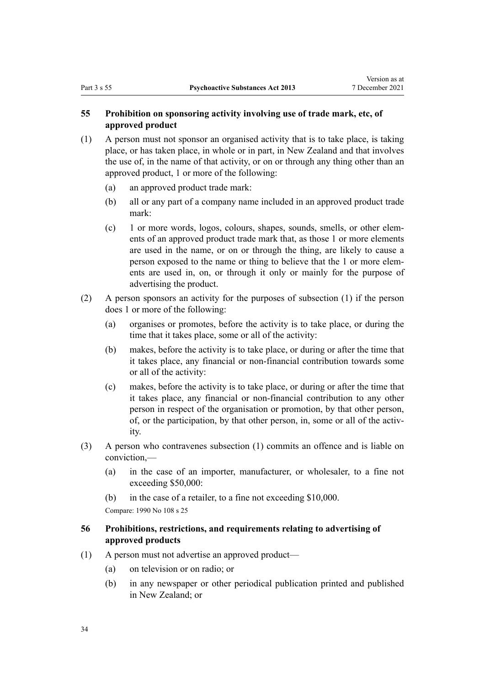# <span id="page-33-0"></span>**55 Prohibition on sponsoring activity involving use of trade mark, etc, of approved product**

- (1) A person must not sponsor an organised activity that is to take place, is taking place, or has taken place, in whole or in part, in New Zealand and that involves the use of, in the name of that activity, or on or through any thing other than an approved product, 1 or more of the following:
	- (a) an approved product trade mark:
	- (b) all or any part of a company name included in an approved product trade mark:
	- (c) 1 or more words, logos, colours, shapes, sounds, smells, or other elem‐ ents of an approved product trade mark that, as those 1 or more elements are used in the name, or on or through the thing, are likely to cause a person exposed to the name or thing to believe that the 1 or more elem‐ ents are used in, on, or through it only or mainly for the purpose of advertising the product.
- (2) A person sponsors an activity for the purposes of subsection (1) if the person does 1 or more of the following:
	- (a) organises or promotes, before the activity is to take place, or during the time that it takes place, some or all of the activity:
	- (b) makes, before the activity is to take place, or during or after the time that it takes place, any financial or non-financial contribution towards some or all of the activity:
	- (c) makes, before the activity is to take place, or during or after the time that it takes place, any financial or non-financial contribution to any other person in respect of the organisation or promotion, by that other person, of, or the participation, by that other person, in, some or all of the activity.
- (3) A person who contravenes subsection (1) commits an offence and is liable on conviction,—
	- (a) in the case of an importer, manufacturer, or wholesaler, to a fine not exceeding \$50,000:
	- (b) in the case of a retailer, to a fine not exceeding \$10,000.

Compare: 1990 No 108 [s 25](http://legislation.govt.nz/pdflink.aspx?id=DLM223999)

# **56 Prohibitions, restrictions, and requirements relating to advertising of approved products**

- (1) A person must not advertise an approved product—
	- (a) on television or on radio; or
	- (b) in any newspaper or other periodical publication printed and published in New Zealand; or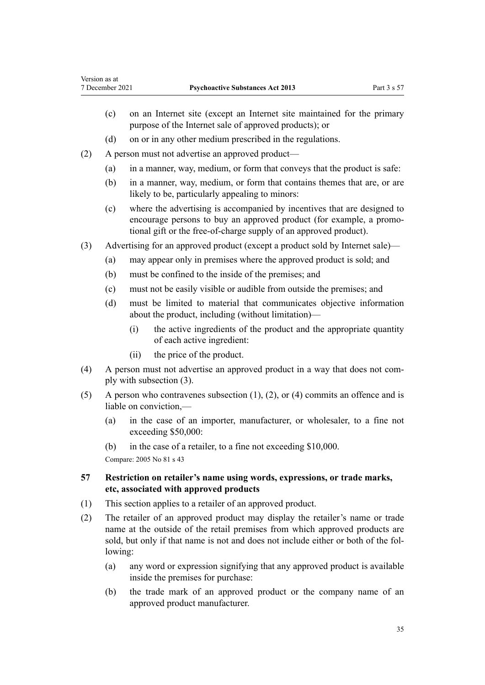- <span id="page-34-0"></span>(c) on an Internet site (except an Internet site maintained for the primary purpose of the Internet sale of approved products); or
- (d) on or in any other medium prescribed in the regulations.
- (2) A person must not advertise an approved product—
	- (a) in a manner, way, medium, or form that conveys that the product is safe:
	- (b) in a manner, way, medium, or form that contains themes that are, or are likely to be, particularly appealing to minors:
	- (c) where the advertising is accompanied by incentives that are designed to encourage persons to buy an approved product (for example, a promo‐ tional gift or the free-of-charge supply of an approved product).
- (3) Advertising for an approved product (except a product sold by Internet sale)—
	- (a) may appear only in premises where the approved product is sold; and
	- (b) must be confined to the inside of the premises; and
	- (c) must not be easily visible or audible from outside the premises; and
	- (d) must be limited to material that communicates objective information about the product, including (without limitation)—
		- (i) the active ingredients of the product and the appropriate quantity of each active ingredient:
		- (ii) the price of the product.
- (4) A person must not advertise an approved product in a way that does not com‐ ply with subsection (3).
- (5) A person who contravenes subsection  $(1)$ ,  $(2)$ , or  $(4)$  commits an offence and is liable on conviction,—
	- (a) in the case of an importer, manufacturer, or wholesaler, to a fine not exceeding \$50,000:
	- (b) in the case of a retailer, to a fine not exceeding \$10,000.

Compare: 2005 No 81 [s 43](http://legislation.govt.nz/pdflink.aspx?id=DLM356819)

# **57 Restriction on retailer's name using words, expressions, or trade marks, etc, associated with approved products**

- (1) This section applies to a retailer of an approved product.
- (2) The retailer of an approved product may display the retailer's name or trade name at the outside of the retail premises from which approved products are sold, but only if that name is not and does not include either or both of the following:
	- (a) any word or expression signifying that any approved product is available inside the premises for purchase:
	- (b) the trade mark of an approved product or the company name of an approved product manufacturer.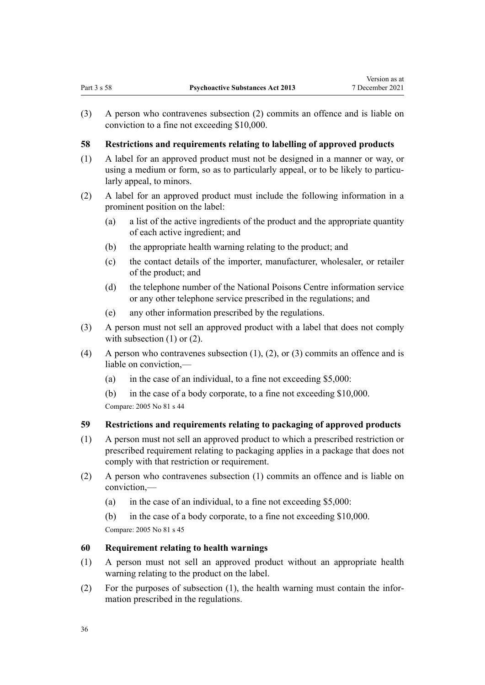<span id="page-35-0"></span>(3) A person who contravenes subsection (2) commits an offence and is liable on conviction to a fine not exceeding \$10,000.

# **58 Restrictions and requirements relating to labelling of approved products**

- (1) A label for an approved product must not be designed in a manner or way, or using a medium or form, so as to particularly appeal, or to be likely to particularly appeal, to minors.
- (2) A label for an approved product must include the following information in a prominent position on the label:
	- (a) a list of the active ingredients of the product and the appropriate quantity of each active ingredient; and
	- (b) the appropriate health warning relating to the product; and
	- (c) the contact details of the importer, manufacturer, wholesaler, or retailer of the product; and
	- (d) the telephone number of the National Poisons Centre information service or any other telephone service prescribed in the regulations; and
	- (e) any other information prescribed by the regulations.
- (3) A person must not sell an approved product with a label that does not comply with subsection (1) or (2).
- (4) A person who contravenes subsection  $(1)$ ,  $(2)$ , or  $(3)$  commits an offence and is liable on conviction,—
	- (a) in the case of an individual, to a fine not exceeding \$5,000:
	- (b) in the case of a body corporate, to a fine not exceeding \$10,000.

Compare: 2005 No 81 [s 44](http://legislation.govt.nz/pdflink.aspx?id=DLM356821)

# **59 Restrictions and requirements relating to packaging of approved products**

- (1) A person must not sell an approved product to which a prescribed restriction or prescribed requirement relating to packaging applies in a package that does not comply with that restriction or requirement.
- (2) A person who contravenes subsection (1) commits an offence and is liable on conviction,—
	- (a) in the case of an individual, to a fine not exceeding \$5,000:
	- (b) in the case of a body corporate, to a fine not exceeding \$10,000. Compare: 2005 No 81 [s 45](http://legislation.govt.nz/pdflink.aspx?id=DLM356823)

# **60 Requirement relating to health warnings**

- (1) A person must not sell an approved product without an appropriate health warning relating to the product on the label.
- (2) For the purposes of subsection (1), the health warning must contain the infor‐ mation prescribed in the regulations.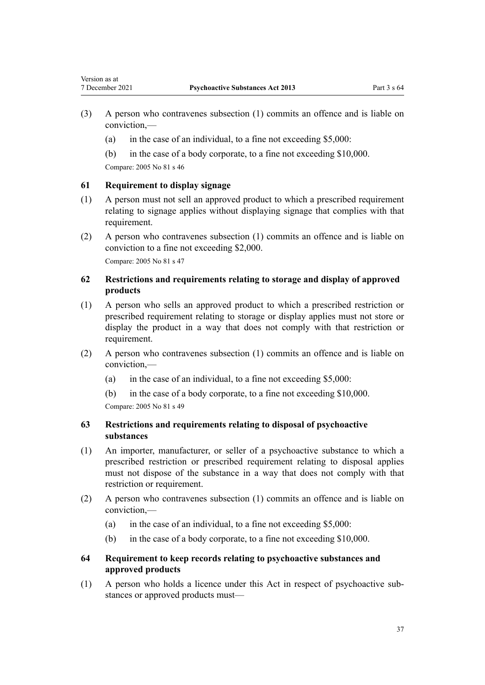- (3) A person who contravenes subsection (1) commits an offence and is liable on conviction,—
	- (a) in the case of an individual, to a fine not exceeding \$5,000:
	- (b) in the case of a body corporate, to a fine not exceeding \$10,000.

Compare: 2005 No 81 [s 46](http://legislation.govt.nz/pdflink.aspx?id=DLM356825)

## **61 Requirement to display signage**

- (1) A person must not sell an approved product to which a prescribed requirement relating to signage applies without displaying signage that complies with that requirement.
- (2) A person who contravenes subsection (1) commits an offence and is liable on conviction to a fine not exceeding \$2,000.

Compare: 2005 No 81 [s 47](http://legislation.govt.nz/pdflink.aspx?id=DLM356827)

# **62 Restrictions and requirements relating to storage and display of approved products**

- (1) A person who sells an approved product to which a prescribed restriction or prescribed requirement relating to storage or display applies must not store or display the product in a way that does not comply with that restriction or requirement.
- (2) A person who contravenes subsection (1) commits an offence and is liable on conviction,—
	- (a) in the case of an individual, to a fine not exceeding  $$5,000$ :
	- (b) in the case of a body corporate, to a fine not exceeding \$10,000.

Compare: 2005 No 81 [s 49](http://legislation.govt.nz/pdflink.aspx?id=DLM356831)

# **63 Restrictions and requirements relating to disposal of psychoactive substances**

- (1) An importer, manufacturer, or seller of a psychoactive substance to which a prescribed restriction or prescribed requirement relating to disposal applies must not dispose of the substance in a way that does not comply with that restriction or requirement.
- (2) A person who contravenes subsection (1) commits an offence and is liable on conviction,—
	- (a) in the case of an individual, to a fine not exceeding  $$5,000$ :
	- (b) in the case of a body corporate, to a fine not exceeding \$10,000.

# **64 Requirement to keep records relating to psychoactive substances and approved products**

(1) A person who holds a licence under this Act in respect of psychoactive sub‐ stances or approved products must—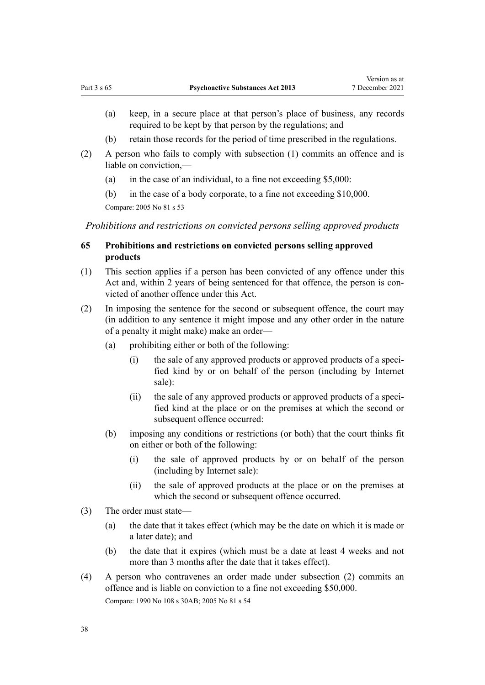- (a) keep, in a secure place at that person's place of business, any records required to be kept by that person by the regulations; and
- (b) retain those records for the period of time prescribed in the regulations.
- (2) A person who fails to comply with subsection (1) commits an offence and is liable on conviction,—
	- (a) in the case of an individual, to a fine not exceeding \$5,000:
	- (b) in the case of a body corporate, to a fine not exceeding \$10,000.

Compare: 2005 No 81 [s 53](http://legislation.govt.nz/pdflink.aspx?id=DLM356839)

*Prohibitions and restrictions on convicted persons selling approved products*

# **65 Prohibitions and restrictions on convicted persons selling approved products**

- (1) This section applies if a person has been convicted of any offence under this Act and, within 2 years of being sentenced for that offence, the person is convicted of another offence under this Act.
- (2) In imposing the sentence for the second or subsequent offence, the court may (in addition to any sentence it might impose and any other order in the nature of a penalty it might make) make an order—
	- (a) prohibiting either or both of the following:
		- (i) the sale of any approved products or approved products of a specified kind by or on behalf of the person (including by Internet sale):
		- (ii) the sale of any approved products or approved products of a specified kind at the place or on the premises at which the second or subsequent offence occurred:
	- (b) imposing any conditions or restrictions (or both) that the court thinks fit on either or both of the following:
		- (i) the sale of approved products by or on behalf of the person (including by Internet sale):
		- (ii) the sale of approved products at the place or on the premises at which the second or subsequent offence occurred.
- (3) The order must state—
	- (a) the date that it takes effect (which may be the date on which it is made or a later date); and
	- (b) the date that it expires (which must be a date at least 4 weeks and not more than 3 months after the date that it takes effect).
- (4) A person who contravenes an order made under subsection (2) commits an offence and is liable on conviction to a fine not exceeding \$50,000. Compare: 1990 No 108 [s 30AB](http://legislation.govt.nz/pdflink.aspx?id=DLM224320); 2005 No 81 [s 54](http://legislation.govt.nz/pdflink.aspx?id=DLM356841)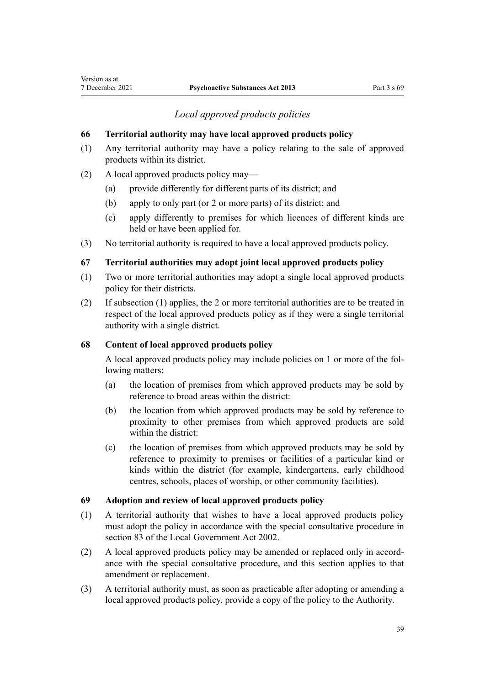# *Local approved products policies*

## **66 Territorial authority may have local approved products policy**

- (1) Any territorial authority may have a policy relating to the sale of approved products within its district.
- (2) A local approved products policy may—

Version as at

- (a) provide differently for different parts of its district; and
- (b) apply to only part (or 2 or more parts) of its district; and
- (c) apply differently to premises for which licences of different kinds are held or have been applied for.
- (3) No territorial authority is required to have a local approved products policy.

## **67 Territorial authorities may adopt joint local approved products policy**

- (1) Two or more territorial authorities may adopt a single local approved products policy for their districts.
- (2) If subsection (1) applies, the 2 or more territorial authorities are to be treated in respect of the local approved products policy as if they were a single territorial authority with a single district.

## **68 Content of local approved products policy**

A local approved products policy may include policies on 1 or more of the fol‐ lowing matters:

- (a) the location of premises from which approved products may be sold by reference to broad areas within the district:
- (b) the location from which approved products may be sold by reference to proximity to other premises from which approved products are sold within the district:
- (c) the location of premises from which approved products may be sold by reference to proximity to premises or facilities of a particular kind or kinds within the district (for example, kindergartens, early childhood centres, schools, places of worship, or other community facilities).

## **69 Adoption and review of local approved products policy**

- (1) A territorial authority that wishes to have a local approved products policy must adopt the policy in accordance with the special consultative procedure in [section 83](http://legislation.govt.nz/pdflink.aspx?id=DLM172328) of the Local Government Act 2002.
- (2) A local approved products policy may be amended or replaced only in accord‐ ance with the special consultative procedure, and this section applies to that amendment or replacement.
- (3) A territorial authority must, as soon as practicable after adopting or amending a local approved products policy, provide a copy of the policy to the Authority.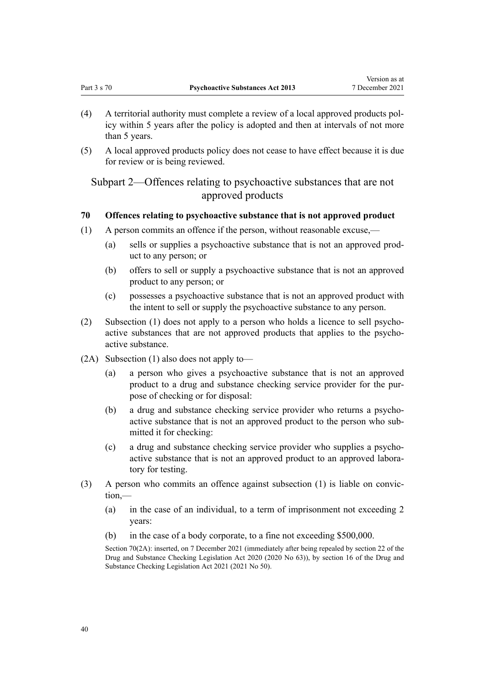Version as at

- <span id="page-39-0"></span>(4) A territorial authority must complete a review of a local approved products pol‐ icy within 5 years after the policy is adopted and then at intervals of not more than 5 years.
- (5) A local approved products policy does not cease to have effect because it is due for review or is being reviewed.

Subpart 2—Offences relating to psychoactive substances that are not approved products

## **70 Offences relating to psychoactive substance that is not approved product**

- (1) A person commits an offence if the person, without reasonable excuse,—
	- (a) sells or supplies a psychoactive substance that is not an approved prod‐ uct to any person; or
	- (b) offers to sell or supply a psychoactive substance that is not an approved product to any person; or
	- (c) possesses a psychoactive substance that is not an approved product with the intent to sell or supply the psychoactive substance to any person.
- (2) Subsection (1) does not apply to a person who holds a licence to sell psycho‐ active substances that are not approved products that applies to the psychoactive substance.
- (2A) Subsection (1) also does not apply to—
	- (a) a person who gives a psychoactive substance that is not an approved product to a drug and substance checking service provider for the purpose of checking or for disposal:
	- (b) a drug and substance checking service provider who returns a psychoactive substance that is not an approved product to the person who sub‐ mitted it for checking:
	- (c) a drug and substance checking service provider who supplies a psycho‐ active substance that is not an approved product to an approved labora‐ tory for testing.
- $(3)$  A person who commits an offence against subsection  $(1)$  is liable on conviction,—
	- (a) in the case of an individual, to a term of imprisonment not exceeding 2 years:
	- (b) in the case of a body corporate, to a fine not exceeding \$500,000.

Section 70(2A): inserted, on 7 December 2021 (immediately after being repealed by [section 22](http://legislation.govt.nz/pdflink.aspx?id=LMS430982) of the Drug and Substance Checking Legislation Act 2020 (2020 No 63)), by [section 16](http://legislation.govt.nz/pdflink.aspx?id=LMS577121) of the Drug and Substance Checking Legislation Act 2021 (2021 No 50).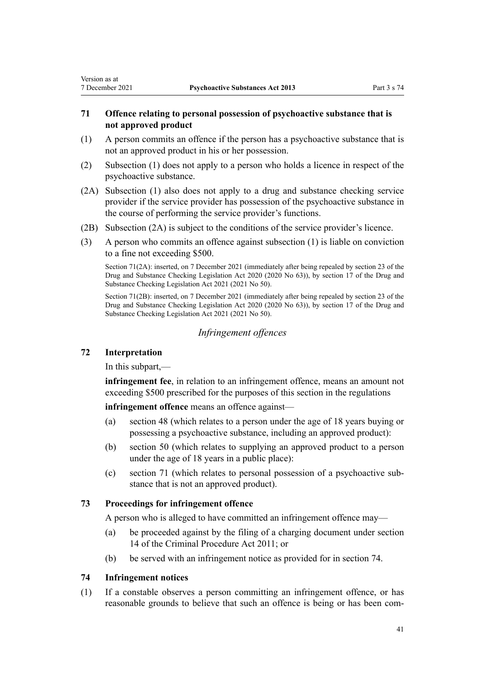# <span id="page-40-0"></span>**71 Offence relating to personal possession of psychoactive substance that is not approved product**

- (1) A person commits an offence if the person has a psychoactive substance that is not an approved product in his or her possession.
- (2) Subsection (1) does not apply to a person who holds a licence in respect of the psychoactive substance.
- (2A) Subsection (1) also does not apply to a drug and substance checking service provider if the service provider has possession of the psychoactive substance in the course of performing the service provider's functions.
- (2B) Subsection (2A) is subject to the conditions of the service provider's licence.
- (3) A person who commits an offence against subsection (1) is liable on conviction to a fine not exceeding \$500.

Section 71(2A): inserted, on 7 December 2021 (immediately after being repealed by [section 23](http://legislation.govt.nz/pdflink.aspx?id=LMS430983) of the Drug and Substance Checking Legislation Act 2020 (2020 No 63)), by [section 17](http://legislation.govt.nz/pdflink.aspx?id=LMS577122) of the Drug and Substance Checking Legislation Act 2021 (2021 No 50).

Section 71(2B): inserted, on 7 December 2021 (immediately after being repealed by [section 23](http://legislation.govt.nz/pdflink.aspx?id=LMS430983) of the Drug and Substance Checking Legislation Act 2020 (2020 No 63)), by [section 17](http://legislation.govt.nz/pdflink.aspx?id=LMS577122) of the Drug and Substance Checking Legislation Act 2021 (2021 No 50).

# *Infringement offences*

## **72 Interpretation**

In this subpart,—

**infringement fee**, in relation to an infringement offence, means an amount not exceeding \$500 prescribed for the purposes of this section in the regulations

**infringement offence** means an offence against—

- (a) [section 48](#page-29-0) (which relates to a person under the age of 18 years buying or possessing a psychoactive substance, including an approved product):
- (b) [section 50](#page-30-0) (which relates to supplying an approved product to a person under the age of 18 years in a public place):
- (c) section 71 (which relates to personal possession of a psychoactive sub‐ stance that is not an approved product).

# **73 Proceedings for infringement offence**

A person who is alleged to have committed an infringement offence may—

- (a) be proceeded against by the filing of a charging document under [section](http://legislation.govt.nz/pdflink.aspx?id=DLM3360057) [14](http://legislation.govt.nz/pdflink.aspx?id=DLM3360057) of the Criminal Procedure Act 2011; or
- (b) be served with an infringement notice as provided for in section 74.

## **74 Infringement notices**

(1) If a constable observes a person committing an infringement offence, or has reasonable grounds to believe that such an offence is being or has been com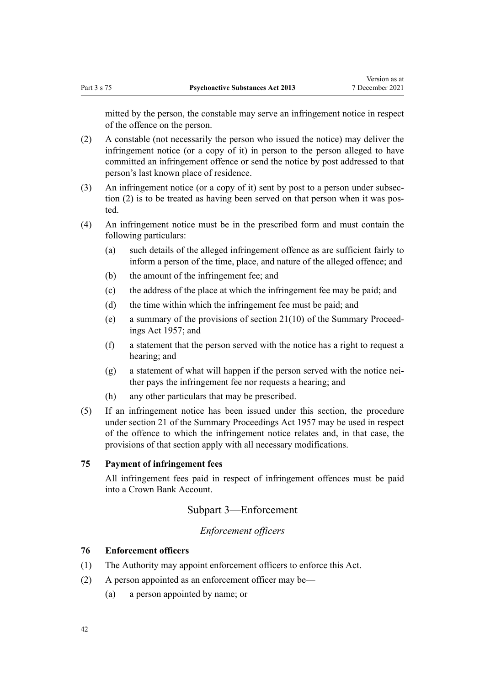mitted by the person, the constable may serve an infringement notice in respect of the offence on the person.

- (2) A constable (not necessarily the person who issued the notice) may deliver the infringement notice (or a copy of it) in person to the person alleged to have committed an infringement offence or send the notice by post addressed to that person's last known place of residence.
- (3) An infringement notice (or a copy of it) sent by post to a person under subsec‐ tion (2) is to be treated as having been served on that person when it was posted.
- (4) An infringement notice must be in the prescribed form and must contain the following particulars:
	- (a) such details of the alleged infringement offence as are sufficient fairly to inform a person of the time, place, and nature of the alleged offence; and
	- (b) the amount of the infringement fee; and
	- (c) the address of the place at which the infringement fee may be paid; and
	- (d) the time within which the infringement fee must be paid; and
	- (e) a summary of the provisions of section  $21(10)$  of the Summary Proceedings Act 1957; and
	- (f) a statement that the person served with the notice has a right to request a hearing; and
	- $(g)$  a statement of what will happen if the person served with the notice neither pays the infringement fee nor requests a hearing; and
	- (h) any other particulars that may be prescribed.
- (5) If an infringement notice has been issued under this section, the procedure under [section 21](http://legislation.govt.nz/pdflink.aspx?id=DLM311346) of the Summary Proceedings Act 1957 may be used in respect of the offence to which the infringement notice relates and, in that case, the provisions of that section apply with all necessary modifications.

## **75 Payment of infringement fees**

All infringement fees paid in respect of infringement offences must be paid into a Crown Bank Account.

# Subpart 3—Enforcement

# *Enforcement officers*

## **76 Enforcement officers**

- (1) The Authority may appoint enforcement officers to enforce this Act.
- (2) A person appointed as an enforcement officer may be—
	- (a) a person appointed by name; or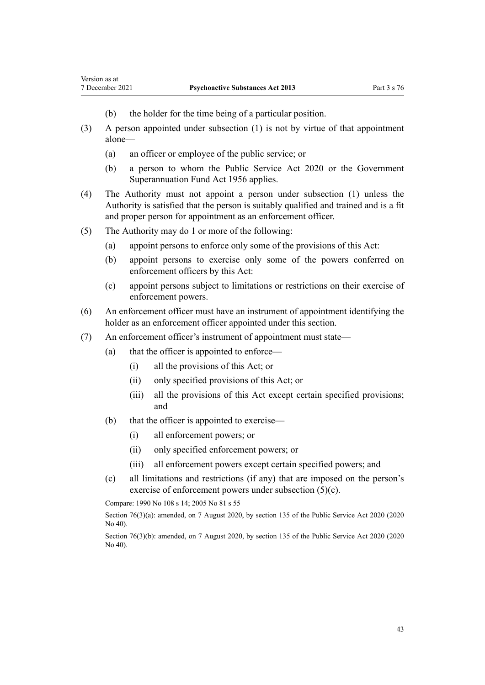- (b) the holder for the time being of a particular position.
- (3) A person appointed under subsection (1) is not by virtue of that appointment alone—
	- (a) an officer or employee of the public service; or
	- (b) a person to whom the [Public Service Act 2020](http://legislation.govt.nz/pdflink.aspx?id=LMS106157) or the [Government](http://legislation.govt.nz/pdflink.aspx?id=DLM446000) [Superannuation Fund Act 1956](http://legislation.govt.nz/pdflink.aspx?id=DLM446000) applies.
- (4) The Authority must not appoint a person under subsection (1) unless the Authority is satisfied that the person is suitably qualified and trained and is a fit and proper person for appointment as an enforcement officer.
- (5) The Authority may do 1 or more of the following:

Version as at

- (a) appoint persons to enforce only some of the provisions of this Act:
- (b) appoint persons to exercise only some of the powers conferred on enforcement officers by this Act:
- (c) appoint persons subject to limitations or restrictions on their exercise of enforcement powers.
- (6) An enforcement officer must have an instrument of appointment identifying the holder as an enforcement officer appointed under this section.
- (7) An enforcement officer's instrument of appointment must state—
	- (a) that the officer is appointed to enforce—
		- (i) all the provisions of this Act; or
		- (ii) only specified provisions of this Act; or
		- (iii) all the provisions of this Act except certain specified provisions; and
	- (b) that the officer is appointed to exercise—
		- (i) all enforcement powers; or
		- (ii) only specified enforcement powers; or
		- (iii) all enforcement powers except certain specified powers; and
	- (c) all limitations and restrictions (if any) that are imposed on the person's exercise of enforcement powers under subsection (5)(c).

Compare: 1990 No 108 [s 14;](http://legislation.govt.nz/pdflink.aspx?id=DLM223954) 2005 No 81 [s 55](http://legislation.govt.nz/pdflink.aspx?id=DLM356843)

Section 76(3)(a): amended, on 7 August 2020, by [section 135](http://legislation.govt.nz/pdflink.aspx?id=LMS176959) of the Public Service Act 2020 (2020 No 40).

Section 76(3)(b): amended, on 7 August 2020, by [section 135](http://legislation.govt.nz/pdflink.aspx?id=LMS176959) of the Public Service Act 2020 (2020 No 40).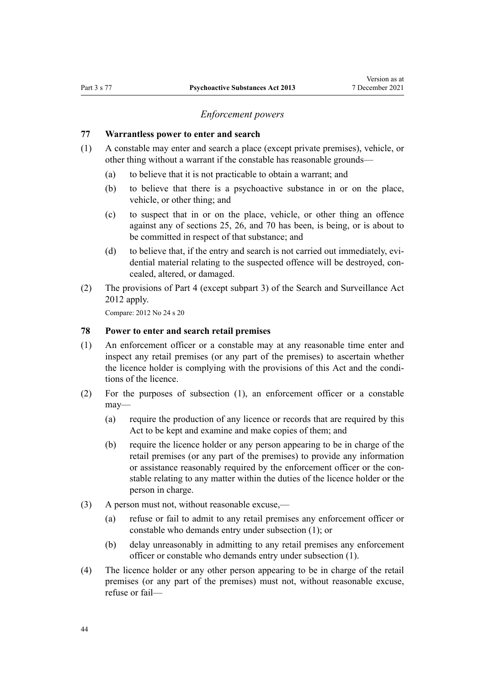## *Enforcement powers*

#### <span id="page-43-0"></span>**77 Warrantless power to enter and search**

- (1) A constable may enter and search a place (except private premises), vehicle, or other thing without a warrant if the constable has reasonable grounds—
	- (a) to believe that it is not practicable to obtain a warrant; and
	- (b) to believe that there is a psychoactive substance in or on the place, vehicle, or other thing; and
	- (c) to suspect that in or on the place, vehicle, or other thing an offence against any of [sections 25,](#page-19-0) [26,](#page-20-0) and [70](#page-39-0) has been, is being, or is about to be committed in respect of that substance; and
	- (d) to believe that, if the entry and search is not carried out immediately, evidential material relating to the suspected offence will be destroyed, concealed, altered, or damaged.
- (2) The provisions of [Part 4](http://legislation.govt.nz/pdflink.aspx?id=DLM2136770) (except [subpart 3](http://legislation.govt.nz/pdflink.aspx?id=DLM2136781)) of the Search and Surveillance Act 2012 apply.

Compare: 2012 No 24 [s 20](http://legislation.govt.nz/pdflink.aspx?id=DLM2136655)

## **78 Power to enter and search retail premises**

- (1) An enforcement officer or a constable may at any reasonable time enter and inspect any retail premises (or any part of the premises) to ascertain whether the licence holder is complying with the provisions of this Act and the condi‐ tions of the licence.
- (2) For the purposes of subsection (1), an enforcement officer or a constable may—
	- (a) require the production of any licence or records that are required by this Act to be kept and examine and make copies of them; and
	- (b) require the licence holder or any person appearing to be in charge of the retail premises (or any part of the premises) to provide any information or assistance reasonably required by the enforcement officer or the constable relating to any matter within the duties of the licence holder or the person in charge.
- (3) A person must not, without reasonable excuse,—
	- (a) refuse or fail to admit to any retail premises any enforcement officer or constable who demands entry under subsection (1); or
	- (b) delay unreasonably in admitting to any retail premises any enforcement officer or constable who demands entry under subsection (1).
- (4) The licence holder or any other person appearing to be in charge of the retail premises (or any part of the premises) must not, without reasonable excuse, refuse or fail—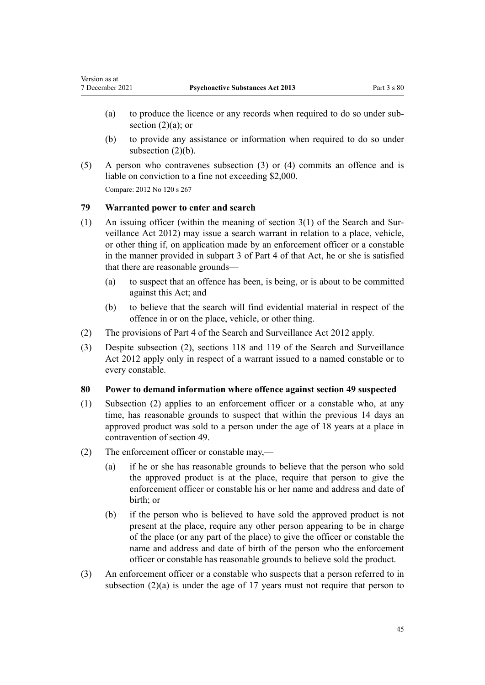- (a) to produce the licence or any records when required to do so under subsection  $(2)(a)$ ; or
- (b) to provide any assistance or information when required to do so under subsection (2)(b).
- (5) A person who contravenes subsection (3) or (4) commits an offence and is liable on conviction to a fine not exceeding \$2,000. Compare: 2012 No 120 [s 267](http://legislation.govt.nz/pdflink.aspx?id=DLM3339783)

**79 Warranted power to enter and search**

<span id="page-44-0"></span>Version as at

- (1) An issuing officer (within the meaning of section  $3(1)$  of the Search and Surveillance Act 2012) may issue a search warrant in relation to a place, vehicle, or other thing if, on application made by an enforcement officer or a constable in the manner provided in [subpart 3](http://legislation.govt.nz/pdflink.aspx?id=DLM2136781) of Part 4 of that Act, he or she is satisfied that there are reasonable grounds—
	- (a) to suspect that an offence has been, is being, or is about to be committed against this Act; and
	- (b) to believe that the search will find evidential material in respect of the offence in or on the place, vehicle, or other thing.
- (2) The provisions of [Part 4](http://legislation.govt.nz/pdflink.aspx?id=DLM2136770) of the Search and Surveillance Act 2012 apply.
- (3) Despite subsection (2), [sections 118](http://legislation.govt.nz/pdflink.aspx?id=DLM2136813) and [119](http://legislation.govt.nz/pdflink.aspx?id=DLM2136815) of the Search and Surveillance Act 2012 apply only in respect of a warrant issued to a named constable or to every constable.

## **80 Power to demand information where offence against section 49 suspected**

- (1) Subsection (2) applies to an enforcement officer or a constable who, at any time, has reasonable grounds to suspect that within the previous 14 days an approved product was sold to a person under the age of 18 years at a place in contravention of [section 49.](#page-29-0)
- (2) The enforcement officer or constable may,—
	- (a) if he or she has reasonable grounds to believe that the person who sold the approved product is at the place, require that person to give the enforcement officer or constable his or her name and address and date of birth; or
	- (b) if the person who is believed to have sold the approved product is not present at the place, require any other person appearing to be in charge of the place (or any part of the place) to give the officer or constable the name and address and date of birth of the person who the enforcement officer or constable has reasonable grounds to believe sold the product.
- (3) An enforcement officer or a constable who suspects that a person referred to in subsection  $(2)(a)$  is under the age of 17 years must not require that person to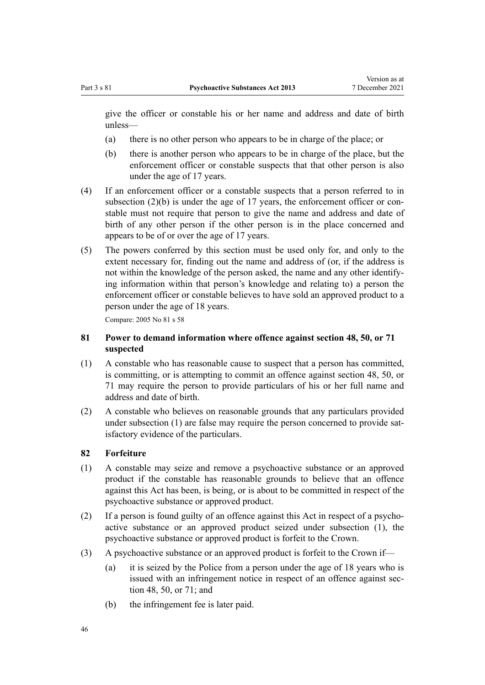<span id="page-45-0"></span>give the officer or constable his or her name and address and date of birth unless—

- (a) there is no other person who appears to be in charge of the place; or
- (b) there is another person who appears to be in charge of the place, but the enforcement officer or constable suspects that that other person is also under the age of 17 years.
- (4) If an enforcement officer or a constable suspects that a person referred to in subsection  $(2)(b)$  is under the age of 17 years, the enforcement officer or constable must not require that person to give the name and address and date of birth of any other person if the other person is in the place concerned and appears to be of or over the age of 17 years.
- (5) The powers conferred by this section must be used only for, and only to the extent necessary for, finding out the name and address of (or, if the address is not within the knowledge of the person asked, the name and any other identify‐ ing information within that person's knowledge and relating to) a person the enforcement officer or constable believes to have sold an approved product to a person under the age of 18 years.

Compare: 2005 No 81 [s 58](http://legislation.govt.nz/pdflink.aspx?id=DLM356847)

# **81 Power to demand information where offence against section 48, 50, or 71 suspected**

- (1) A constable who has reasonable cause to suspect that a person has committed, is committing, or is attempting to commit an offence against [section 48](#page-29-0), [50](#page-30-0), or [71](#page-40-0) may require the person to provide particulars of his or her full name and address and date of birth.
- (2) A constable who believes on reasonable grounds that any particulars provided under subsection (1) are false may require the person concerned to provide satisfactory evidence of the particulars.

## **82 Forfeiture**

- (1) A constable may seize and remove a psychoactive substance or an approved product if the constable has reasonable grounds to believe that an offence against this Act has been, is being, or is about to be committed in respect of the psychoactive substance or approved product.
- (2) If a person is found guilty of an offence against this Act in respect of a psycho‐ active substance or an approved product seized under subsection (1), the psychoactive substance or approved product is forfeit to the Crown.
- (3) A psychoactive substance or an approved product is forfeit to the Crown if—
	- (a) it is seized by the Police from a person under the age of 18 years who is issued with an infringement notice in respect of an offence against sec[tion 48](#page-29-0), [50,](#page-30-0) or [71](#page-40-0); and
	- (b) the infringement fee is later paid.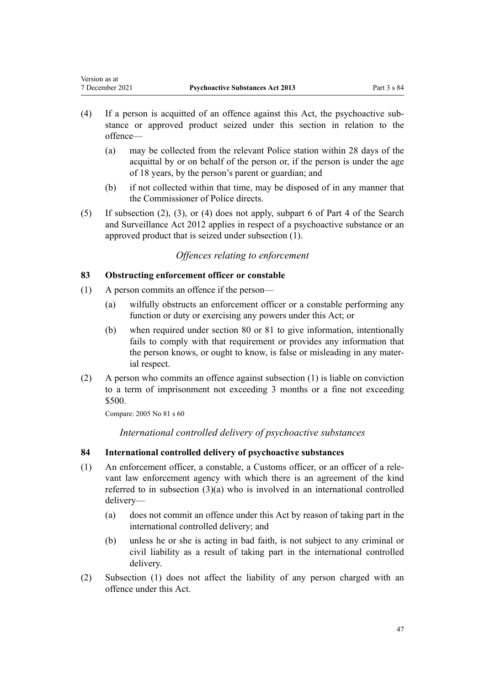- (4) If a person is acquitted of an offence against this Act, the psychoactive sub‐ stance or approved product seized under this section in relation to the offence—
	- (a) may be collected from the relevant Police station within 28 days of the acquittal by or on behalf of the person or, if the person is under the age of 18 years, by the person's parent or guardian; and
	- (b) if not collected within that time, may be disposed of in any manner that the Commissioner of Police directs.
- (5) If subsection (2), (3), or (4) does not apply, [subpart 6](http://legislation.govt.nz/pdflink.aspx?id=DLM2136860) of Part 4 of the Search and Surveillance Act 2012 applies in respect of a psychoactive substance or an approved product that is seized under subsection (1).

# *Offences relating to enforcement*

# **83 Obstructing enforcement officer or constable**

- (1) A person commits an offence if the person—
	- (a) wilfully obstructs an enforcement officer or a constable performing any function or duty or exercising any powers under this Act; or
	- (b) when required under [section 80](#page-44-0) or [81](#page-45-0) to give information, intentionally fails to comply with that requirement or provides any information that the person knows, or ought to know, is false or misleading in any mater‐ ial respect.
- (2) A person who commits an offence against subsection (1) is liable on conviction to a term of imprisonment not exceeding 3 months or a fine not exceeding \$500.

Compare: 2005 No 81 [s 60](http://legislation.govt.nz/pdflink.aspx?id=DLM356850)

*International controlled delivery of psychoactive substances*

# **84 International controlled delivery of psychoactive substances**

- (1) An enforcement officer, a constable, a Customs officer, or an officer of a rele‐ vant law enforcement agency with which there is an agreement of the kind referred to in subsection (3)(a) who is involved in an international controlled delivery—
	- (a) does not commit an offence under this Act by reason of taking part in the international controlled delivery; and
	- (b) unless he or she is acting in bad faith, is not subject to any criminal or civil liability as a result of taking part in the international controlled delivery.
- (2) Subsection (1) does not affect the liability of any person charged with an offence under this Act.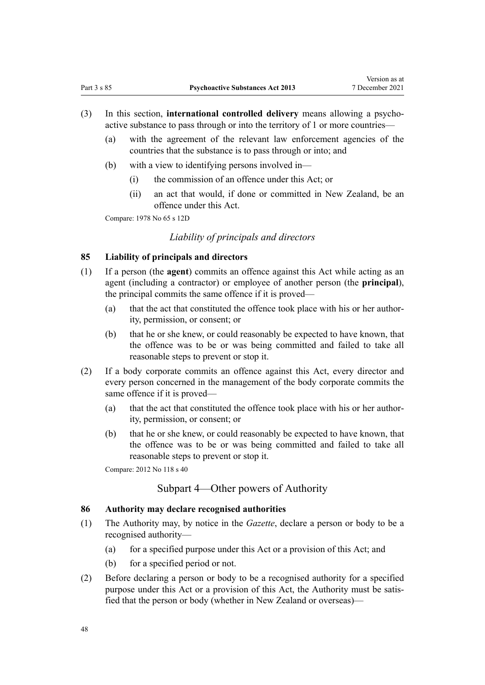- (3) In this section, **international controlled delivery** means allowing a psycho‐ active substance to pass through or into the territory of 1 or more countries—
	- (a) with the agreement of the relevant law enforcement agencies of the countries that the substance is to pass through or into; and
	- (b) with a view to identifying persons involved in—
		- (i) the commission of an offence under this Act; or
		- (ii) an act that would, if done or committed in New Zealand, be an offence under this Act.

Compare: 1978 No 65 [s 12D](http://legislation.govt.nz/pdflink.aspx?id=DLM23459)

# *Liability of principals and directors*

# **85 Liability of principals and directors**

- (1) If a person (the **agent**) commits an offence against this Act while acting as an agent (including a contractor) or employee of another person (the **principal**), the principal commits the same offence if it is proved—
	- (a) that the act that constituted the offence took place with his or her author‐ ity, permission, or consent; or
	- (b) that he or she knew, or could reasonably be expected to have known, that the offence was to be or was being committed and failed to take all reasonable steps to prevent or stop it.
- (2) If a body corporate commits an offence against this Act, every director and every person concerned in the management of the body corporate commits the same offence if it is proved—
	- (a) that the act that constituted the offence took place with his or her authority, permission, or consent; or
	- (b) that he or she knew, or could reasonably be expected to have known, that the offence was to be or was being committed and failed to take all reasonable steps to prevent or stop it.

Compare: 2012 No 118 [s 40](http://legislation.govt.nz/pdflink.aspx?id=DLM1559921)

# Subpart 4—Other powers of Authority

#### **86 Authority may declare recognised authorities**

- (1) The Authority may, by notice in the *Gazette*, declare a person or body to be a recognised authority—
	- (a) for a specified purpose under this Act or a provision of this Act; and
	- (b) for a specified period or not.
- (2) Before declaring a person or body to be a recognised authority for a specified purpose under this Act or a provision of this Act, the Authority must be satisfied that the person or body (whether in New Zealand or overseas)—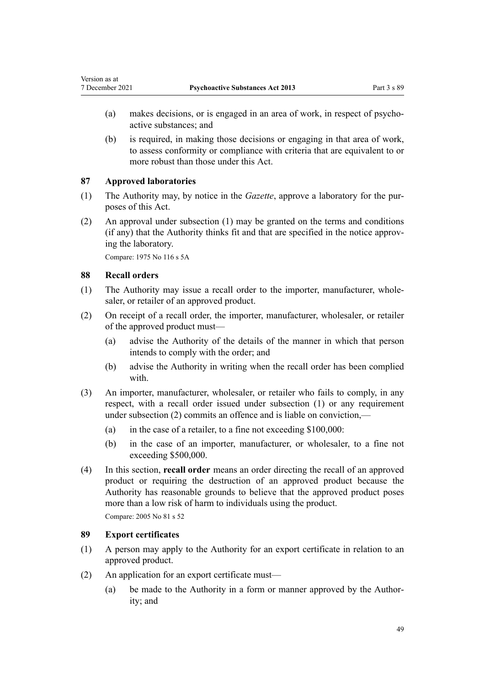- (a) makes decisions, or is engaged in an area of work, in respect of psychoactive substances; and
- (b) is required, in making those decisions or engaging in that area of work, to assess conformity or compliance with criteria that are equivalent to or more robust than those under this Act.

## **87 Approved laboratories**

- (1) The Authority may, by notice in the *Gazette*, approve a laboratory for the pur‐ poses of this Act.
- (2) An approval under subsection (1) may be granted on the terms and conditions (if any) that the Authority thinks fit and that are specified in the notice approv‐ ing the laboratory.

Compare: 1975 No 116 [s 5A](http://legislation.govt.nz/pdflink.aspx?id=DLM436218)

## **88 Recall orders**

<span id="page-48-0"></span>Version as at

- (1) The Authority may issue a recall order to the importer, manufacturer, whole‐ saler, or retailer of an approved product.
- (2) On receipt of a recall order, the importer, manufacturer, wholesaler, or retailer of the approved product must—
	- (a) advise the Authority of the details of the manner in which that person intends to comply with the order; and
	- (b) advise the Authority in writing when the recall order has been complied with.
- (3) An importer, manufacturer, wholesaler, or retailer who fails to comply, in any respect, with a recall order issued under subsection (1) or any requirement under subsection (2) commits an offence and is liable on conviction.—
	- (a) in the case of a retailer, to a fine not exceeding  $$100,000$ :
	- (b) in the case of an importer, manufacturer, or wholesaler, to a fine not exceeding \$500,000.
- (4) In this section, **recall order** means an order directing the recall of an approved product or requiring the destruction of an approved product because the Authority has reasonable grounds to believe that the approved product poses more than a low risk of harm to individuals using the product.

Compare: 2005 No 81 [s 52](http://legislation.govt.nz/pdflink.aspx?id=DLM356836)

## **89 Export certificates**

- (1) A person may apply to the Authority for an export certificate in relation to an approved product.
- (2) An application for an export certificate must—
	- (a) be made to the Authority in a form or manner approved by the Authority; and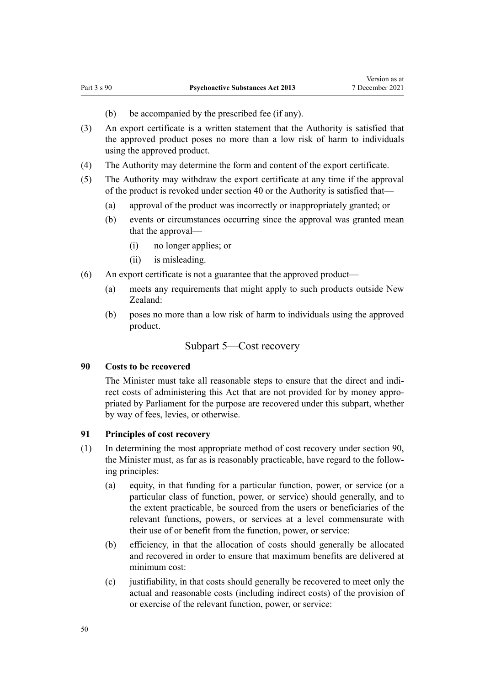- (b) be accompanied by the prescribed fee (if any).
- (3) An export certificate is a written statement that the Authority is satisfied that the approved product poses no more than a low risk of harm to individuals using the approved product.
- (4) The Authority may determine the form and content of the export certificate.
- (5) The Authority may withdraw the export certificate at any time if the approval of the product is revoked under [section 40](#page-26-0) or the Authority is satisfied that—
	- (a) approval of the product was incorrectly or inappropriately granted; or
	- (b) events or circumstances occurring since the approval was granted mean that the approval—
		- (i) no longer applies; or
		- (ii) is misleading.
- (6) An export certificate is not a guarantee that the approved product—
	- (a) meets any requirements that might apply to such products outside New Zealand:
	- (b) poses no more than a low risk of harm to individuals using the approved product.

# Subpart 5—Cost recovery

#### **90 Costs to be recovered**

The Minister must take all reasonable steps to ensure that the direct and indirect costs of administering this Act that are not provided for by money appropriated by Parliament for the purpose are recovered under this subpart, whether by way of fees, levies, or otherwise.

## **91 Principles of cost recovery**

- (1) In determining the most appropriate method of cost recovery under section 90, the Minister must, as far as is reasonably practicable, have regard to the follow‐ ing principles:
	- (a) equity, in that funding for a particular function, power, or service (or a particular class of function, power, or service) should generally, and to the extent practicable, be sourced from the users or beneficiaries of the relevant functions, powers, or services at a level commensurate with their use of or benefit from the function, power, or service:
	- (b) efficiency, in that the allocation of costs should generally be allocated and recovered in order to ensure that maximum benefits are delivered at minimum cost:
	- (c) justifiability, in that costs should generally be recovered to meet only the actual and reasonable costs (including indirect costs) of the provision of or exercise of the relevant function, power, or service: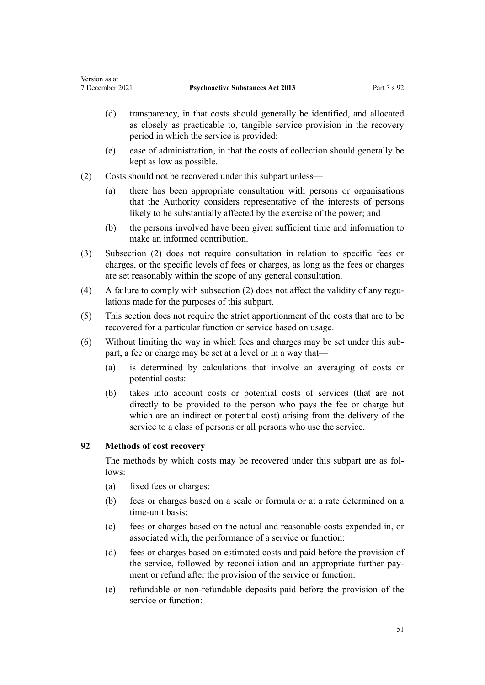- (d) transparency, in that costs should generally be identified, and allocated as closely as practicable to, tangible service provision in the recovery period in which the service is provided:
- (e) ease of administration, in that the costs of collection should generally be kept as low as possible.
- (2) Costs should not be recovered under this subpart unless—
	- (a) there has been appropriate consultation with persons or organisations that the Authority considers representative of the interests of persons likely to be substantially affected by the exercise of the power; and
	- (b) the persons involved have been given sufficient time and information to make an informed contribution.
- (3) Subsection (2) does not require consultation in relation to specific fees or charges, or the specific levels of fees or charges, as long as the fees or charges are set reasonably within the scope of any general consultation.
- (4) A failure to comply with subsection  $(2)$  does not affect the validity of any regulations made for the purposes of this subpart.
- (5) This section does not require the strict apportionment of the costs that are to be recovered for a particular function or service based on usage.
- (6) Without limiting the way in which fees and charges may be set under this sub‐ part, a fee or charge may be set at a level or in a way that—
	- (a) is determined by calculations that involve an averaging of costs or potential costs:
	- (b) takes into account costs or potential costs of services (that are not directly to be provided to the person who pays the fee or charge but which are an indirect or potential cost) arising from the delivery of the service to a class of persons or all persons who use the service.

# **92 Methods of cost recovery**

<span id="page-50-0"></span>Version as at

The methods by which costs may be recovered under this subpart are as follows:

- (a) fixed fees or charges:
- (b) fees or charges based on a scale or formula or at a rate determined on a time-unit basis:
- (c) fees or charges based on the actual and reasonable costs expended in, or associated with, the performance of a service or function:
- (d) fees or charges based on estimated costs and paid before the provision of the service, followed by reconciliation and an appropriate further pay‐ ment or refund after the provision of the service or function:
- (e) refundable or non-refundable deposits paid before the provision of the service or function: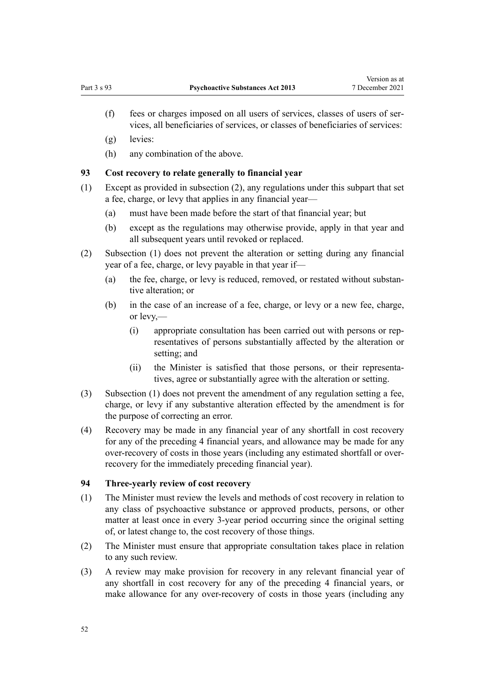- (f) fees or charges imposed on all users of services, classes of users of ser‐ vices, all beneficiaries of services, or classes of beneficiaries of services:
- (g) levies:
- (h) any combination of the above.

## **93 Cost recovery to relate generally to financial year**

- (1) Except as provided in subsection (2), any regulations under this subpart that set a fee, charge, or levy that applies in any financial year—
	- (a) must have been made before the start of that financial year; but
	- (b) except as the regulations may otherwise provide, apply in that year and all subsequent years until revoked or replaced.
- (2) Subsection (1) does not prevent the alteration or setting during any financial year of a fee, charge, or levy payable in that year if—
	- (a) the fee, charge, or levy is reduced, removed, or restated without substan‐ tive alteration; or
	- (b) in the case of an increase of a fee, charge, or levy or a new fee, charge, or levy,—
		- (i) appropriate consultation has been carried out with persons or rep‐ resentatives of persons substantially affected by the alteration or setting; and
		- (ii) the Minister is satisfied that those persons, or their representa‐ tives, agree or substantially agree with the alteration or setting.
- (3) Subsection (1) does not prevent the amendment of any regulation setting a fee, charge, or levy if any substantive alteration effected by the amendment is for the purpose of correcting an error.
- (4) Recovery may be made in any financial year of any shortfall in cost recovery for any of the preceding 4 financial years, and allowance may be made for any over-recovery of costs in those years (including any estimated shortfall or overrecovery for the immediately preceding financial year).

## **94 Three-yearly review of cost recovery**

- (1) The Minister must review the levels and methods of cost recovery in relation to any class of psychoactive substance or approved products, persons, or other matter at least once in every 3-year period occurring since the original setting of, or latest change to, the cost recovery of those things.
- (2) The Minister must ensure that appropriate consultation takes place in relation to any such review.
- (3) A review may make provision for recovery in any relevant financial year of any shortfall in cost recovery for any of the preceding 4 financial years, or make allowance for any over-recovery of costs in those years (including any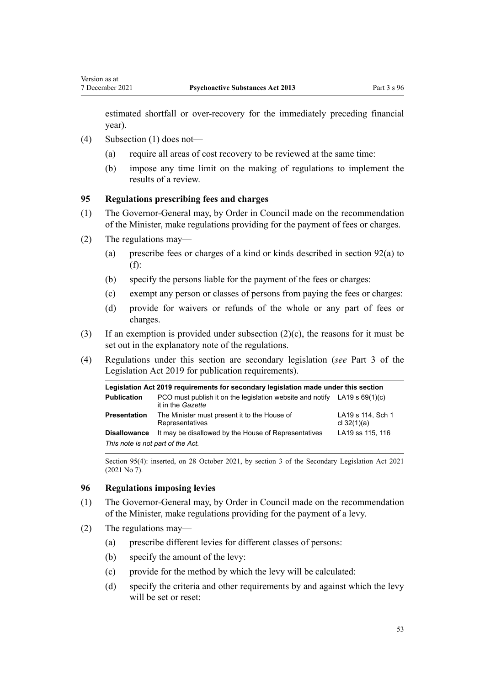<span id="page-52-0"></span>estimated shortfall or over-recovery for the immediately preceding financial year).

- (4) Subsection (1) does not—
	- (a) require all areas of cost recovery to be reviewed at the same time:
	- (b) impose any time limit on the making of regulations to implement the results of a review.

#### **95 Regulations prescribing fees and charges**

- (1) The Governor-General may, by Order in Council made on the recommendation of the Minister, make regulations providing for the payment of fees or charges.
- (2) The regulations may—
	- (a) prescribe fees or charges of a kind or kinds described in [section 92\(a\) to](#page-50-0) [\(f\):](#page-50-0)
	- (b) specify the persons liable for the payment of the fees or charges:
	- (c) exempt any person or classes of persons from paying the fees or charges:
	- (d) provide for waivers or refunds of the whole or any part of fees or charges.
- (3) If an exemption is provided under subsection (2)(c), the reasons for it must be set out in the explanatory note of the regulations.
- (4) Regulations under this section are secondary legislation (*see* [Part 3](http://legislation.govt.nz/pdflink.aspx?id=DLM7298343) of the Legislation Act 2019 for publication requirements).

| Legislation Act 2019 requirements for secondary legislation made under this section |                                                                                                  |                                    |  |
|-------------------------------------------------------------------------------------|--------------------------------------------------------------------------------------------------|------------------------------------|--|
| <b>Publication</b>                                                                  | PCO must publish it on the legislation website and notify LA19 s $69(1)(c)$<br>it in the Gazette |                                    |  |
| <b>Presentation</b>                                                                 | The Minister must present it to the House of<br>Representatives                                  | LA19 s 114, Sch 1<br>cl $32(1)(a)$ |  |
| <b>Disallowance</b>                                                                 | It may be disallowed by the House of Representatives                                             | LA19 ss 115, 116                   |  |
| This note is not part of the Act.                                                   |                                                                                                  |                                    |  |

Section 95(4): inserted, on 28 October 2021, by [section 3](http://legislation.govt.nz/pdflink.aspx?id=LMS268932) of the Secondary Legislation Act 2021 (2021 No 7).

## **96 Regulations imposing levies**

- (1) The Governor-General may, by Order in Council made on the recommendation of the Minister, make regulations providing for the payment of a levy.
- (2) The regulations may—
	- (a) prescribe different levies for different classes of persons:
	- (b) specify the amount of the levy:
	- (c) provide for the method by which the levy will be calculated:
	- (d) specify the criteria and other requirements by and against which the levy will be set or reset: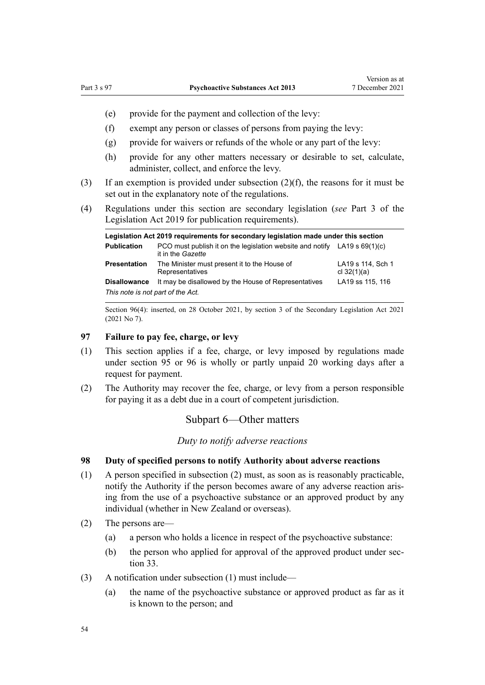- (e) provide for the payment and collection of the levy:
- (f) exempt any person or classes of persons from paying the levy:
- (g) provide for waivers or refunds of the whole or any part of the levy:
- (h) provide for any other matters necessary or desirable to set, calculate, administer, collect, and enforce the levy.
- (3) If an exemption is provided under subsection (2)(f), the reasons for it must be set out in the explanatory note of the regulations.
- (4) Regulations under this section are secondary legislation (*see* [Part 3](http://legislation.govt.nz/pdflink.aspx?id=DLM7298343) of the Legislation Act 2019 for publication requirements).

| Legislation Act 2019 requirements for secondary legislation made under this section |                                                                                                  |                                    |  |
|-------------------------------------------------------------------------------------|--------------------------------------------------------------------------------------------------|------------------------------------|--|
| <b>Publication</b>                                                                  | PCO must publish it on the legislation website and notify LA19 s $69(1)(c)$<br>it in the Gazette |                                    |  |
| <b>Presentation</b>                                                                 | The Minister must present it to the House of<br>Representatives                                  | LA19 s 114, Sch 1<br>cl $32(1)(a)$ |  |
| <b>Disallowance</b><br>This note is not part of the Act.                            | It may be disallowed by the House of Representatives                                             | LA19 ss 115, 116                   |  |

Section 96(4): inserted, on 28 October 2021, by [section 3](http://legislation.govt.nz/pdflink.aspx?id=LMS268932) of the Secondary Legislation Act 2021 (2021 No 7).

## **97 Failure to pay fee, charge, or levy**

- (1) This section applies if a fee, charge, or levy imposed by regulations made under [section 95](#page-52-0) or [96](#page-52-0) is wholly or partly unpaid 20 working days after a request for payment.
- (2) The Authority may recover the fee, charge, or levy from a person responsible for paying it as a debt due in a court of competent jurisdiction.

## Subpart 6—Other matters

*Duty to notify adverse reactions*

# **98 Duty of specified persons to notify Authority about adverse reactions**

- (1) A person specified in subsection (2) must, as soon as is reasonably practicable, notify the Authority if the person becomes aware of any adverse reaction aris‐ ing from the use of a psychoactive substance or an approved product by any individual (whether in New Zealand or overseas).
- (2) The persons are—
	- (a) a person who holds a licence in respect of the psychoactive substance:
	- (b) the person who applied for approval of the approved product under sec[tion 33](#page-22-0).
- (3) A notification under subsection (1) must include—
	- (a) the name of the psychoactive substance or approved product as far as it is known to the person; and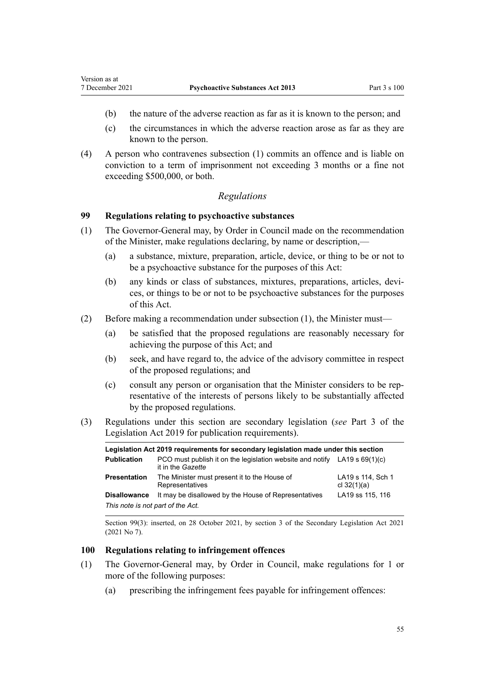- (b) the nature of the adverse reaction as far as it is known to the person; and
- (c) the circumstances in which the adverse reaction arose as far as they are known to the person.
- (4) A person who contravenes subsection (1) commits an offence and is liable on conviction to a term of imprisonment not exceeding 3 months or a fine not exceeding \$500,000, or both.

## *Regulations*

## **99 Regulations relating to psychoactive substances**

Version as at

- (1) The Governor-General may, by Order in Council made on the recommendation of the Minister, make regulations declaring, by name or description,—
	- (a) a substance, mixture, preparation, article, device, or thing to be or not to be a psychoactive substance for the purposes of this Act:
	- (b) any kinds or class of substances, mixtures, preparations, articles, devices, or things to be or not to be psychoactive substances for the purposes of this Act.
- (2) Before making a recommendation under subsection (1), the Minister must—
	- (a) be satisfied that the proposed regulations are reasonably necessary for achieving the purpose of this Act; and
	- (b) seek, and have regard to, the advice of the advisory committee in respect of the proposed regulations; and
	- (c) consult any person or organisation that the Minister considers to be rep‐ resentative of the interests of persons likely to be substantially affected by the proposed regulations.
- (3) Regulations under this section are secondary legislation (*see* [Part 3](http://legislation.govt.nz/pdflink.aspx?id=DLM7298343) of the Legislation Act 2019 for publication requirements).

| Legislation Act 2019 requirements for secondary legislation made under this section |                                                                                                  |                                    |  |
|-------------------------------------------------------------------------------------|--------------------------------------------------------------------------------------------------|------------------------------------|--|
| <b>Publication</b>                                                                  | PCO must publish it on the legislation website and notify LA19 s $69(1)(c)$<br>it in the Gazette |                                    |  |
| <b>Presentation</b>                                                                 | The Minister must present it to the House of<br>Representatives                                  | LA19 s 114, Sch 1<br>cl $32(1)(a)$ |  |
| <b>Disallowance</b>                                                                 | It may be disallowed by the House of Representatives                                             | LA19 ss 115, 116                   |  |
| This note is not part of the Act.                                                   |                                                                                                  |                                    |  |

Section 99(3): inserted, on 28 October 2021, by [section 3](http://legislation.govt.nz/pdflink.aspx?id=LMS268932) of the Secondary Legislation Act 2021 (2021 No 7).

#### **100 Regulations relating to infringement offences**

- (1) The Governor-General may, by Order in Council, make regulations for 1 or more of the following purposes:
	- (a) prescribing the infringement fees payable for infringement offences: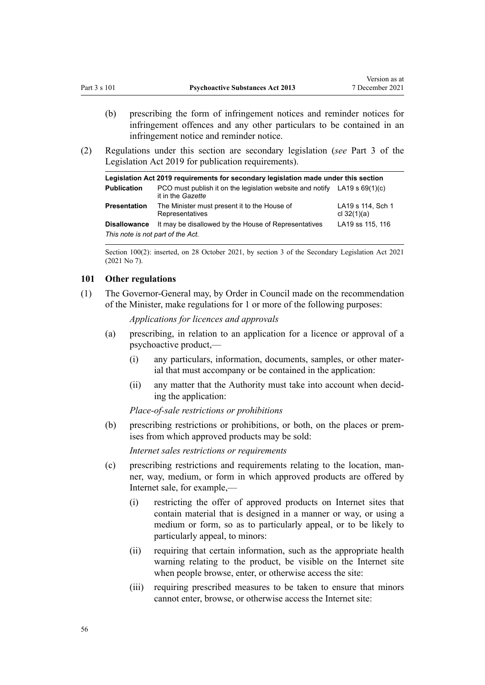- <span id="page-55-0"></span>(b) prescribing the form of infringement notices and reminder notices for infringement offences and any other particulars to be contained in an infringement notice and reminder notice.
- (2) Regulations under this section are secondary legislation (*see* [Part 3](http://legislation.govt.nz/pdflink.aspx?id=DLM7298343) of the Legislation Act 2019 for publication requirements).

| Legislation Act 2019 requirements for secondary legislation made under this section |                                                                                                  |                                    |  |
|-------------------------------------------------------------------------------------|--------------------------------------------------------------------------------------------------|------------------------------------|--|
| <b>Publication</b>                                                                  | PCO must publish it on the legislation website and notify LA19 s $69(1)(c)$<br>it in the Gazette |                                    |  |
| <b>Presentation</b>                                                                 | The Minister must present it to the House of<br>Representatives                                  | LA19 s 114, Sch 1<br>cl $32(1)(a)$ |  |
| <b>Disallowance</b>                                                                 | It may be disallowed by the House of Representatives                                             | LA19 ss 115, 116                   |  |
| This note is not part of the Act.                                                   |                                                                                                  |                                    |  |

Section 100(2): inserted, on 28 October 2021, by [section 3](http://legislation.govt.nz/pdflink.aspx?id=LMS268932) of the Secondary Legislation Act 2021 (2021 No 7).

### **101 Other regulations**

(1) The Governor-General may, by Order in Council made on the recommendation of the Minister, make regulations for 1 or more of the following purposes:

*Applications for licences and approvals*

- (a) prescribing, in relation to an application for a licence or approval of a psychoactive product,—
	- (i) any particulars, information, documents, samples, or other mater‐ ial that must accompany or be contained in the application:
	- (ii) any matter that the Authority must take into account when decid‐ ing the application:

*Place-of-sale restrictions or prohibitions*

(b) prescribing restrictions or prohibitions, or both, on the places or premises from which approved products may be sold:

*Internet sales restrictions or requirements*

- (c) prescribing restrictions and requirements relating to the location, man‐ ner, way, medium, or form in which approved products are offered by Internet sale, for example,—
	- (i) restricting the offer of approved products on Internet sites that contain material that is designed in a manner or way, or using a medium or form, so as to particularly appeal, or to be likely to particularly appeal, to minors:
	- (ii) requiring that certain information, such as the appropriate health warning relating to the product, be visible on the Internet site when people browse, enter, or otherwise access the site:
	- (iii) requiring prescribed measures to be taken to ensure that minors cannot enter, browse, or otherwise access the Internet site: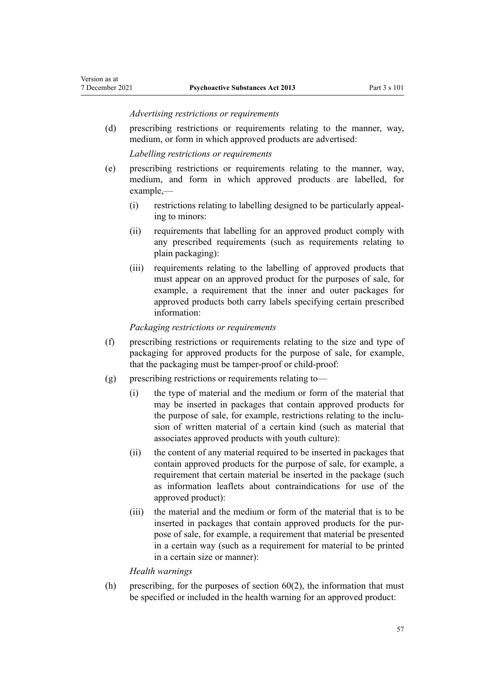#### *Advertising restrictions or requirements*

(d) prescribing restrictions or requirements relating to the manner, way, medium, or form in which approved products are advertised:

*Labelling restrictions or requirements*

- (e) prescribing restrictions or requirements relating to the manner, way, medium, and form in which approved products are labelled, for example,—
	- (i) restrictions relating to labelling designed to be particularly appeal‐ ing to minors:
	- (ii) requirements that labelling for an approved product comply with any prescribed requirements (such as requirements relating to plain packaging):
	- (iii) requirements relating to the labelling of approved products that must appear on an approved product for the purposes of sale, for example, a requirement that the inner and outer packages for approved products both carry labels specifying certain prescribed information:

#### *Packaging restrictions or requirements*

- (f) prescribing restrictions or requirements relating to the size and type of packaging for approved products for the purpose of sale, for example, that the packaging must be tamper-proof or child-proof:
- $(g)$  prescribing restrictions or requirements relating to-
	- (i) the type of material and the medium or form of the material that may be inserted in packages that contain approved products for the purpose of sale, for example, restrictions relating to the inclusion of written material of a certain kind (such as material that associates approved products with youth culture):
	- (ii) the content of any material required to be inserted in packages that contain approved products for the purpose of sale, for example, a requirement that certain material be inserted in the package (such as information leaflets about contraindications for use of the approved product):
	- (iii) the material and the medium or form of the material that is to be inserted in packages that contain approved products for the purpose of sale, for example, a requirement that material be presented in a certain way (such as a requirement for material to be printed in a certain size or manner):

#### *Health warnings*

(h) prescribing, for the purposes of section  $60(2)$ , the information that must be specified or included in the health warning for an approved product: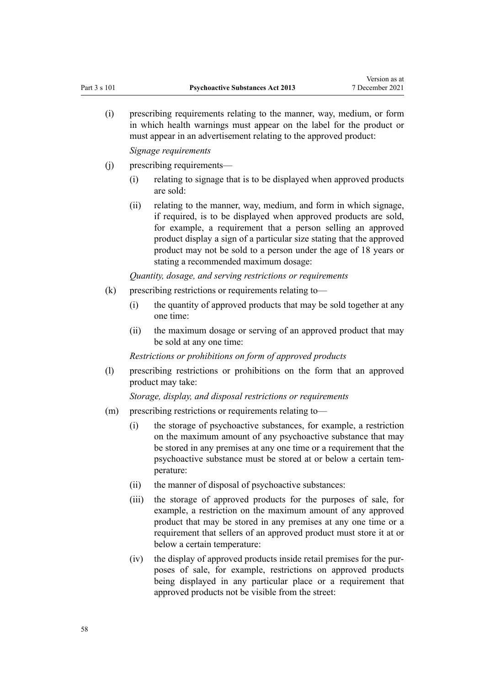(i) prescribing requirements relating to the manner, way, medium, or form in which health warnings must appear on the label for the product or must appear in an advertisement relating to the approved product:

*Signage requirements*

- (j) prescribing requirements—
	- (i) relating to signage that is to be displayed when approved products are sold:
	- (ii) relating to the manner, way, medium, and form in which signage, if required, is to be displayed when approved products are sold, for example, a requirement that a person selling an approved product display a sign of a particular size stating that the approved product may not be sold to a person under the age of 18 years or stating a recommended maximum dosage:

*Quantity, dosage, and serving restrictions or requirements*

- (k) prescribing restrictions or requirements relating to—
	- (i) the quantity of approved products that may be sold together at any one time:
	- (ii) the maximum dosage or serving of an approved product that may be sold at any one time:

*Restrictions or prohibitions on form of approved products*

(l) prescribing restrictions or prohibitions on the form that an approved product may take:

*Storage, display, and disposal restrictions or requirements*

- (m) prescribing restrictions or requirements relating to—
	- (i) the storage of psychoactive substances, for example, a restriction on the maximum amount of any psychoactive substance that may be stored in any premises at any one time or a requirement that the psychoactive substance must be stored at or below a certain tem‐ perature:
	- (ii) the manner of disposal of psychoactive substances:
	- (iii) the storage of approved products for the purposes of sale, for example, a restriction on the maximum amount of any approved product that may be stored in any premises at any one time or a requirement that sellers of an approved product must store it at or below a certain temperature:
	- (iv) the display of approved products inside retail premises for the pur‐ poses of sale, for example, restrictions on approved products being displayed in any particular place or a requirement that approved products not be visible from the street: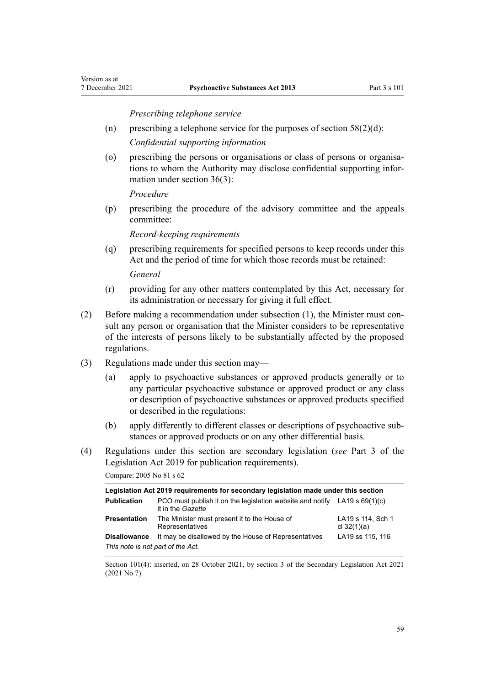*Prescribing telephone service*

(n) prescribing a telephone service for the purposes of section  $58(2)(d)$ :

*Confidential supporting information*

(o) prescribing the persons or organisations or class of persons or organisa‐ tions to whom the Authority may disclose confidential supporting infor‐ mation under [section 36\(3\)](#page-23-0):

*Procedure*

(p) prescribing the procedure of the advisory committee and the appeals committee:

*Record-keeping requirements*

(q) prescribing requirements for specified persons to keep records under this Act and the period of time for which those records must be retained: *General*

- (r) providing for any other matters contemplated by this Act, necessary for its administration or necessary for giving it full effect.
- (2) Before making a recommendation under subsection  $(1)$ , the Minister must consult any person or organisation that the Minister considers to be representative of the interests of persons likely to be substantially affected by the proposed regulations.
- (3) Regulations made under this section may—
	- (a) apply to psychoactive substances or approved products generally or to any particular psychoactive substance or approved product or any class or description of psychoactive substances or approved products specified or described in the regulations:
	- (b) apply differently to different classes or descriptions of psychoactive sub‐ stances or approved products or on any other differential basis.
- (4) Regulations under this section are secondary legislation (*see* [Part 3](http://legislation.govt.nz/pdflink.aspx?id=DLM7298343) of the Legislation Act 2019 for publication requirements).

Compare: 2005 No 81 [s 62](http://legislation.govt.nz/pdflink.aspx?id=DLM356853)

| Legislation Act 2019 requirements for secondary legislation made under this section |                                                                                                  |                                    |
|-------------------------------------------------------------------------------------|--------------------------------------------------------------------------------------------------|------------------------------------|
| <b>Publication</b>                                                                  | PCO must publish it on the legislation website and notify $LA19 s 69(1)(c)$<br>it in the Gazette |                                    |
| <b>Presentation</b>                                                                 | The Minister must present it to the House of<br>Representatives                                  | LA19 s 114, Sch 1<br>cl $32(1)(a)$ |
| <b>Disallowance</b>                                                                 | It may be disallowed by the House of Representatives                                             | LA19 ss 115, 116                   |
| This note is not part of the Act.                                                   |                                                                                                  |                                    |

Section 101(4): inserted, on 28 October 2021, by [section 3](http://legislation.govt.nz/pdflink.aspx?id=LMS268932) of the Secondary Legislation Act 2021 (2021 No 7).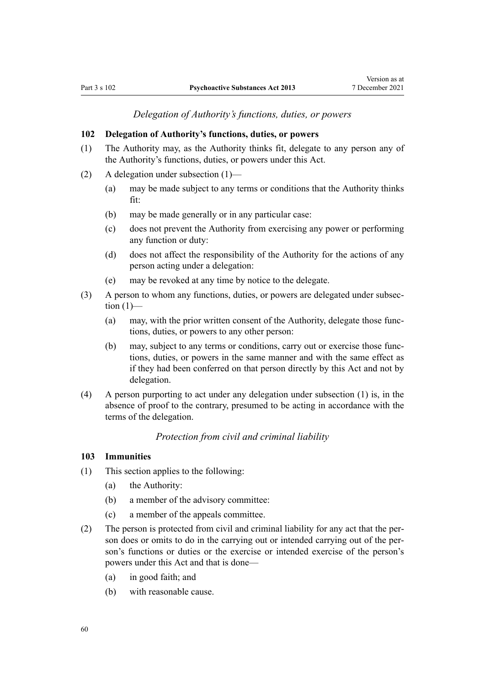*Delegation of Authority's functions, duties, or powers*

## **102 Delegation of Authority's functions, duties, or powers**

- (1) The Authority may, as the Authority thinks fit, delegate to any person any of the Authority's functions, duties, or powers under this Act.
- (2) A delegation under subsection (1)—
	- (a) may be made subject to any terms or conditions that the Authority thinks fit:
	- (b) may be made generally or in any particular case:
	- (c) does not prevent the Authority from exercising any power or performing any function or duty:
	- (d) does not affect the responsibility of the Authority for the actions of any person acting under a delegation:
	- (e) may be revoked at any time by notice to the delegate.
- (3) A person to whom any functions, duties, or powers are delegated under subsec‐ tion  $(1)$ —
	- (a) may, with the prior written consent of the Authority, delegate those func‐ tions, duties, or powers to any other person:
	- (b) may, subject to any terms or conditions, carry out or exercise those func‐ tions, duties, or powers in the same manner and with the same effect as if they had been conferred on that person directly by this Act and not by delegation.
- (4) A person purporting to act under any delegation under subsection (1) is, in the absence of proof to the contrary, presumed to be acting in accordance with the terms of the delegation.

*Protection from civil and criminal liability*

#### **103 Immunities**

- (1) This section applies to the following:
	- (a) the Authority:
	- (b) a member of the advisory committee:
	- (c) a member of the appeals committee.
- (2) The person is protected from civil and criminal liability for any act that the per‐ son does or omits to do in the carrying out or intended carrying out of the person's functions or duties or the exercise or intended exercise of the person's powers under this Act and that is done—
	- (a) in good faith; and
	- (b) with reasonable cause.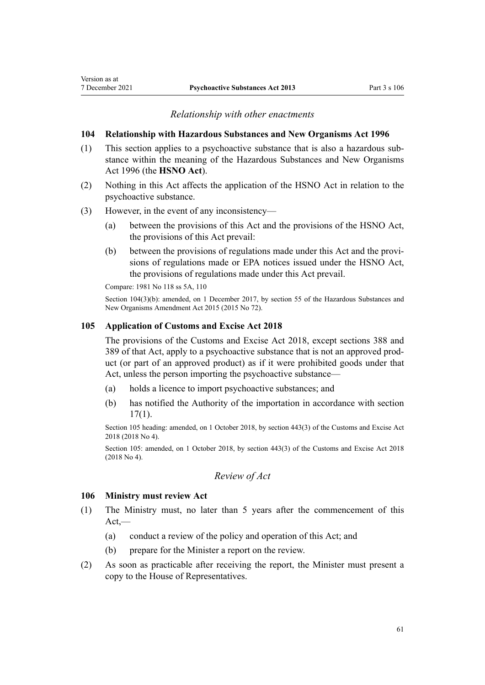## *Relationship with other enactments*

#### **104 Relationship with Hazardous Substances and New Organisms Act 1996**

- (1) This section applies to a psychoactive substance that is also a hazardous sub‐ stance within the meaning of the [Hazardous Substances and New Organisms](http://legislation.govt.nz/pdflink.aspx?id=DLM381221) [Act 1996](http://legislation.govt.nz/pdflink.aspx?id=DLM381221) (the **HSNO Act**).
- (2) Nothing in this Act affects the application of the HSNO Act in relation to the psychoactive substance.
- (3) However, in the event of any inconsistency—
	- (a) between the provisions of this Act and the provisions of the HSNO Act, the provisions of this Act prevail:
	- (b) between the provisions of regulations made under this Act and the provisions of regulations made or EPA notices issued under the HSNO Act, the provisions of regulations made under this Act prevail.

Compare: 1981 No 118 [ss 5A](http://legislation.govt.nz/pdflink.aspx?id=DLM55005), [110](http://legislation.govt.nz/pdflink.aspx?id=DLM56588)

Section 104(3)(b): amended, on 1 December 2017, by [section 55](http://legislation.govt.nz/pdflink.aspx?id=DLM6565020) of the Hazardous Substances and New Organisms Amendment Act 2015 (2015 No 72).

#### **105 Application of Customs and Excise Act 2018**

The provisions of the [Customs and Excise Act 2018,](http://legislation.govt.nz/pdflink.aspx?id=DLM7038920) except [sections 388](http://legislation.govt.nz/pdflink.aspx?id=DLM7039857) and [389](http://legislation.govt.nz/pdflink.aspx?id=DLM7039858) of that Act, apply to a psychoactive substance that is not an approved prod‐ uct (or part of an approved product) as if it were prohibited goods under that Act, unless the person importing the psychoactive substance—

- (a) holds a licence to import psychoactive substances; and
- (b) has notified the Authority of the importation in accordance with [section](#page-17-0) [17\(1\)](#page-17-0).

Section 105 heading: amended, on 1 October 2018, by [section 443\(3\)](http://legislation.govt.nz/pdflink.aspx?id=DLM7039957) of the Customs and Excise Act 2018 (2018 No 4).

Section 105: amended, on 1 October 2018, by [section 443\(3\)](http://legislation.govt.nz/pdflink.aspx?id=DLM7039957) of the Customs and Excise Act 2018 (2018 No 4).

# *Review of Act*

#### **106 Ministry must review Act**

- (1) The Ministry must, no later than 5 years after the commencement of this  $Act$ —
	- (a) conduct a review of the policy and operation of this Act; and
	- (b) prepare for the Minister a report on the review.
- (2) As soon as practicable after receiving the report, the Minister must present a copy to the House of Representatives.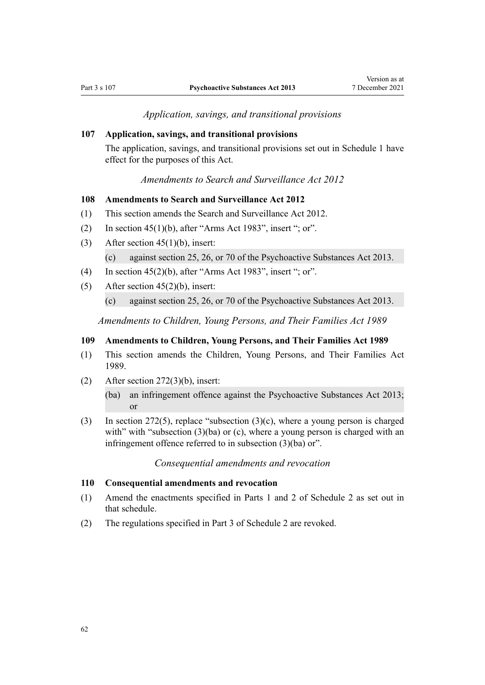*Application, savings, and transitional provisions*

#### <span id="page-61-0"></span>**107 Application, savings, and transitional provisions**

The application, savings, and transitional provisions set out in [Schedule 1](#page-62-0) have effect for the purposes of this Act.

# *Amendments to Search and Surveillance Act 2012*

## **108 Amendments to Search and Surveillance Act 2012**

- (1) This section amends the [Search and Surveillance Act 2012](http://legislation.govt.nz/pdflink.aspx?id=DLM2136500).
- (2) In [section 45\(1\)\(b\)](http://legislation.govt.nz/pdflink.aspx?id=DLM3330212), after "Arms Act 1983", insert "; or".
- (3) After [section 45\(1\)\(b\)](http://legislation.govt.nz/pdflink.aspx?id=DLM3330212), insert:

(c) against section 25, 26, or 70 of the Psychoactive Substances Act 2013.

- (4) In [section 45\(2\)\(b\)](http://legislation.govt.nz/pdflink.aspx?id=DLM3330212), after "Arms Act 1983", insert "; or".
- (5) After [section 45\(2\)\(b\)](http://legislation.govt.nz/pdflink.aspx?id=DLM3330212), insert:
	- (c) against section 25, 26, or 70 of the Psychoactive Substances Act 2013.

*Amendments to Children, Young Persons, and Their Families Act 1989*

#### **109 Amendments to Children, Young Persons, and Their Families Act 1989**

- (1) This section amends the [Children, Young Persons, and Their Families Act](http://legislation.govt.nz/pdflink.aspx?id=DLM147087) [1989](http://legislation.govt.nz/pdflink.aspx?id=DLM147087).
- (2) After [section 272\(3\)\(b\),](http://legislation.govt.nz/pdflink.aspx?id=DLM153418) insert:

(ba) an infringement offence against the Psychoactive Substances Act 2013; or

(3) In [section 272\(5\)](http://legislation.govt.nz/pdflink.aspx?id=DLM153418), replace "subsection (3)(c), where a young person is charged with" with "subsection  $(3)(ba)$  or  $(c)$ , where a young person is charged with an infringement offence referred to in subsection (3)(ba) or".

#### *Consequential amendments and revocation*

#### **110 Consequential amendments and revocation**

- (1) Amend the enactments specified in [Parts 1](#page-69-0) and [2](#page-70-0) of Schedule 2 as set out in that schedule.
- (2) The regulations specified in [Part 3](#page-70-0) of Schedule 2 are revoked.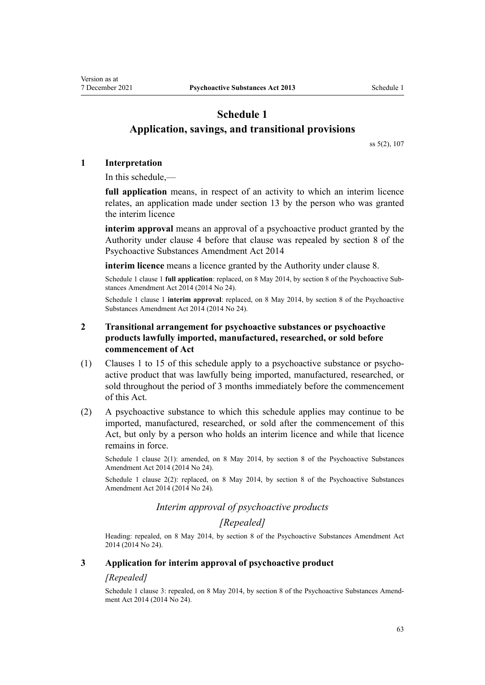# <span id="page-62-0"></span>**Schedule 1 Application, savings, and transitional provisions**

[ss 5\(2\)](#page-7-0), [107](#page-61-0)

## **1 Interpretation**

In this schedule,—

**full application** means, in respect of an activity to which an interim licence relates, an application made under [section 13](#page-15-0) by the person who was granted the interim licence

**interim approval** means an approval of a psychoactive product granted by the Authority under [clause 4](#page-63-0) before that clause was repealed by [section 8](http://legislation.govt.nz/pdflink.aspx?id=DLM6099320) of the Psychoactive Substances Amendment Act 2014

**interim licence** means a licence granted by the Authority under [clause 8.](#page-64-0)

Schedule 1 clause 1 **full application**: replaced, on 8 May 2014, by [section 8](http://legislation.govt.nz/pdflink.aspx?id=DLM6099320) of the Psychoactive Substances Amendment Act 2014 (2014 No 24).

Schedule 1 clause 1 **interim approval**: replaced, on 8 May 2014, by [section 8](http://legislation.govt.nz/pdflink.aspx?id=DLM6099320) of the Psychoactive Substances Amendment Act 2014 (2014 No 24).

# **2 Transitional arrangement for psychoactive substances or psychoactive products lawfully imported, manufactured, researched, or sold before commencement of Act**

- (1) Clauses 1 to 15 of this schedule apply to a psychoactive substance or psycho‐ active product that was lawfully being imported, manufactured, researched, or sold throughout the period of 3 months immediately before the commencement of this Act.
- (2) A psychoactive substance to which this schedule applies may continue to be imported, manufactured, researched, or sold after the commencement of this Act, but only by a person who holds an interim licence and while that licence remains in force.

Schedule 1 clause 2(1): amended, on 8 May 2014, by [section 8](http://legislation.govt.nz/pdflink.aspx?id=DLM6099320) of the Psychoactive Substances Amendment Act 2014 (2014 No 24).

Schedule 1 clause 2(2): replaced, on 8 May 2014, by [section 8](http://legislation.govt.nz/pdflink.aspx?id=DLM6099320) of the Psychoactive Substances Amendment Act 2014 (2014 No 24).

# *Interim approval of psychoactive products*

# *[Repealed]*

Heading: repealed, on 8 May 2014, by [section 8](http://legislation.govt.nz/pdflink.aspx?id=DLM6099320) of the Psychoactive Substances Amendment Act 2014 (2014 No 24).

## **3 Application for interim approval of psychoactive product**

## *[Repealed]*

Schedule 1 clause 3: repealed, on 8 May 2014, by [section 8](http://legislation.govt.nz/pdflink.aspx?id=DLM6099320) of the Psychoactive Substances Amendment Act 2014 (2014 No 24).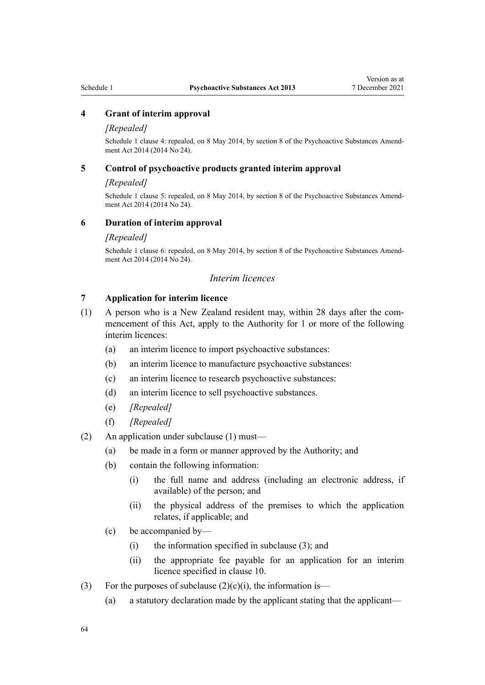## <span id="page-63-0"></span>**4 Grant of interim approval**

#### *[Repealed]*

Schedule 1 clause 4: repealed, on 8 May 2014, by [section 8](http://legislation.govt.nz/pdflink.aspx?id=DLM6099320) of the Psychoactive Substances Amendment Act 2014 (2014 No 24).

## **5 Control of psychoactive products granted interim approval**

#### *[Repealed]*

Schedule 1 clause 5: repealed, on 8 May 2014, by [section 8](http://legislation.govt.nz/pdflink.aspx?id=DLM6099320) of the Psychoactive Substances Amendment Act 2014 (2014 No 24).

#### **6 Duration of interim approval**

#### *[Repealed]*

Schedule 1 clause 6: repealed, on 8 May 2014, by [section 8](http://legislation.govt.nz/pdflink.aspx?id=DLM6099320) of the Psychoactive Substances Amendment Act 2014 (2014 No 24).

## *Interim licences*

## **7 Application for interim licence**

- (1) A person who is a New Zealand resident may, within 28 days after the com‐ mencement of this Act, apply to the Authority for 1 or more of the following interim licences:
	- (a) an interim licence to import psychoactive substances:
	- (b) an interim licence to manufacture psychoactive substances:
	- (c) an interim licence to research psychoactive substances:
	- (d) an interim licence to sell psychoactive substances.
	- (e) *[Repealed]*
	- (f) *[Repealed]*
- (2) An application under subclause (1) must—
	- (a) be made in a form or manner approved by the Authority; and
	- (b) contain the following information:
		- (i) the full name and address (including an electronic address, if available) of the person; and
		- (ii) the physical address of the premises to which the application relates, if applicable; and
	- (c) be accompanied by—
		- (i) the information specified in subclause (3); and
		- (ii) the appropriate fee payable for an application for an interim licence specified in [clause 10.](#page-65-0)
- (3) For the purposes of subclause  $(2)(c)(i)$ , the information is—
	- (a) a statutory declaration made by the applicant stating that the applicant—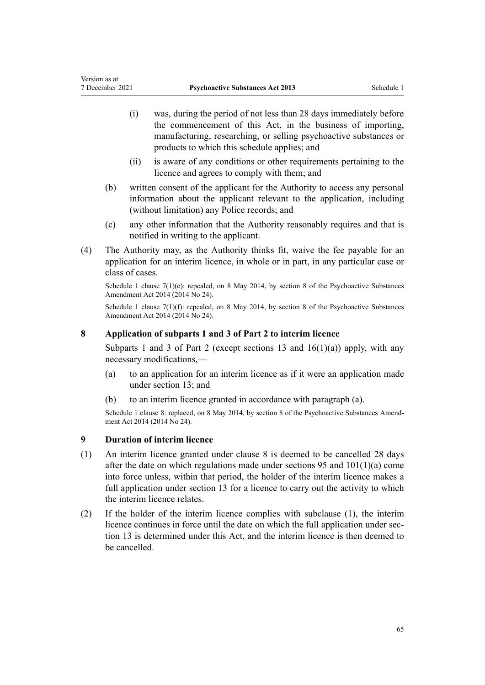- <span id="page-64-0"></span>(i) was, during the period of not less than 28 days immediately before the commencement of this Act, in the business of importing, manufacturing, researching, or selling psychoactive substances or products to which this schedule applies; and
- (ii) is aware of any conditions or other requirements pertaining to the licence and agrees to comply with them; and
- (b) written consent of the applicant for the Authority to access any personal information about the applicant relevant to the application, including (without limitation) any Police records; and
- (c) any other information that the Authority reasonably requires and that is notified in writing to the applicant.
- (4) The Authority may, as the Authority thinks fit, waive the fee payable for an application for an interim licence, in whole or in part, in any particular case or class of cases.

Schedule 1 clause 7(1)(e): repealed, on 8 May 2014, by [section 8](http://legislation.govt.nz/pdflink.aspx?id=DLM6099320) of the Psychoactive Substances Amendment Act 2014 (2014 No 24).

Schedule 1 clause 7(1)(f): repealed, on 8 May 2014, by [section 8](http://legislation.govt.nz/pdflink.aspx?id=DLM6099320) of the Psychoactive Substances Amendment Act 2014 (2014 No 24).

## **8 Application of subparts 1 and 3 of Part 2 to interim licence**

[Subparts 1](#page-15-0) and [3](#page-27-0) of Part 2 (except [sections 13](#page-15-0) and  $16(1)(a)$ ) apply, with any necessary modifications,—

- (a) to an application for an interim licence as if it were an application made under [section 13](#page-15-0); and
- (b) to an interim licence granted in accordance with paragraph (a).

Schedule 1 clause 8: replaced, on 8 May 2014, by [section 8](http://legislation.govt.nz/pdflink.aspx?id=DLM6099320) of the Psychoactive Substances Amendment Act 2014 (2014 No 24).

## **9 Duration of interim licence**

- (1) An interim licence granted under clause 8 is deemed to be cancelled 28 days after the date on which regulations made under [sections 95](#page-52-0) and [101\(1\)\(a\)](#page-55-0) come into force unless, within that period, the holder of the interim licence makes a full application under [section 13](#page-15-0) for a licence to carry out the activity to which the interim licence relates.
- (2) If the holder of the interim licence complies with subclause (1), the interim licence continues in force until the date on which the full application under sec[tion 13](#page-15-0) is determined under this Act, and the interim licence is then deemed to be cancelled.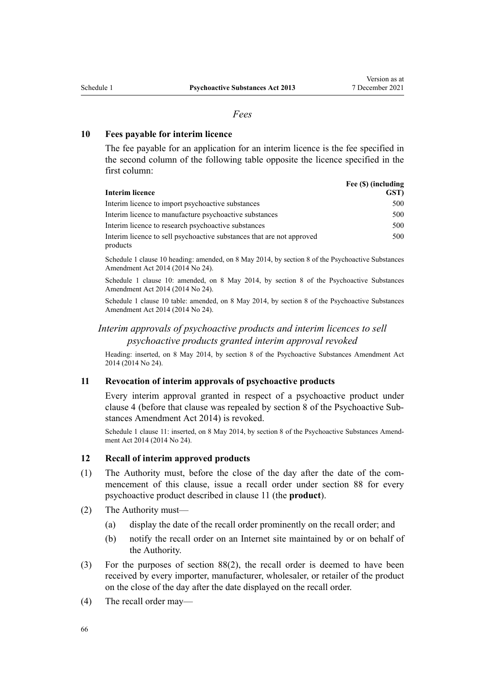## *Fees*

## <span id="page-65-0"></span>**10 Fees payable for interim licence**

The fee payable for an application for an interim licence is the fee specified in the second column of the following table opposite the licence specified in the first column:

| Interim licence                                                                   | Fee (\$) (including<br>GST) |
|-----------------------------------------------------------------------------------|-----------------------------|
| Interim licence to import psychoactive substances                                 | 500                         |
| Interim licence to manufacture psychoactive substances                            | 500                         |
| Interim licence to research psychoactive substances                               | 500                         |
| Interim licence to sell psychoactive substances that are not approved<br>products | 500                         |

Schedule 1 clause 10 heading: amended, on 8 May 2014, by [section 8](http://legislation.govt.nz/pdflink.aspx?id=DLM6099320) of the Psychoactive Substances Amendment Act 2014 (2014 No 24).

Schedule 1 clause 10: amended, on 8 May 2014, by [section 8](http://legislation.govt.nz/pdflink.aspx?id=DLM6099320) of the Psychoactive Substances Amendment Act 2014 (2014 No 24).

Schedule 1 clause 10 table: amended, on 8 May 2014, by [section 8](http://legislation.govt.nz/pdflink.aspx?id=DLM6099320) of the Psychoactive Substances Amendment Act 2014 (2014 No 24).

# *Interim approvals of psychoactive products and interim licences to sell psychoactive products granted interim approval revoked*

Heading: inserted, on 8 May 2014, by [section 8](http://legislation.govt.nz/pdflink.aspx?id=DLM6099320) of the Psychoactive Substances Amendment Act 2014 (2014 No 24).

## **11 Revocation of interim approvals of psychoactive products**

Every interim approval granted in respect of a psychoactive product under [clause 4](#page-63-0) (before that clause was repealed by [section 8](http://legislation.govt.nz/pdflink.aspx?id=DLM6099320) of the Psychoactive Sub‐ stances Amendment Act 2014) is revoked.

Schedule 1 clause 11: inserted, on 8 May 2014, by [section 8](http://legislation.govt.nz/pdflink.aspx?id=DLM6099320) of the Psychoactive Substances Amendment Act 2014 (2014 No 24).

## **12 Recall of interim approved products**

- (1) The Authority must, before the close of the day after the date of the com‐ mencement of this clause, issue a recall order under [section 88](#page-48-0) for every psychoactive product described in clause 11 (the **product**).
- (2) The Authority must—
	- (a) display the date of the recall order prominently on the recall order; and
	- (b) notify the recall order on an Internet site maintained by or on behalf of the Authority.
- (3) For the purposes of [section 88\(2\),](#page-48-0) the recall order is deemed to have been received by every importer, manufacturer, wholesaler, or retailer of the product on the close of the day after the date displayed on the recall order.
- (4) The recall order may—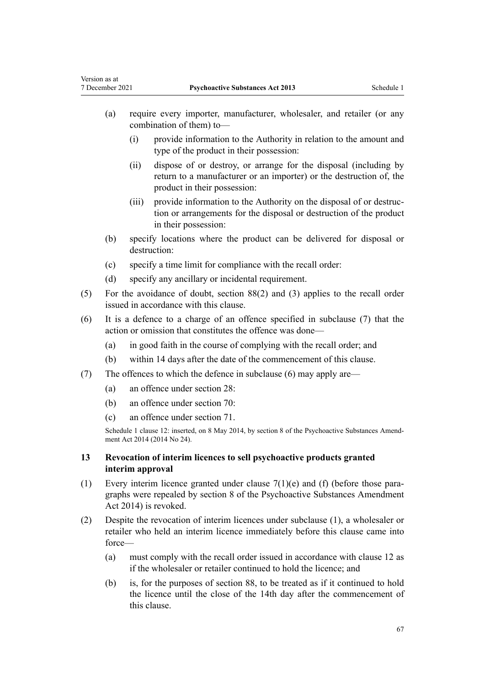<span id="page-66-0"></span>Version as at

- (a) require every importer, manufacturer, wholesaler, and retailer (or any combination of them) to—
	- (i) provide information to the Authority in relation to the amount and type of the product in their possession:
	- (ii) dispose of or destroy, or arrange for the disposal (including by return to a manufacturer or an importer) or the destruction of, the product in their possession:
	- (iii) provide information to the Authority on the disposal of or destruction or arrangements for the disposal or destruction of the product in their possession:
- (b) specify locations where the product can be delivered for disposal or destruction:
- (c) specify a time limit for compliance with the recall order:
- (d) specify any ancillary or incidental requirement.
- (5) For the avoidance of doubt, [section 88\(2\)](#page-48-0) and (3) applies to the recall order issued in accordance with this clause.
- (6) It is a defence to a charge of an offence specified in subclause (7) that the action or omission that constitutes the offence was done—
	- (a) in good faith in the course of complying with the recall order; and
	- (b) within 14 days after the date of the commencement of this clause.
- (7) The offences to which the defence in subclause (6) may apply are—
	- (a) an offence under [section 28](#page-20-0):
	- (b) an offence under [section 70](#page-39-0):
	- (c) an offence under [section 71](#page-40-0).

Schedule 1 clause 12: inserted, on 8 May 2014, by [section 8](http://legislation.govt.nz/pdflink.aspx?id=DLM6099320) of the Psychoactive Substances Amendment Act 2014 (2014 No 24).

# **13 Revocation of interim licences to sell psychoactive products granted interim approval**

- (1) Every interim licence granted under clause  $7(1)(e)$  and (f) (before those paragraphs were repealed by [section 8](http://legislation.govt.nz/pdflink.aspx?id=DLM6099320) of the Psychoactive Substances Amendment Act 2014) is revoked.
- (2) Despite the revocation of interim licences under subclause (1), a wholesaler or retailer who held an interim licence immediately before this clause came into force—
	- (a) must comply with the recall order issued in accordance with [clause 12](#page-65-0) as if the wholesaler or retailer continued to hold the licence; and
	- (b) is, for the purposes of [section 88,](#page-48-0) to be treated as if it continued to hold the licence until the close of the 14th day after the commencement of this clause.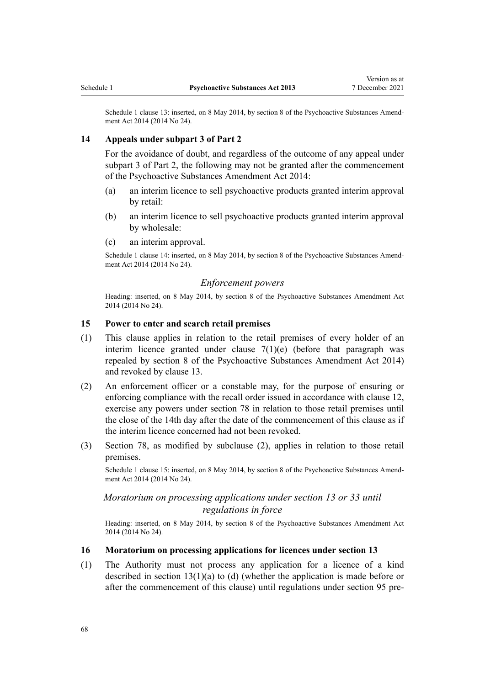Schedule 1 clause 13: inserted, on 8 May 2014, by [section 8](http://legislation.govt.nz/pdflink.aspx?id=DLM6099320) of the Psychoactive Substances Amendment Act 2014 (2014 No 24).

## **14 Appeals under subpart 3 of Part 2**

For the avoidance of doubt, and regardless of the outcome of any appeal under [subpart 3 of Part 2](#page-27-0), the following may not be granted after the commencement of the [Psychoactive Substances Amendment Act 2014](http://legislation.govt.nz/pdflink.aspx?id=DLM6099302):

- (a) an interim licence to sell psychoactive products granted interim approval by retail:
- (b) an interim licence to sell psychoactive products granted interim approval by wholesale:
- (c) an interim approval.

Schedule 1 clause 14: inserted, on 8 May 2014, by [section 8](http://legislation.govt.nz/pdflink.aspx?id=DLM6099320) of the Psychoactive Substances Amendment Act 2014 (2014 No 24).

#### *Enforcement powers*

Heading: inserted, on 8 May 2014, by [section 8](http://legislation.govt.nz/pdflink.aspx?id=DLM6099320) of the Psychoactive Substances Amendment Act 2014 (2014 No 24).

#### **15 Power to enter and search retail premises**

- (1) This clause applies in relation to the retail premises of every holder of an interim licence granted under clause  $7(1)(e)$  (before that paragraph was repealed by [section 8](http://legislation.govt.nz/pdflink.aspx?id=DLM6099320) of the Psychoactive Substances Amendment Act 2014) and revoked by [clause 13](#page-66-0).
- (2) An enforcement officer or a constable may, for the purpose of ensuring or enforcing compliance with the recall order issued in accordance with [clause 12](#page-65-0), exercise any powers under [section 78](#page-43-0) in relation to those retail premises until the close of the 14th day after the date of the commencement of this clause as if the interim licence concerned had not been revoked.
- (3) [Section 78](#page-43-0), as modified by subclause (2), applies in relation to those retail premises.

Schedule 1 clause 15: inserted, on 8 May 2014, by [section 8](http://legislation.govt.nz/pdflink.aspx?id=DLM6099320) of the Psychoactive Substances Amendment Act 2014 (2014 No 24).

# *Moratorium on processing applications under section 13 or 33 until regulations in force*

Heading: inserted, on 8 May 2014, by [section 8](http://legislation.govt.nz/pdflink.aspx?id=DLM6099320) of the Psychoactive Substances Amendment Act 2014 (2014 No 24).

#### **16 Moratorium on processing applications for licences under section 13**

(1) The Authority must not process any application for a licence of a kind described in [section 13\(1\)\(a\)](#page-15-0) to (d) (whether the application is made before or after the commencement of this clause) until regulations under [section 95](#page-52-0) pre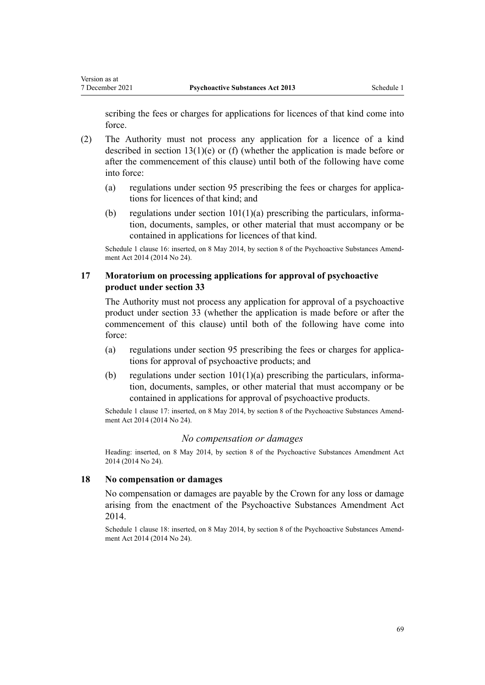scribing the fees or charges for applications for licences of that kind come into force.

- (2) The Authority must not process any application for a licence of a kind described in [section 13\(1\)\(e\)](#page-15-0) or (f) (whether the application is made before or after the commencement of this clause) until both of the following have come into force:
	- (a) regulations under [section 95](#page-52-0) prescribing the fees or charges for applications for licences of that kind; and
	- (b) regulations under section  $101(1)(a)$  prescribing the particulars, information, documents, samples, or other material that must accompany or be contained in applications for licences of that kind.

Schedule 1 clause 16: inserted, on 8 May 2014, by [section 8](http://legislation.govt.nz/pdflink.aspx?id=DLM6099320) of the Psychoactive Substances Amendment Act 2014 (2014 No 24).

# **17 Moratorium on processing applications for approval of psychoactive product under section 33**

The Authority must not process any application for approval of a psychoactive product under [section 33](#page-22-0) (whether the application is made before or after the commencement of this clause) until both of the following have come into force:

- (a) regulations under [section 95](#page-52-0) prescribing the fees or charges for applications for approval of psychoactive products; and
- (b) regulations under section  $101(1)(a)$  prescribing the particulars, information, documents, samples, or other material that must accompany or be contained in applications for approval of psychoactive products.

Schedule 1 clause 17: inserted, on 8 May 2014, by [section 8](http://legislation.govt.nz/pdflink.aspx?id=DLM6099320) of the Psychoactive Substances Amendment Act 2014 (2014 No 24).

## *No compensation or damages*

Heading: inserted, on 8 May 2014, by [section 8](http://legislation.govt.nz/pdflink.aspx?id=DLM6099320) of the Psychoactive Substances Amendment Act 2014 (2014 No 24).

## **18 No compensation or damages**

No compensation or damages are payable by the Crown for any loss or damage arising from the enactment of the [Psychoactive Substances Amendment Act](http://legislation.govt.nz/pdflink.aspx?id=DLM6099302) [2014](http://legislation.govt.nz/pdflink.aspx?id=DLM6099302).

Schedule 1 clause 18: inserted, on 8 May 2014, by [section 8](http://legislation.govt.nz/pdflink.aspx?id=DLM6099320) of the Psychoactive Substances Amendment Act 2014 (2014 No 24).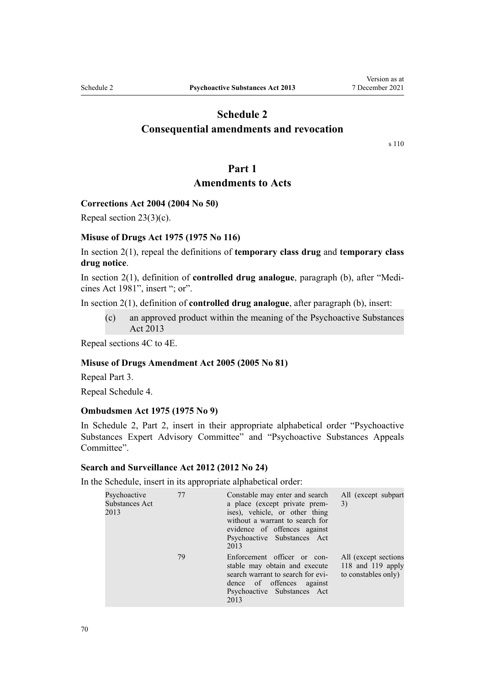# **Schedule 2**

# <span id="page-69-0"></span>**Consequential amendments and revocation**

[s 110](#page-61-0)

# **Part 1**

# **Amendments to Acts**

## **Corrections Act 2004 (2004 No 50)**

Repeal [section 23\(3\)\(c\)](http://legislation.govt.nz/pdflink.aspx?id=DLM295421).

## **Misuse of Drugs Act 1975 (1975 No 116)**

In [section 2\(1\)](http://legislation.govt.nz/pdflink.aspx?id=DLM436106), repeal the definitions of **temporary class drug** and **temporary class drug notice**.

In [section 2\(1\)](http://legislation.govt.nz/pdflink.aspx?id=DLM436106), definition of **controlled drug analogue**, paragraph (b), after "Medi‐ cines Act 1981", insert "; or".

In [section 2\(1\)](http://legislation.govt.nz/pdflink.aspx?id=DLM436106), definition of **controlled drug analogue**, after paragraph (b), insert:

(c) an approved product within the meaning of the Psychoactive Substances Act 2013

Repeal [sections 4C to 4E.](http://legislation.govt.nz/pdflink.aspx?id=DLM3935908)

#### **Misuse of Drugs Amendment Act 2005 (2005 No 81)**

Repeal [Part 3](http://legislation.govt.nz/pdflink.aspx?id=DLM356284).

Repeal [Schedule 4.](http://legislation.govt.nz/pdflink.aspx?id=DLM356877)

#### **Ombudsmen Act 1975 (1975 No 9)**

In [Schedule 2,](http://legislation.govt.nz/pdflink.aspx?id=DLM431744) Part 2, insert in their appropriate alphabetical order "Psychoactive Substances Expert Advisory Committee" and "Psychoactive Substances Appeals Committee".

# **Search and Surveillance Act 2012 (2012 No 24)**

In the [Schedule,](http://legislation.govt.nz/pdflink.aspx?id=DLM4356950) insert in its appropriate alphabetical order:

| Psychoactive<br>Substances Act<br>2013 | 77 | Constable may enter and search<br>a place (except private prem-<br>ises), vehicle, or other thing<br>without a warrant to search for<br>evidence of offences against<br>Psychoactive Substances Act<br>2013 | All (except subpart<br>3)                                         |
|----------------------------------------|----|-------------------------------------------------------------------------------------------------------------------------------------------------------------------------------------------------------------|-------------------------------------------------------------------|
|                                        | 79 | Enforcement officer or con-<br>stable may obtain and execute<br>search warrant to search for evi-<br>dence of offences against<br>Psychoactive Substances Act<br>2013                                       | All (except sections)<br>118 and 119 apply<br>to constables only) |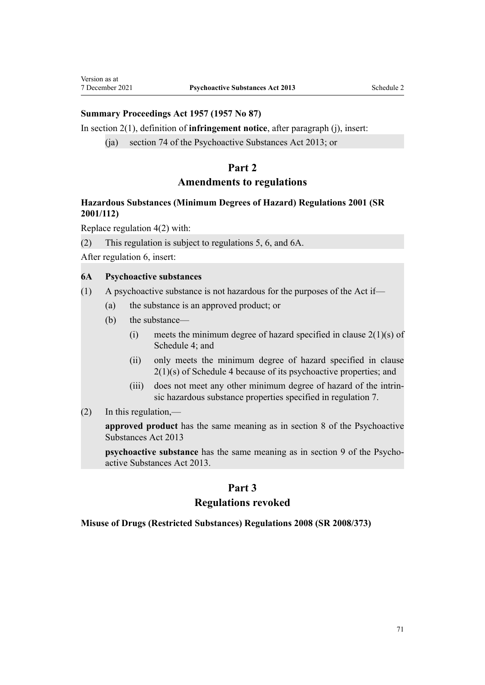## <span id="page-70-0"></span>**Summary Proceedings Act 1957 (1957 No 87)**

In [section 2\(1\)](http://legislation.govt.nz/pdflink.aspx?id=DLM310749), definition of **infringement notice**, after paragraph (j), insert:

(ja) section 74 of the Psychoactive Substances Act 2013; or

# **Part 2**

# **Amendments to regulations**

# **Hazardous Substances (Minimum Degrees of Hazard) Regulations 2001 (SR 2001/112)**

Replace [regulation 4\(2\)](http://legislation.govt.nz/pdflink.aspx?id=DLM33333) with:

(2) This regulation is subject to regulations 5, 6, and 6A.

After [regulation 6,](http://legislation.govt.nz/pdflink.aspx?id=DLM33339) insert:

#### **6A Psychoactive substances**

(1) A psychoactive substance is not hazardous for the purposes of the Act if—

- (a) the substance is an approved product; or
- (b) the substance—
	- (i) meets the minimum degree of hazard specified in clause  $2(1)(s)$  of Schedule 4; and
	- (ii) only meets the minimum degree of hazard specified in clause 2(1)(s) of Schedule 4 because of its psychoactive properties; and
	- (iii) does not meet any other minimum degree of hazard of the intrin‐ sic hazardous substance properties specified in regulation 7.
- $(2)$  In this regulation,—

**approved product** has the same meaning as in section 8 of the Psychoactive Substances Act 2013

**psychoactive substance** has the same meaning as in section 9 of the Psychoactive Substances Act 2013.

# **Part 3**

# **Regulations revoked**

#### **Misuse of Drugs (Restricted Substances) Regulations 2008 (SR 2008/373)**